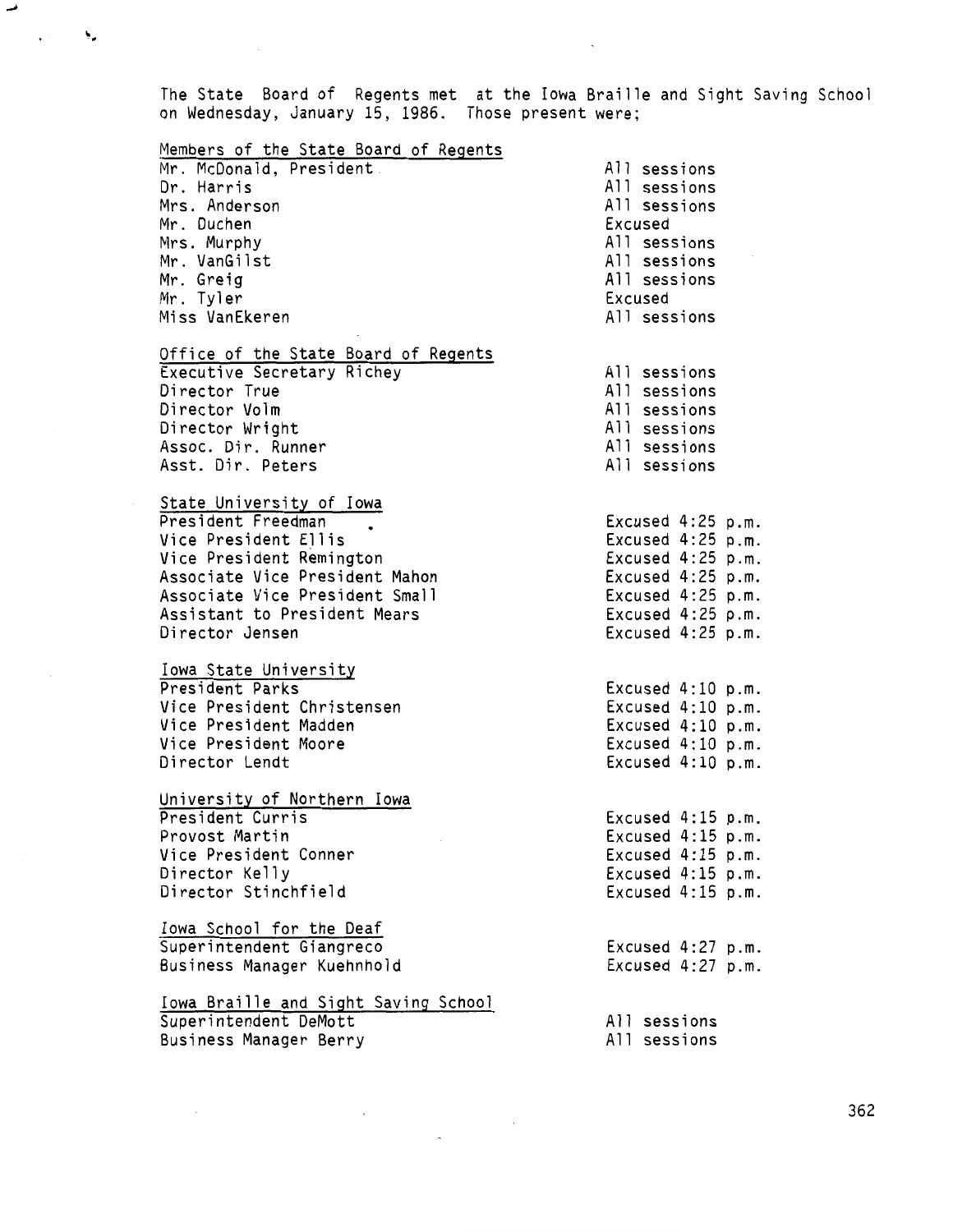The State Board of Regents met on Wednesday, January 15, 1986. at the Iowa Braille and Sight Saving School Those present were;

فمد

| Members of the State Board of Regents |                     |
|---------------------------------------|---------------------|
| Mr. McDonald, President.              | All sessions        |
| Dr. Harris                            | All sessions        |
| Mrs. Anderson                         | All sessions        |
| Mr. Duchen                            | Excused             |
| Mrs. Murphy                           | All sessions        |
|                                       |                     |
| Mr. VanGilst                          | All sessions        |
| Mr. Greig                             | All sessions        |
| Mr. Tyler                             | Excused             |
| Miss VanEkeren                        | All sessions        |
| Office of the State Board of Regents  |                     |
| Executive Secretary Richey            | All sessions        |
| Director True                         | All sessions        |
| Director Volm                         | All sessions        |
| Director Wright                       | All sessions        |
| Assoc. Dir. Runner                    | All sessions        |
| Asst. Dir. Peters                     | All sessions        |
|                                       |                     |
| State University of Iowa              |                     |
| President Freedman                    | Excused 4:25 p.m.   |
| Vice President Ellis                  | Excused $4:25$ p.m. |
| Vice President Remington              | Excused 4:25 p.m.   |
| Associate Vice President Mahon        | Excused $4:25$ p.m. |
| Associate Vice President Small        | Excused 4:25 p.m.   |
| Assistant to President Mears          | Excused 4:25 p.m.   |
| Director Jensen                       | Excused 4:25 p.m.   |
| Iowa State University                 |                     |
| President Parks                       | Excused 4:10 p.m.   |
| Vice President Christensen            | Excused 4:10 p.m.   |
| Vice President Madden                 | Excused 4:10 p.m.   |
| Vice President Moore                  | Excused $4:10$ p.m. |
| Director Lendt                        | Excused 4:10 p.m.   |
|                                       |                     |
| University of Northern Iowa           |                     |
| President Curris                      | Excused $4:15$ p.m. |
| Provost Martin                        | Excused $4:15$ p.m. |
| Vice President Conner                 | Excused $4:15$ p.m. |
| Director Kelly                        | Excused $4:15$ p.m. |
| Director Stinchfield                  | Excused 4:15 p.m.   |
| Iowa School for the Deaf              |                     |
| Superintendent Giangreco              | Excused $4:27$ p.m. |
| Business Manager Kuehnhold            | Excused 4:27 p.m.   |
|                                       |                     |
| Iowa Braille and Sight Saving School  |                     |
| Superintendent DeMott                 | All sessions        |
| Business Manager Berry                | All sessions        |

 $\sim$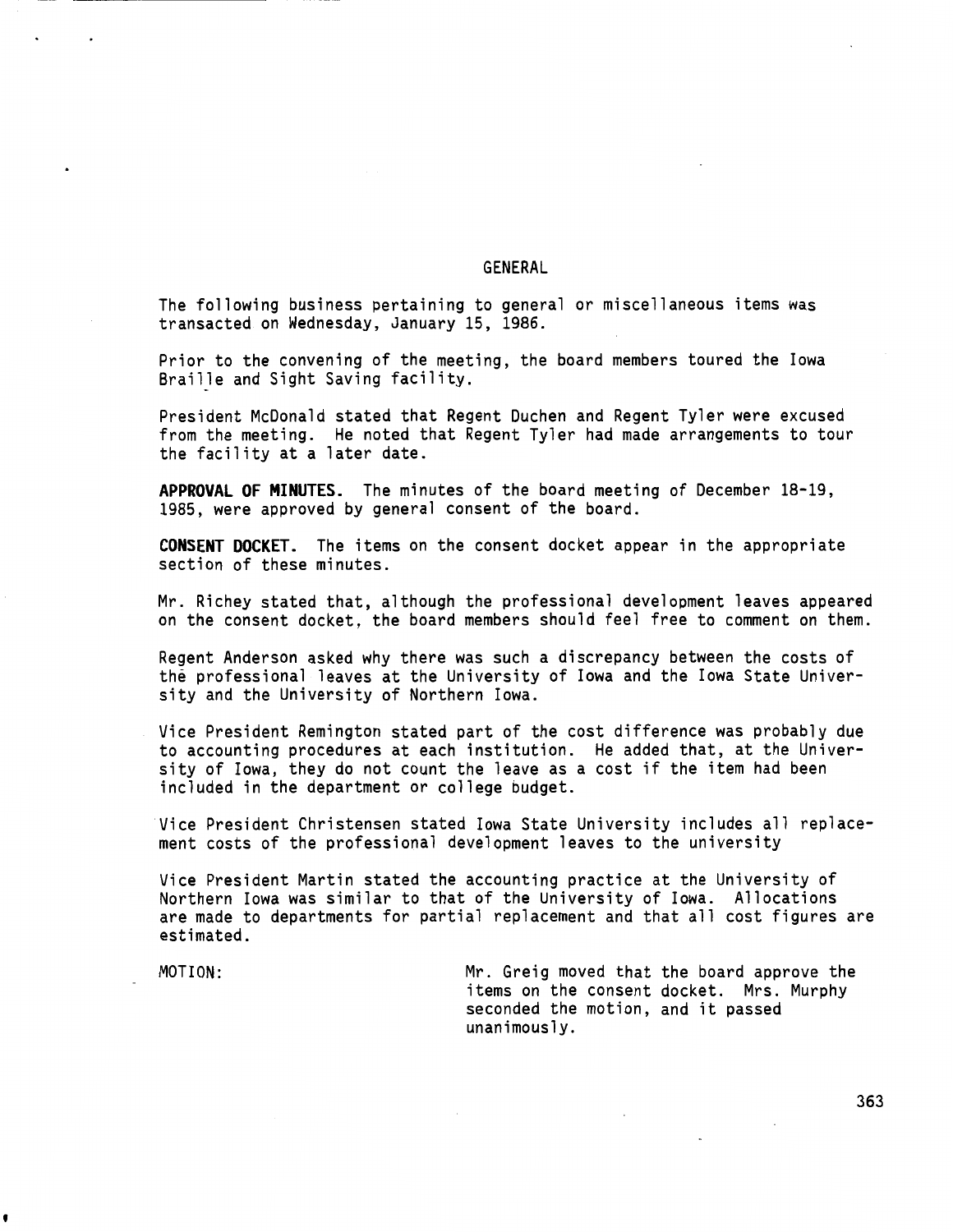# GENERAL

The following business pertaining to general or miscellaneous items was transacted on Wednesday, January 15, 1986.

Prior to the convening of the meeting, the board members toured the Iowa Braille and Sight Saving facility.

President McDonald stated that Regent Duchen and Regent Tyler were excused from the meeting. He noted that Regent Tyler had made arrangements to tour the facility at a later date.

**APPROVAL OF MINUTES.** The minutes of the board meeting of December 18-19, 1985, were approved by general consent of the board.

**CONSENT DOCKET.** The items on the consent docket appear in the appropriate section of these minutes.

Mr. Richey stated that, although the professional development leaves appeared on the consent docket, the board members should feel free to comment on them.

Regent Anderson asked why there was such a discrepancy between the costs of the professional leaves at the University of Iowa and the Iowa State University and the University of Northern Iowa.

Vice President Remington stated part of the cost difference was probably due to accounting procedures at each institution. He added that, at the University of Iowa, they do not count the leave as a cost if the item had been included in the department or college budget.

Vice President Christensen stated Iowa State University includes all replacement costs of the professional development leaves to the university

Vice President Martin stated the accounting practice at the University of Northern Iowa was similar to that of the University of Iowa. Allocations are made to departments for partial replacement and that all cost figures are estimated.

'

MOTION: Mr. Greig moved that the board approve the items on the consent docket. Mrs. Murphy seconded the motion, and it passed unanimously.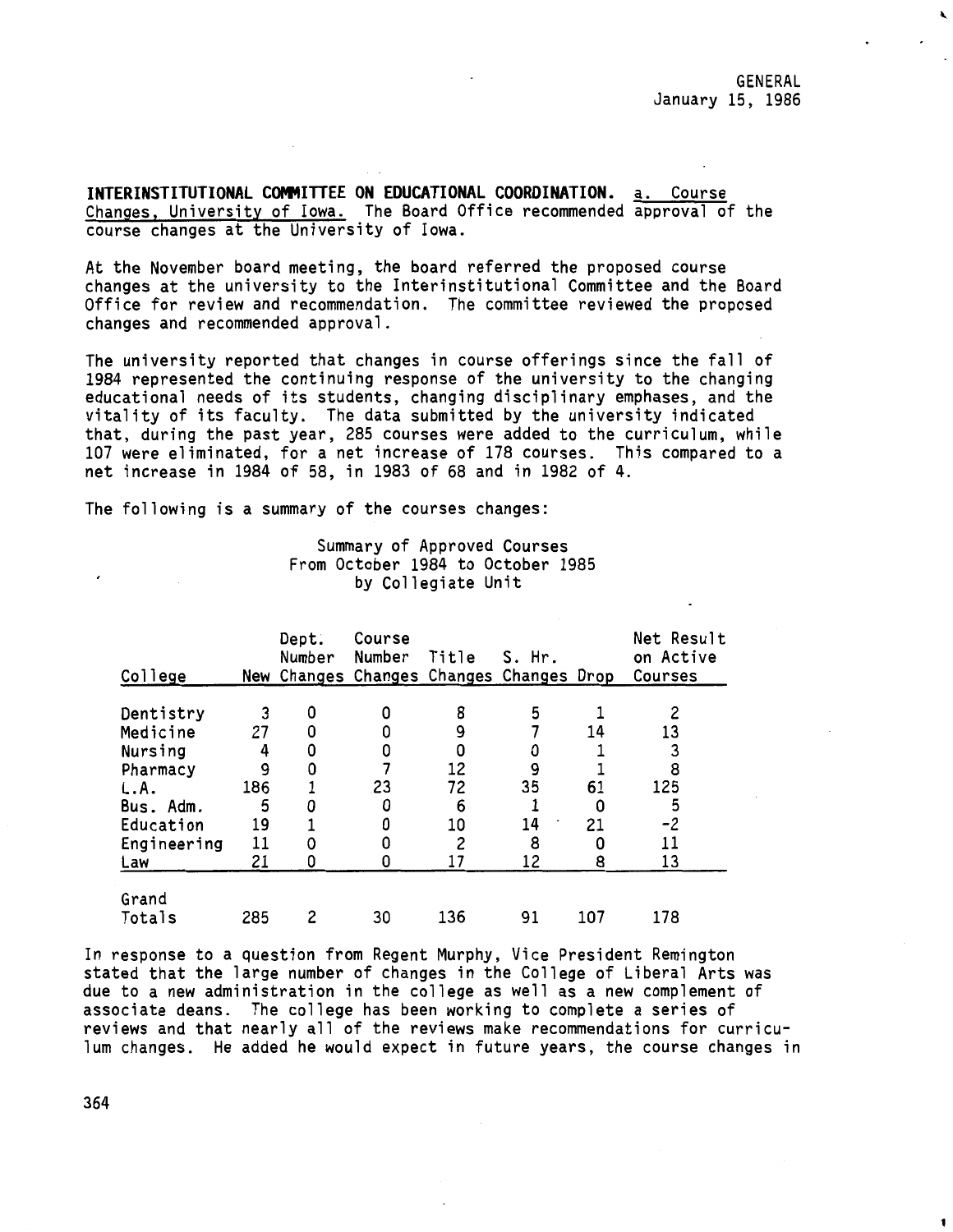**INTERINSTITUTIONAL COMMITTEE ON EDUCATIONAL COORDINATION.** a. Course Changes, University of Iowa. The Board Office recommended approval of the course changes at the University of Iowa.

At the November board meeting, the board referred the proposed course changes at the university to the Interinstitutional Committee and the Board Office for review and recommendation. The committee reviewed the proposed changes and recommended approval.

The university reported that changes in course offerings since the fall of 1984 represented the continuing response of the university to the changing educational needs of its students, changing disciplinary emphases, and the vitality of its faculty. The data submitted by the university indicated that, during the past year, 285 courses were added to the curriculum, while 107 were eliminated, for a net increase of 178 courses. This compared to a net increase in 1984 of 58, in 1983 of 68 and in 1982 of 4.

The following is a summary of the courses changes:

|  |                    | Summary of Approved Courses       |  |
|--|--------------------|-----------------------------------|--|
|  |                    | From October 1984 to October 1985 |  |
|  | by Collegiate Unit |                                   |  |

| College        |     | Dept.<br>Number | Course<br>Number<br>New Changes Changes Changes Changes Drop | Title | $S.$ Hr. |     | Net Result<br>on Active<br>Courses |
|----------------|-----|-----------------|--------------------------------------------------------------|-------|----------|-----|------------------------------------|
|                |     |                 |                                                              |       |          |     |                                    |
| Dentistry      | 3   | ٥               | 0                                                            | 8     | 5        |     | 2                                  |
| Medicine       | 27  |                 |                                                              | 9     |          | 14  | 13                                 |
| <b>Nursing</b> | 4   |                 | 0                                                            |       | 0        |     | 3                                  |
| Pharmacy       | 9   |                 |                                                              | 12    | 9        |     | 8                                  |
| L.A.           | 186 |                 | 23                                                           | 72    | 35       | 61  | 125                                |
| Bus. Adm.      | 5   |                 | 0                                                            | 6     |          |     | 5                                  |
| Education      | 19  |                 | 0                                                            | 10    | 14       | 21  | $-2$                               |
| Engineering    | 11  |                 | 0                                                            |       | 8        | O   | 11                                 |
| Law            | 21  |                 |                                                              |       | 12       | 8   | 13                                 |
|                |     |                 |                                                              |       |          |     |                                    |
| Grand          |     |                 |                                                              |       |          |     |                                    |
| Totals         | 285 |                 | 30                                                           | 136   | 91       | 107 | 178                                |

In response to a question from Regent Murphy, Vice President Remington stated that the large number of changes in the College of Liberal Arts was due to a new administration in the college as well as a new complement of associate deans. The college has been working to complete a series of reviews and that nearly all of the reviews make recommendations for curriculum changes. He added he would expect in future years, the course changes in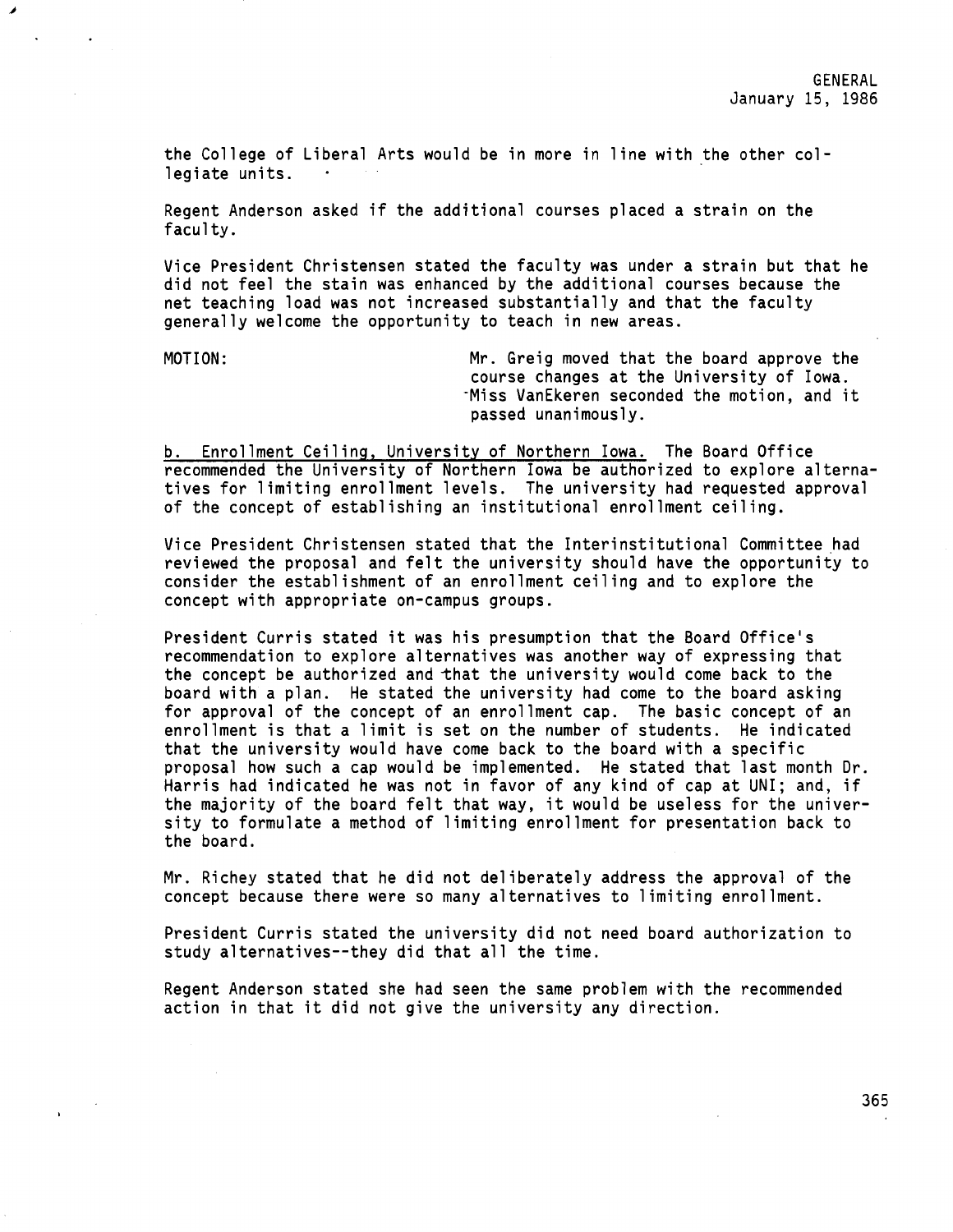the College of Liberal Arts would be in more in line with the other collegiate units.

Regent Anderson asked if the additional courses placed a strain on the faculty.

Vice President Christensen stated the faculty was under a strain but that he did not feel the stain was enhanced by the additional courses because the net teaching load was not increased substantially and that the faculty generally welcome the opportunity to teach in new areas.

◢

MOTION: Mr. Greig moved that the board approve the course changes at the University of Iowa. -Miss VanEkeren seconded the motion, and it passed unanimously.

b. Enrollment Ceiling, University of Northern Iowa. The Board Office recommended the University of Northern Iowa be authorized to explore alternatives for limiting enrollment levels. The university had requested approval of the concept of establishing an institutional enrollment ceiling.

Vice President Christensen stated that the Interinstitutional Committee had reviewed the proposal and felt the university should have the opportunity to consider the establishment of an enrollment ceiling and to explore the concept with appropriate on-campus groups.

President Curris stated it was his presumption that the Board Office's recommendation to explore alternatives was another way of expressing that the concept be authorized and that the university would come back to the board with a plan. He stated the university had come to the board asking for approval of the concept of an enrollment cap. The basic concept of an enrollment is that a limit is set on the number of students. He indicated that the university would have come back to the board with a specific proposal how such a cap would be implemented. He stated that last month Dr. Harris had indicated he was not in favor of any kind of cap at UNI; and, if the majority of the board felt that way, it would be useless for the university to formulate a method of limiting enrollment for presentation back to the board.

Mr. Richey stated that he did not deliberately address the approval of the concept because there were so many alternatives to limiting enrollment.

President Curris stated the university did not need board authorization to study alternatives--they did that all the time.

Regent Anderson stated she had seen the same problem with the recommended action in that it did not give the university any direction.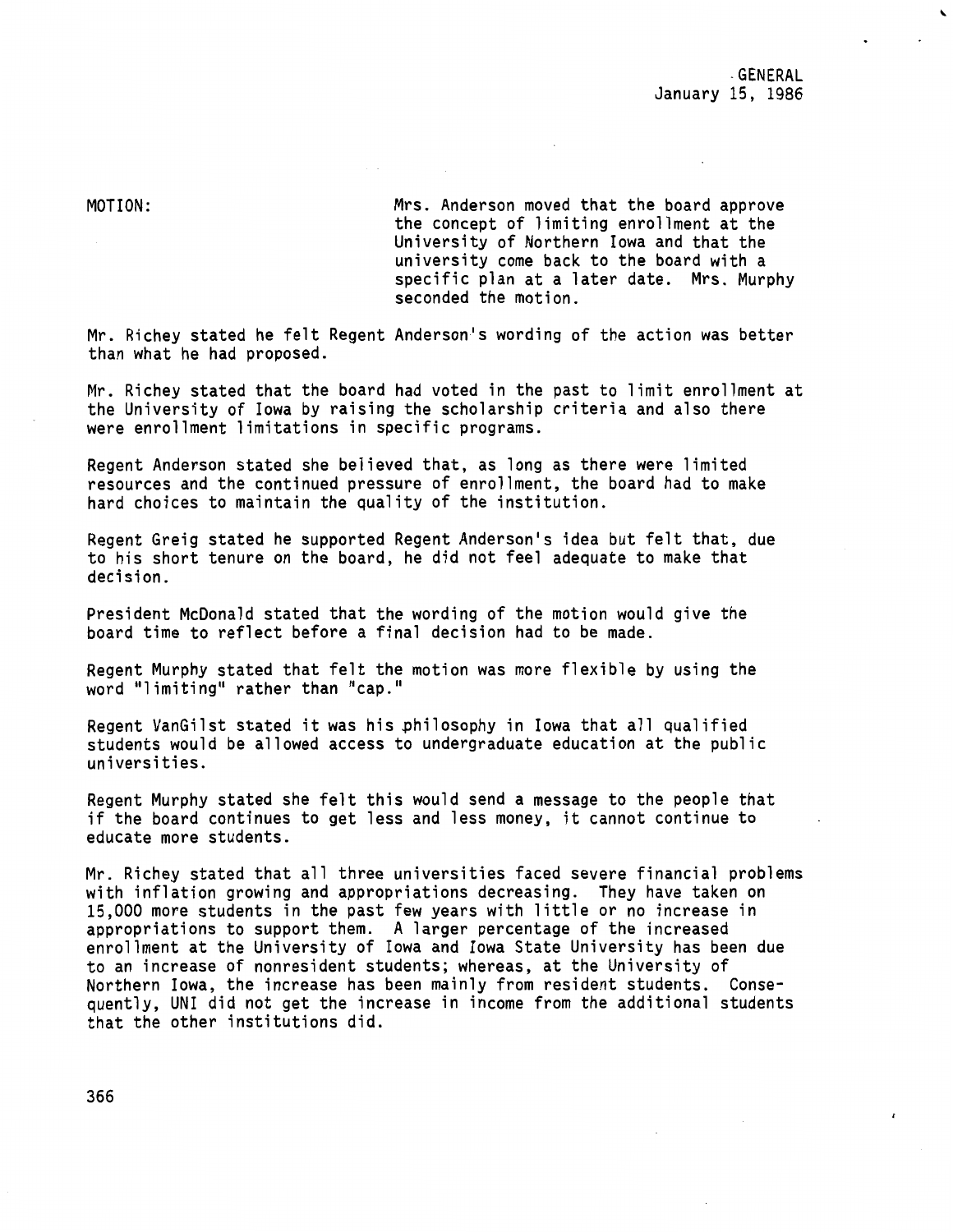MOTION:

Mrs. Anderson moved that the board approve the concept of limiting enrollment at the University of Northern Iowa and that the university come back to the board with a specific plan at a later date. Mrs. Murphy seconded the motion.

Mr. Richey stated he felt Regent Anderson's wording of the action was better than what he had proposed.

Mr. Richey stated that the board had voted in the past to limit enrollment at the University of Iowa by raising the scholarship criteria and also there were enrollment limitations in specific programs.

Regent Anderson stated she believed that, as long as there were limited resources and the continued pressure of enrollment, the board had to make hard choices to maintain the quality of the institution.

Regent Greig stated he supported Regent Anderson's idea but felt that, due to his short tenure on the board, he did not feel adequate to make that decision.

President McDonald stated that the wording of the motion would give the board time to reflect before a final decision had to be made.

Regent Murphy stated that felt the motion was more flexible by using the word "limiting" rather than "cap."

Regent VanGilst stated it was his philosophy in Iowa that all qualified students would be allowed access to undergraduate education at the public universities.

Regent Murphy stated she felt this would send a message to the people that if the board continues to get less and less money, it cannot continue to educate more students.

Mr. Richey stated that all three universities faced severe financial problems with inflation growing and appropriations decreasing. They have taken on 15,000 more students in the past few years with little or no increase in appropriations to support them. A larger percentage of the increased enrollment at the University of Iowa and Iowa State University has been due to an increase of nonresident students; whereas, at the University of Northern Iowa, the increase has been mainly from resident students. Consequently, UNI did not get the increase in income from the additional students that the other institutions did.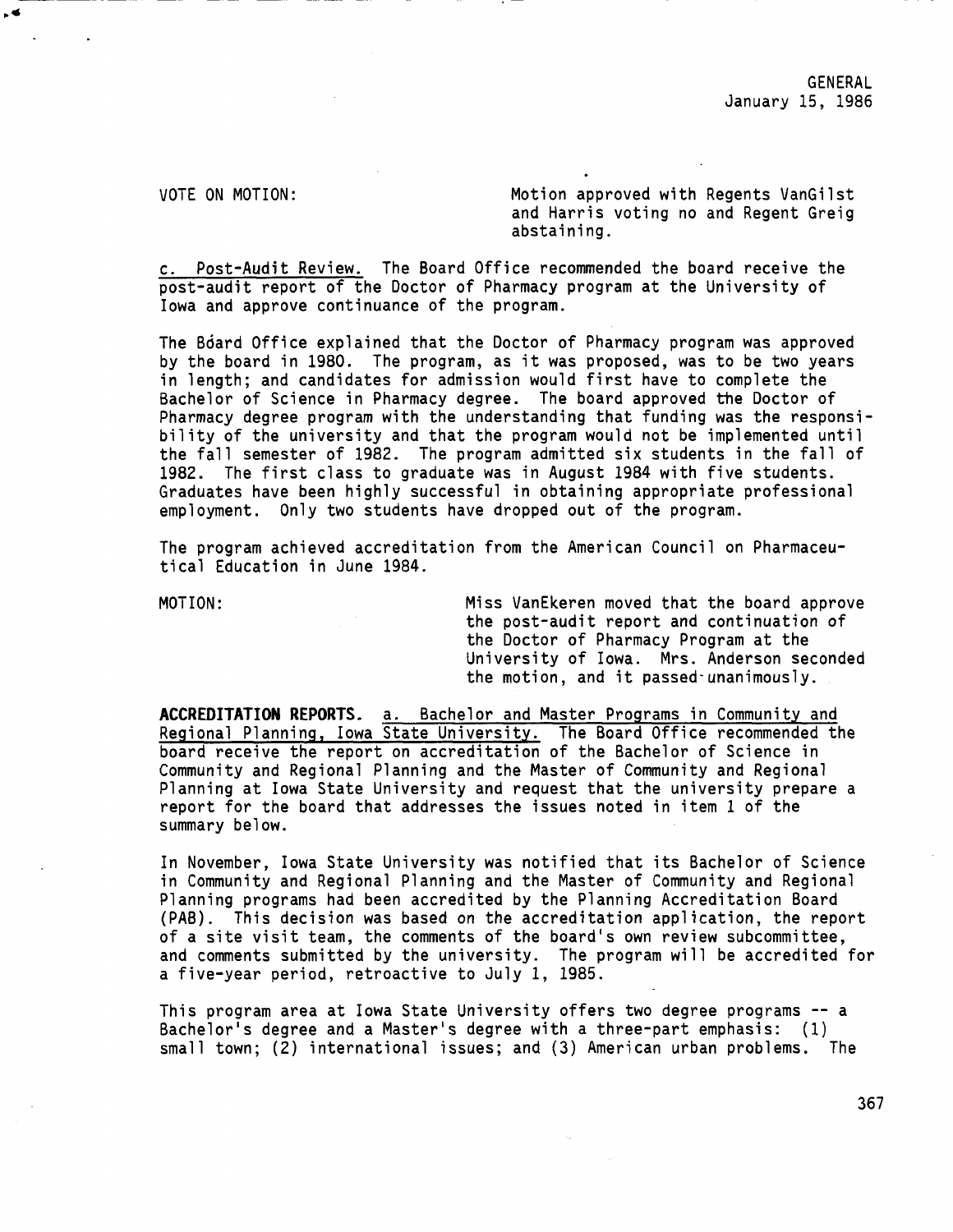VOTE ON MOTION: Motion approved with Regents VanGilst and Harris voting no and Regent Greig abstaining.

c. Post-Audit Review. The Board Office recommended the board receive the post-audit report of the Doctor of Pharmacy program at the University of Iowa and approve continuance of the program.

The Bdard Office explained that the Doctor of Pharmacy program was approved by the board in 1980. The program, as it was proposed, was to be two years in length; and candidates for admission would first have to complete the Bachelor of Science in Pharmacy degree. The board approved the Doctor of Pharmacy degree program with the understanding that funding was the responsibility of the university and that the program would not be implemented until the fall semester of 1982. The program admitted six students in the fall of 1982. The first class to graduate was in August 1984 with five students. Graduates have been highly successful in obtaining appropriate professional employment. Only two students have dropped out of the program.

The program achieved accreditation from the American Council on Pharmaceutical Education in June 1984.

MOTION: Miss VanEkeren moved that the board approve the post-audit report and continuation of the Doctor of Pharmacy Program at the University of Iowa. Mrs. Anderson seconded the motion, and it passed-unanimously.

**ACCREDITATION REPORTS.** a. Bachelor and Master Programs in Community and Regional Planning, Iowa State University. The Board Office recommended the board receive the report on accreditation of the Bachelor of Science in Community and Regional Planning and the Master of Community and Regional Planning at Iowa State University and request that the university prepare a report for the board that addresses the issues noted in item 1 of the summary below.

In November, Iowa State University was notified that its Bachelor of Science in Community and Regional Planning and the Master of Community and Regional Planning programs had been accredited by the Planning Accreditation Board (PAB). This decision was based on the accreditation application, the report of a site visit team, the comments of the board's own review subcommittee, and comments submitted by the university. The program will be accredited for a five-year period, retroactive to July 1, 1985.

This program area at Iowa State University offers two degree programs -- a Bachelor's degree and a Master's degree with a three-part emphasis: (1) small town; (2) international issues; and (3) American urban problems. The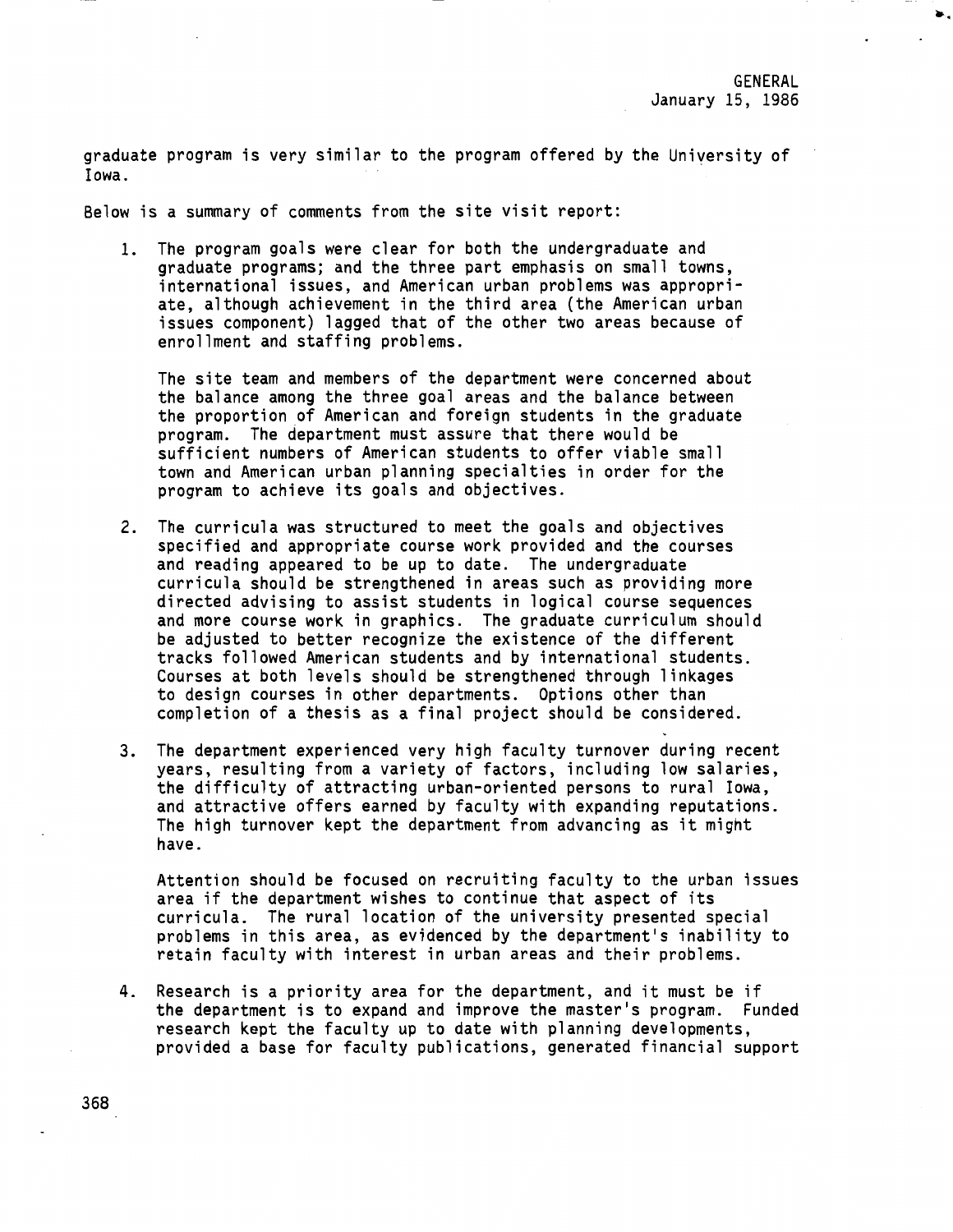••

graduate program is very similar to the program offered by the University of Iowa.

Below **is a** summary of comments from the site visit report:

1. The program goals **were** clear for both the undergraduate and graduate programs; and the three part emphasis on small towns, international issues, and American urban problems was appropriate, although achievement in the third area (the American urban issues component) lagged that of the other two areas because of enrollment and staffing problems.

The site team and members of the department were concerned about the balance among the three goal areas and the balance between the proportion of American and foreign students in the graduate program. The department must assure that there would be sufficient numbers of American students to offer viable small town and American urban planning specialties in order for the program to achieve its goals and objectives.

- 2. The curricula was structured to meet the goals and objectives specified and appropriate course work provided and the courses and reading appeared to be up to date. The undergraduate curricula should be strengthened in areas such as providing more directed advising to assist students in logical course sequences and more course work in graphics. The graduate curriculum should be adjusted to better recognize the existence of the different tracks followed American students and by international students. Courses at both levels should be strengthened through linkages to design courses in other departments. Options other than completion of a thesis as a final project should be considered.
- 3. The department experienced very high faculty turnover during recent years, resulting from a variety of factors, including low salaries, the difficulty of attracting urban-oriented persons to rural Iowa, and attractive offers earned by faculty with expanding reputations. The high turnover kept the department from advancing as it might have.

Attention should be focused on recruiting faculty to the urban issues area if the department wishes to continue that aspect of its curricula. The rural location of the university presented special problems in this area, as evidenced by the department's inability to retain faculty with interest in urban areas and their problems.

4. Research is a priority area for the department, and it must be if the department is to expand and improve the master's program. Funded research kept the faculty up to date with planning developments, provided a base for faculty publications, generated financial support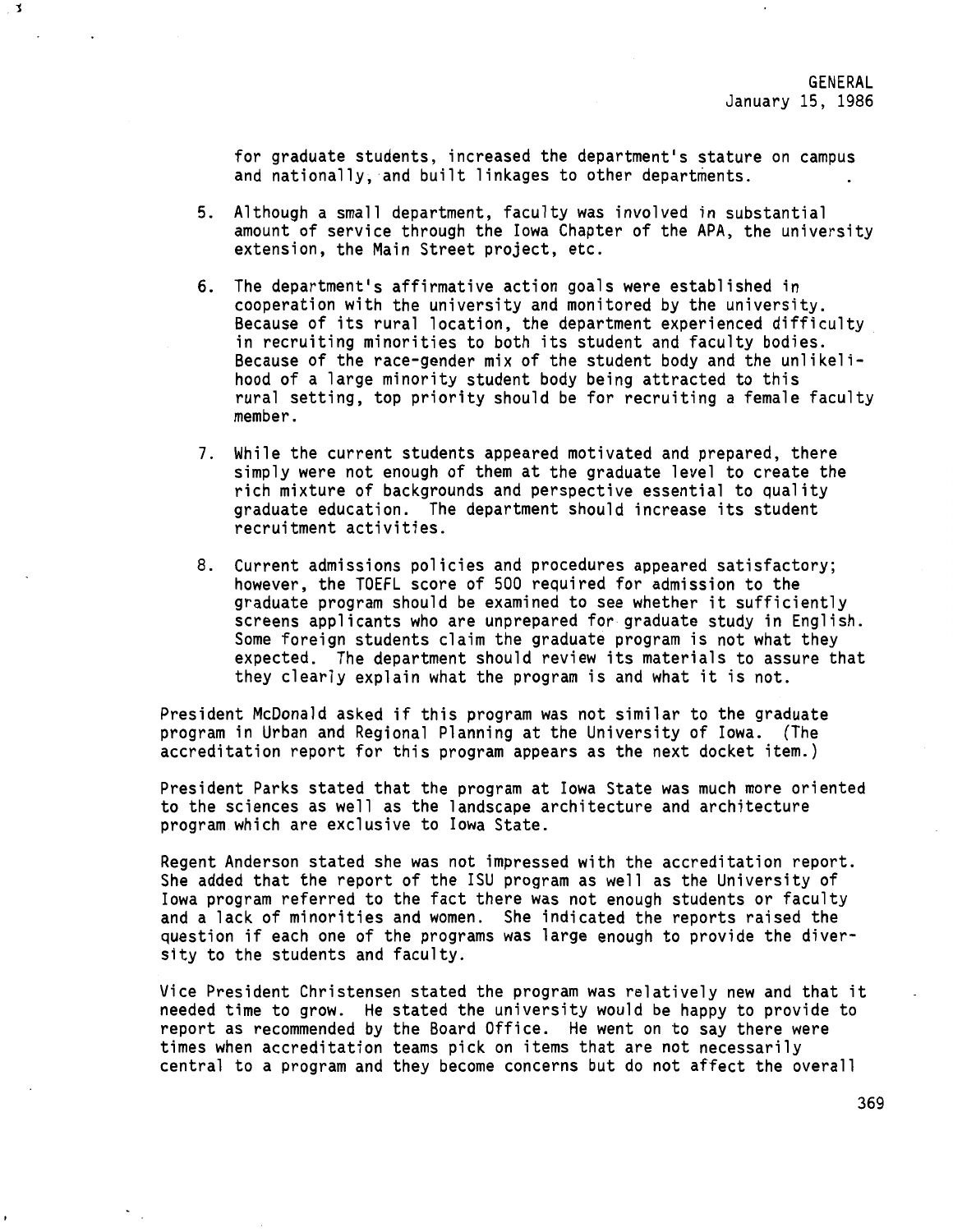for graduate students, increased the department's stature on campus and nationally, and built linkages to other departments.

j

- 5. Although a small department, faculty was involved in substantial amount of service through the Iowa Chapter of the APA, the university extension, the Main Street project, etc.
- 6. The department's affirmative action goals were established in cooperation with the university and monitored by the university. Because of its rural location, the department experienced difficulty in recruiting minorities to both its student and faculty bodies. Because of the race-gender mix of the student body and the unlikelihood of a large minority student body being attracted to this rural setting, top priority should be for recruiting a female faculty member.
- 7. While the current students appeared motivated and prepared, there simply were not enough of them at the graduate level to create the rich mixture of backgrounds and perspective essential to quality graduate education. The department should increase its student recruitment activities.
- 8. Current admissions policies and procedures appeared satisfactory; however, the TOEFL score of 500 required for admission to the graduate program should be examined to see whether it sufficiently screens applicants who are unprepared for graduate study in English. Some foreign students claim the graduate program is not what they expected. The department should review its materials to assure that they clearly explain what the program is and what it is not.

President McDonald asked if this program was not similar to the graduate program in Urban and Regional Planning at the University of Iowa. (The accreditation report for this program appears as the next docket item.)

President Parks stated that the program at Iowa State was much more oriented to the sciences as well as the landscape architecture and architecture program which are exclusive to Iowa State.

Regent Anderson stated she was not impressed with the accreditation report. She added that the report of the ISU program as well as the University of Iowa program referred to the fact there was not enough students or faculty and a lack of minorities and women. She indicated the reports raised the question if each one of the programs was large enough to provide the diversity to the students and faculty.

Vice President Christensen stated the program was relatively new and that it needed time to grow. He stated the university would be happy to provide to report as recommended by the Board Office. He went on to say there were times when accreditation teams pick on items that are not necessarily central to a program and they become concerns but do not affect the overall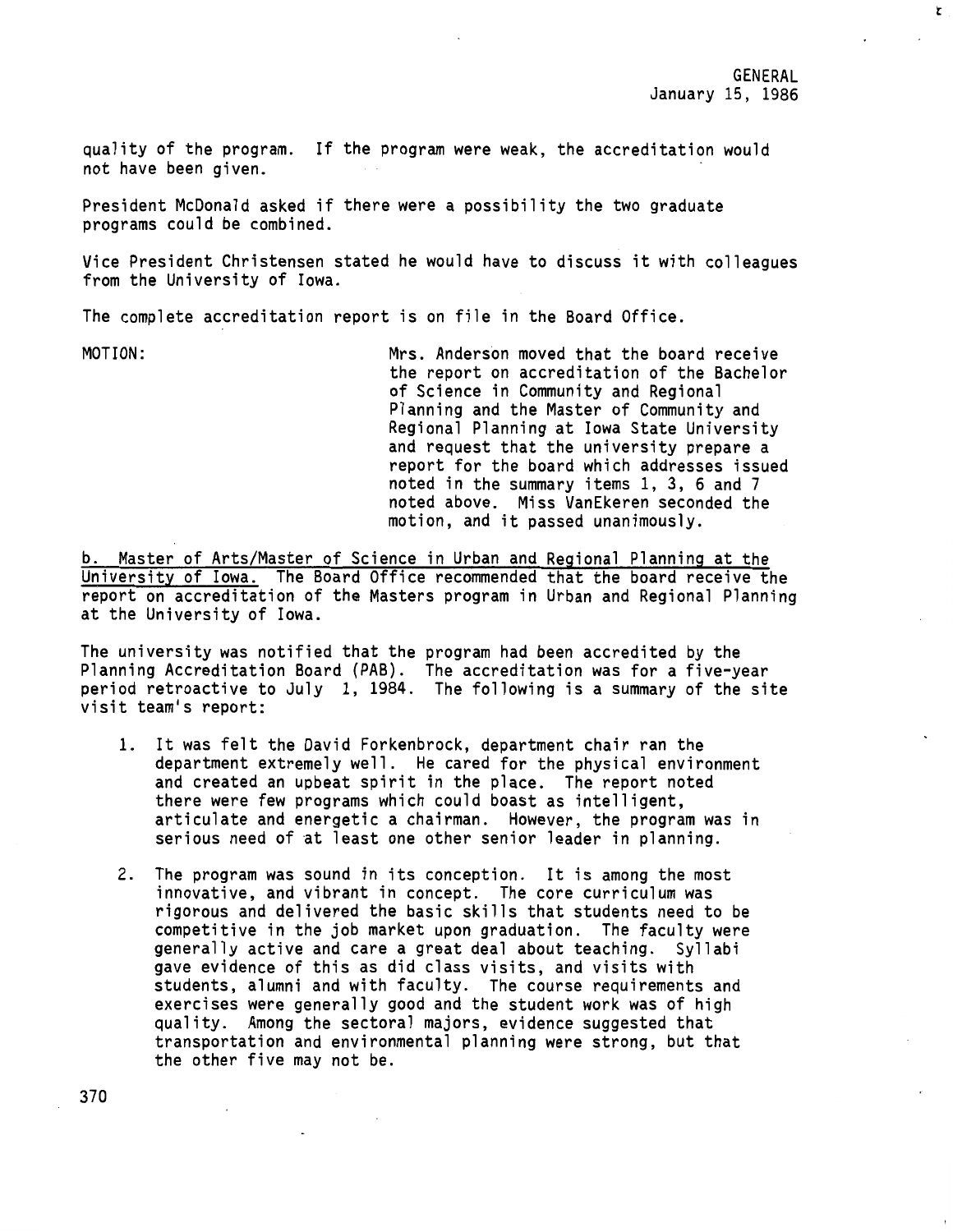t

quality of the program. If the program were weak, the accreditation would not have been given.

President McDonald asked if there were a possibility the two graduate programs could be combined.

Vice President Christensen stated he would have to discuss it with colleagues from the University of Iowa.

The complete accreditation report is on file in the Board Office.

MOTION: Mrs. Anderson moved that the board receive the report on accreditation of the Bachelor of Science in Community and Regional Planning and the Master of Community and Regional Planning at Iowa State University and request that the university prepare a report for the board which addresses issued noted in the summary items 1, 3, 6 and 7 noted above. Miss VanEkeren seconded the motion, and it passed unanimously.

b. Master of Arts/Master of Science in Urban and Regional Planning at the University of Iowa. The Board Office recommended that the board receive the report on accreditation of the Masters program in Urban and Regional Planning at the University of Iowa.

The university was notified that the program had been accredited by the Planning Accreditation Board (PAB). The accreditation was for a five-year period retroactive to July 1, 1984. The following is a summary of the site visit team's report:

- 1. It was felt the David Forkenbrock, department chair ran the department extremely well. He cared for the physical environment and created an upbeat spirit in the place. The report noted there were few programs which could boast as intelligent, articulate and energetic a chairman. However, the program was in serious need of at least one other senior leader in planning.
- 2. The program was sound in its conception. It is among the most innovative, and vibrant in concept. The core curriculum was rigorous and delivered the basic skills that students need to be competitive in the job market upon graduation. The faculty were generally active and care a great deal about teaching. Syllabi gave evidence of this as did class visits, and visits with students, alumni and with faculty. The course requirements and exercises were generally good and the student work was of high quality. Among the sectoral majors, evidence suggested that transportation and environmental planning were strong, but that the other five may not be.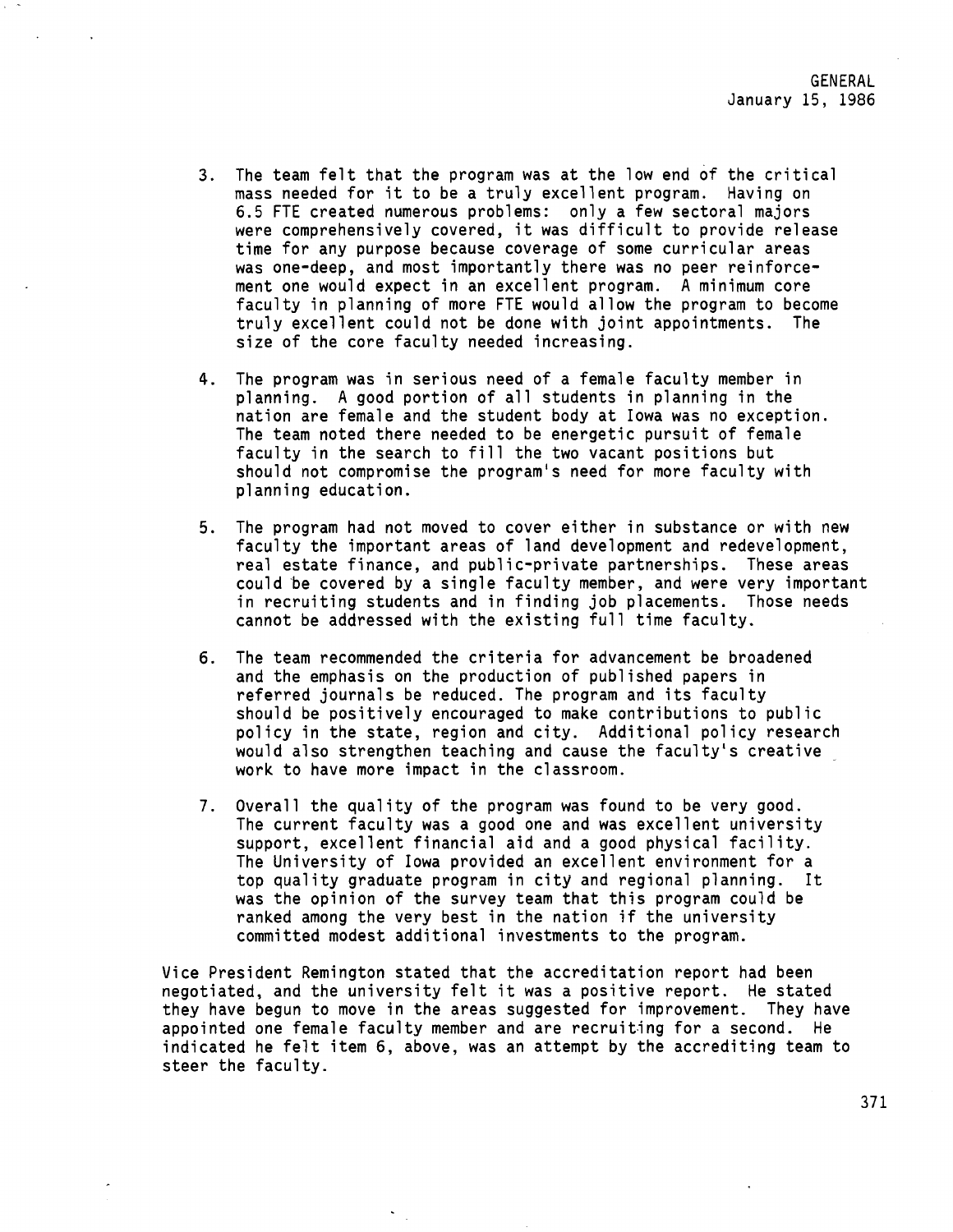- 3. The team felt that the program was at the low end of the critical mass needed for it to be a truly excellent program. Having on 6.5 FTE created numerous problems: only a few sectoral majors were comprehensively covered, it was difficult to provide release time for any purpose because coverage of some curricular areas was one-deep, and most importantly there was no peer reinforcement one would expect in an excellent program. A minimum core faculty in planning of more FTE would allow the program to become truly excellent could not be done with joint appointments. The size of the core faculty needed increasing.
- 4. The program was in serious need of a female faculty member in planning. A good portion of all students in planning in the nation are female and the student body at Iowa was no exception. The team noted there needed to be energetic pursuit of female faculty in the search to fill the two vacant positions but should not compromise the program's need for more faculty with planning education.
- 5. The program had not moved to cover either in substance or with new faculty the important areas of land development and redevelopment, real estate finance, and public-private partnerships. These areas could be covered by a single faculty member, and were very important in recruiting students and in finding job placements. Those needs cannot be addressed with the existing full time faculty.
- 6. The team recommended the criteria for advancement be broadened and the emphasis on the production of published papers in referred journals be reduced. The program and its faculty should be positively encouraged to make contributions to public policy in the state, region and city. Additional policy research would also strengthen teaching and cause the faculty's creative work to have more impact in the classroom.
- 7. Overall the quality of the program was found to be very good. The current faculty was a good one and was excellent university support, excellent financial aid and a good physical facility. The University of Iowa provided an excellent environment for a top quality graduate program in city and regional planning. It was the opinion of the survey team that this program could be ranked among the very best in the nation if the university committed modest additional investments to the program.

Vice President Remington stated that the accreditation report had been negotiated, and the university felt it was a positive report. He stated they have begun to move in the areas suggested for improvement. They have appointed one female faculty member and are recruiting for a second. He indicated he felt item 6, above, was an attempt by the accrediting team to steer the faculty.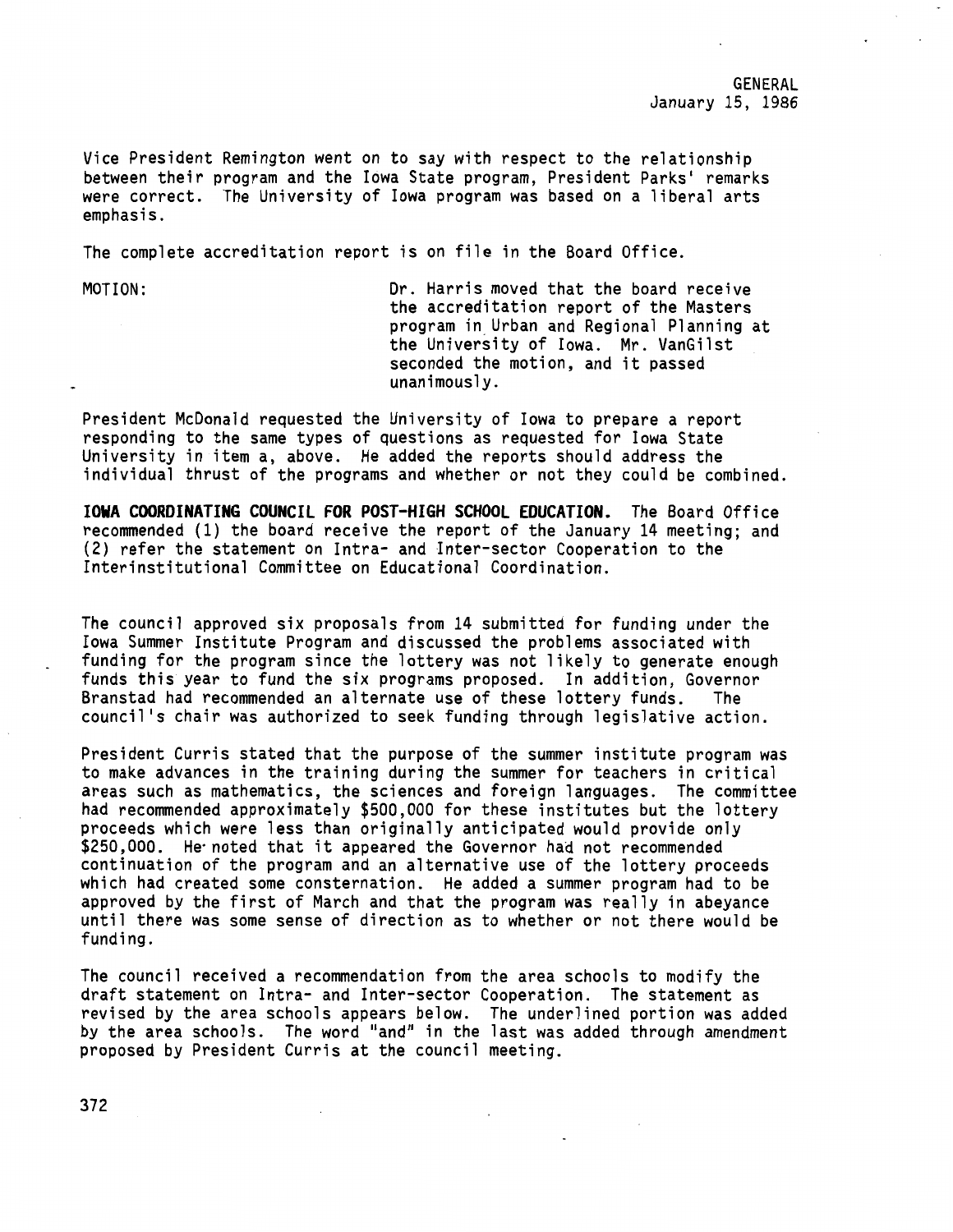GENERAL January 15, 1986

Vice President Remington went on to say with respect to the relationship between their program and the Iowa State program, President Parks' remarks were correct. The University of Iowa program was based on a liberal arts emphasis.

The complete accreditation report is on file in the Board Office.

MOTION: Dr. Harris moved that the board receive the accreditation report of the Masters program in Urban and Regional Planning at the University of Iowa. Mr. VanGilst seconded the motion, and it passed unanimously.

President McDonald requested the University of Iowa to prepare a report responding to the same types of questions as requested for Iowa State University in item a, above. He added the reports should address the individual thrust of the programs and whether or not they could be combined.

**IOWA COORDINATING COUNCIL FOR POST-HIGH SCHOOL EDUCATION.** The Board Office recommended (1) the board receive the report of the January 14 meeting; and (2) refer the statement on Intra- and Inter-sector Cooperation to the Interinstitutional Committee on Educational Coordination.

The council approved six proposals from 14 submitted for funding under the Iowa Summer Institute Program and discussed the problems associated with funding for the program since the lottery was not likely to generate enough funds this year to fund the six programs proposed. In addition, Governor Branstad had recommended an alternate use of these lottery funds. The council <sup>1</sup> s chair was authorized to seek funding through legislative action.

President Curris stated that the purpose of the summer institute program was to make advances in the training during the summer for teachers in critical areas such as mathematics, the sciences and foreign languages. The committee had recommended approximately \$500,000 for these institutes but the lottery<br>proceeds which were less than originally anticipated would provide only \$250,000. He noted that it appeared the Governor had not recommended continuation of the program and an alternative use of the lottery proceeds which had created some consternation. He added a summer program had to be approved by the first of March and that the program was really in abeyance until there was some sense of direction as to whether or not there would be funding.

The council received a recommendation from the area schools to modify the draft statement on Intra- and Inter-sector Cooperation. The statement as revised by the area schools appears below. The underlined portion was added by the area schools. The word "and" in the last was added through amendment proposed by President Curris at the council meeting.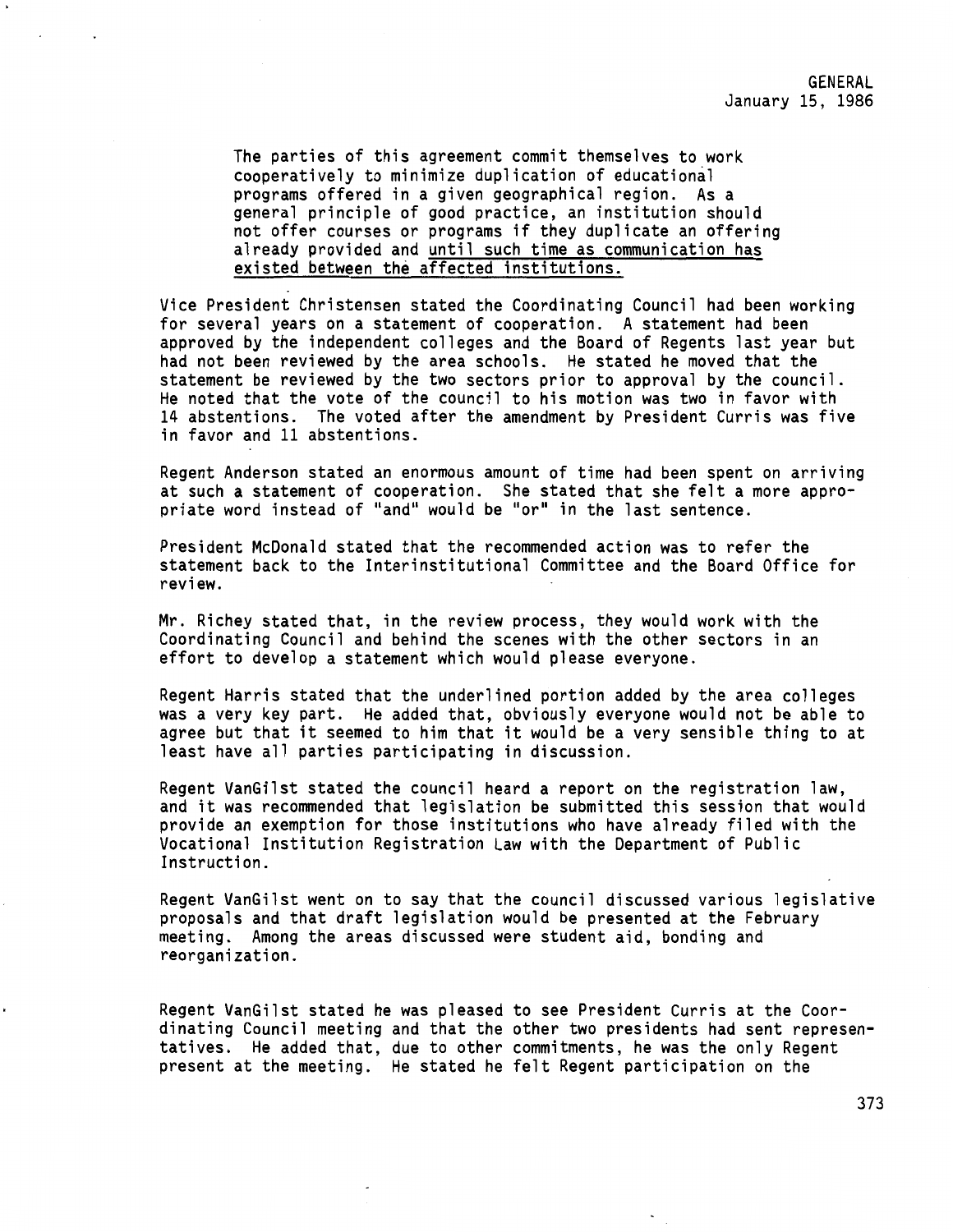The parties of this agreement commit themselves to work cooperatively to minimize duplication of educational programs offered in a given geographical region. As a general principle of good practice, an institution should not offer courses or programs if they duplicate an offering already provided and until such time as communication has existed between the affected institutions.

Vice President Christensen stated the Coordinating Council had been working for several years on a statement of cooperation. A statement had been approved by the independent colleges and the Board of Regents last year but had not been reviewed by the area schools. He stated he moved that the statement be reviewed by the two sectors prior to approval by the council. He noted that the vote of the council to his motion was two in favor with 14 abstentions. The voted after the amendment by President Curris was five in favor and 11 abstentions.

Regent Anderson stated an enormous amount of time had been spent on arriving at such a statement of cooperation. She stated that she felt a more appropriate word instead of ''and" would be "or" in the last sentence.

President McDonald stated that the recommended action was to refer the statement back to the Interinstitutional Committee and the Board Office for review.

Mr. Richey stated that, in the review process, they would work with the Coordinating Council and behind the scenes with the other sectors in an effort to develop a statement which would please everyone.

Regent Harris stated that the underlined portion added by the area colleges was a very key part. He added that, obviously everyone would not be able to agree but that it seemed to him that it would be a very sensible thing to at least have all parties participating in discussion.

Regent VanGilst stated the council heard a report on the registration law, and it was recommended that legislation be submitted this session that would provide an exemption for those institutions who have already filed with the Vocational Institution Registration Law with the Department of Public Instruction.

Regent VanGilst went on to say that the council discussed various legislative proposals and that draft legislation would be presented at the February meeting. Among the areas discussed were student aid, bonding and reorganization.

Regent VanGilst stated he was pleased to see President Curris at the Coordinating Council meeting and that the other two presidents had sent representatives. He added that, due to other commitments, he was the only Regent present at the meeting. He stated he felt Regent participation on the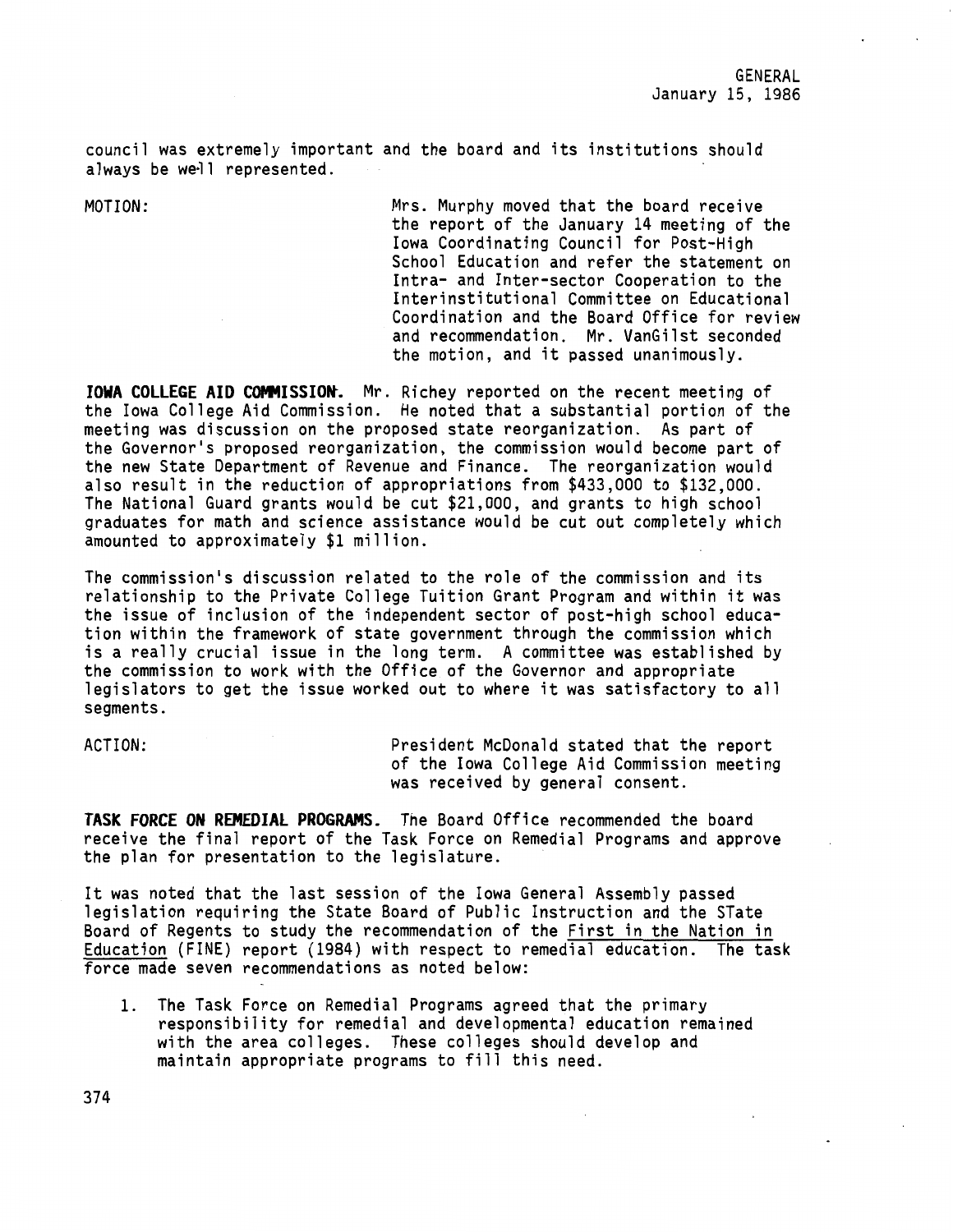council was extremely important and the board and its institutions should always be well represented.

MOTION: Mrs. Murphy moved that the board receive the report of the January 14 meeting of the **Iowa** Coordinating Council for Post-High School Education and refer the statement on Intra- and Inter-sector Cooperation to the Interinstitutional Committee on Educational Coordination and the Board Office for review and recommendation. Mr. VanGilst seconded the motion, and it passed unanimously.

**IOWA COLLEGE AID COMMISSION.** Mr. Richey reported on the recent meeting of the Iowa College Aid Commission. He noted that a substantial portion of the meeting was discussion on the proposed state reorganization. As part of the Governor's proposed reorganization, the commission would become part of the new State Department of Revenue and Finance. The reorganization would also result in the reduction of appropriations from \$433,000 to \$132,000. The National Guard grants would be cut \$21,000, and grants to high school graduates for math and science assistance would be cut out completely which amounted to approximately \$1 million.

The commission's discussion related to the role of the commission and its relationship to the Private College Tuition Grant Program and within it was the issue of inclusion of the independent sector of post-high school education within the framework of state government through the commission which is a really crucial issue in the long term. A committee was established by the commission to work with the Office of the Governor and appropriate legislators to get the issue worked out to where it was satisfactory to all segments.

ACTION: President McDonald stated that the report of the Iowa College Aid Commission meeting was received by general consent.

**TASK FORCE ON REMEDIAL PROGRAMS.** The Board Office recommended the board receive the final report of the Task Force on Remedial Programs and approve the plan for presentation to the legislature.

It was noted that the last session of the Iowa General Assembly passed legislation requiring the State Board of Public Instruction and the STate Board of Regents to study the recommendation of the First in the Nation in Education (FINE) report (1984) with respect to remedial education. The task force made seven recommendations as noted below:

1. The Task Force on Remedial Programs agreed that the primary responsibility for remedial and developmental education remained with the area colleges. These colleges should develop and maintain appropriate programs to fill this need.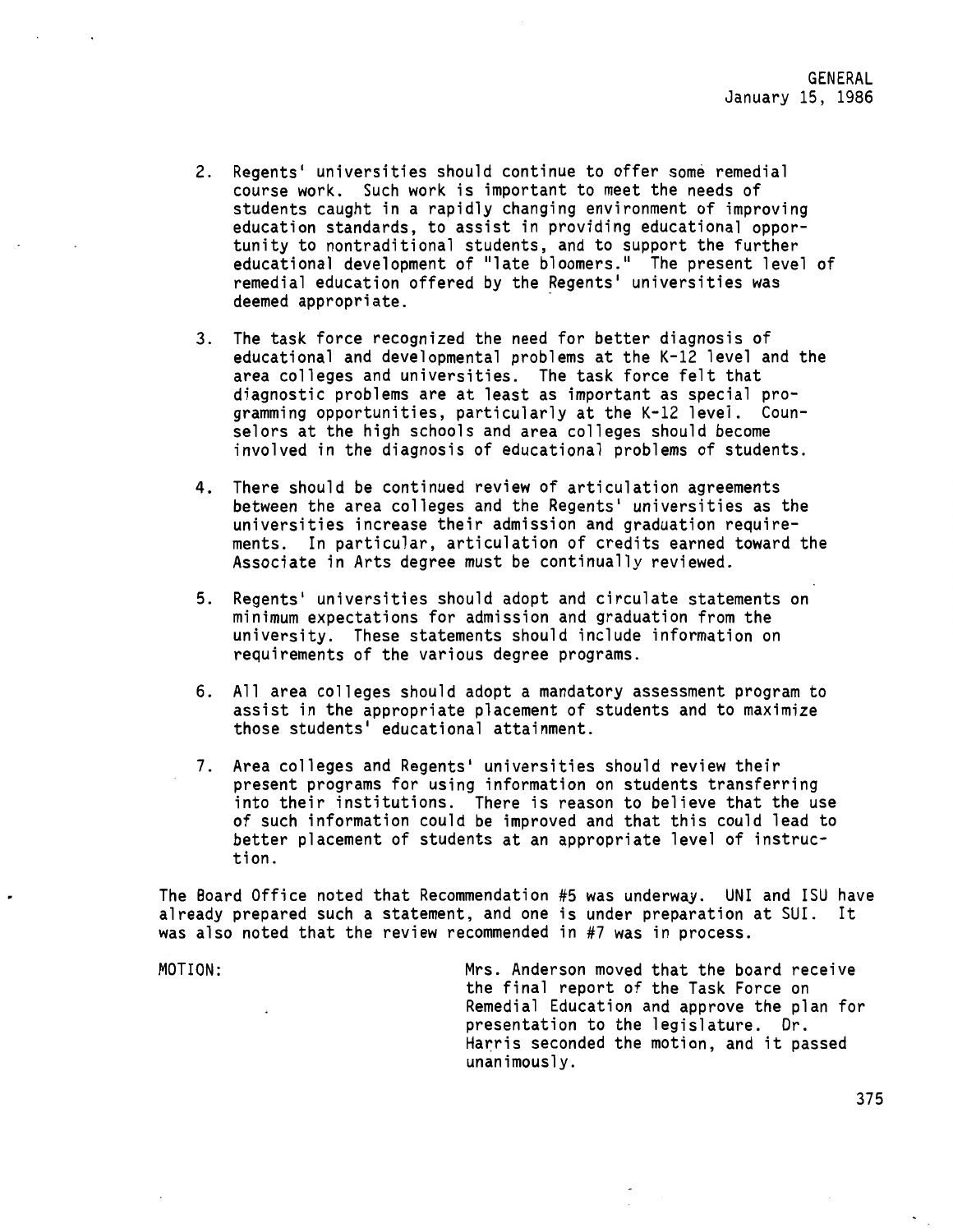- 2. Regents' universities should continue to offer some remedial course work. Such work is important to meet the needs of students caught in a rapidly changing environment of improving education standards, to assist in providing educational opportunity to nontraditional students, and to support the further educational development of "late bloomers." The present level of remedial education offered by the Regents' universities was deemed appropriate.
- 3. The task force recognized the need for better diagnosis of educational and developmental problems at the K-12 level and the area colleges and universities. The task force felt that diagnostic problems are at least as important as special programming opportunities, particularly at the K-12 level. Counselors at the high schools and area colleges should become involved in the diagnosis of educational problems of students.
- 4. There should be continued review of articulation agreements between the area colleges and the Regents' universities as the universities increase their admission and graduation requirements. In particular, articulation of credits earned toward the Associate in Arts degree must be continually reviewed.
- 5. Regents• universities should adopt and circulate statements on minimum expectations for admission and graduation from the university. These statements should include information on requirements of the various degree programs.
- 6. All area colleges should adopt a mandatory assessment program to assist in the appropriate placement of students and to maximize those students• educational attainment.
- 7. Area colleges and Regents' universities should review their present programs for using information on students transferring into their institutions. There is reason to believe that the use of such information could be improved and that this could lead to better placement of students at an appropriate level of instruction.

The Board Office noted that Recommendation #5 was underway. UNI and ISU have already prepared such a statement, and one is under preparation at SUI. It was also noted that the review recommended in #7 was in process.

MOTION: Mrs. Anderson moved that the board receive the final report of the Task Force on Remedial Education and approve the plan for presentation to the legislature. Dr. Harris seconded the motion, and it passed unanimously.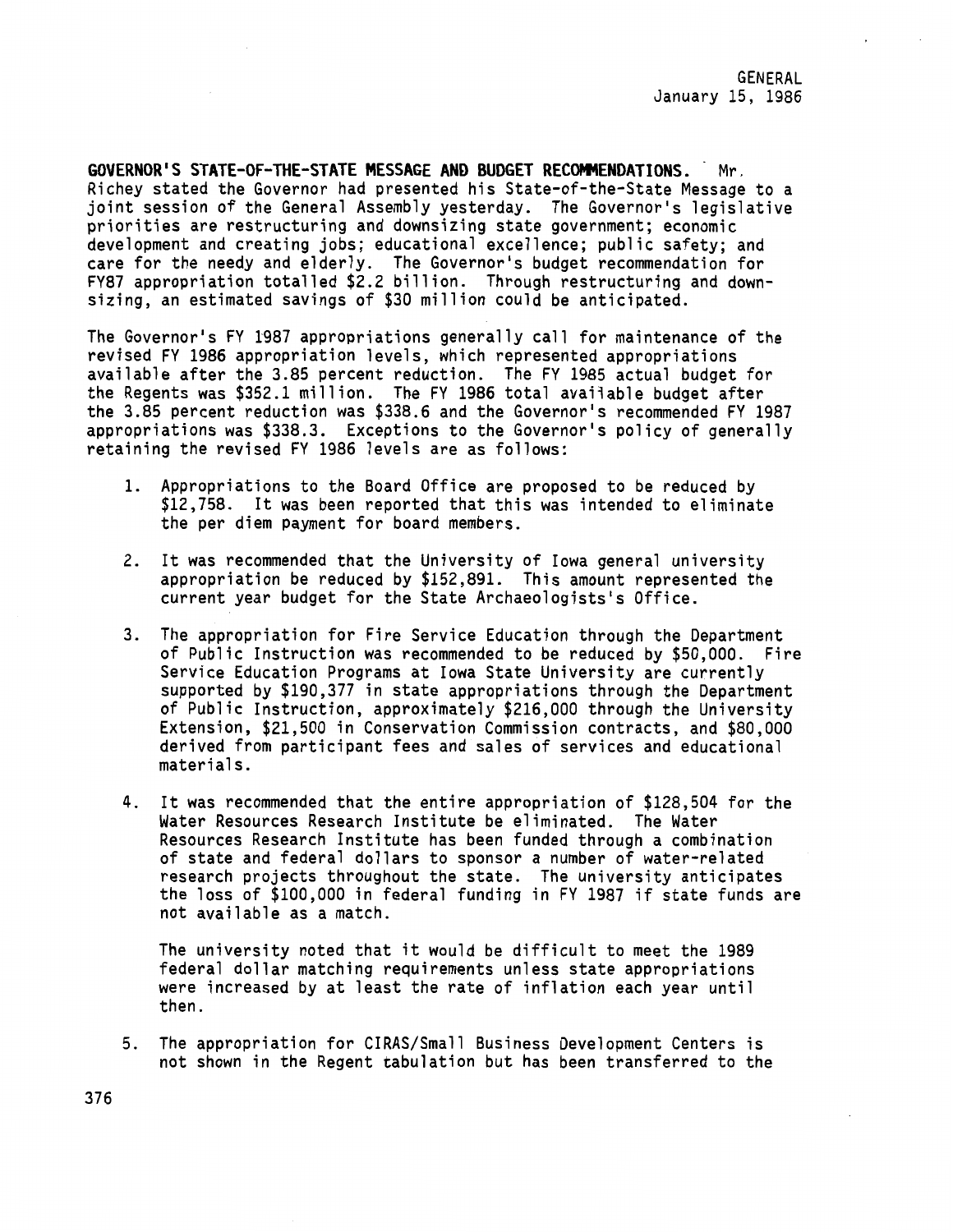**GOVERNOR'S STATE-OF-THE-STATE MESSAGE AND BUDGET RECOMMENDATIONS.** Mr. Richey stated the Governor had presented his State-of-the-State Message to a joint session of the General Assembly yesterday. The Governor's legislative priorities are restructuring and downsizing state government; economic development and creating jobs; educational excellence; public safety; and care for the needy and elderly. The Governor's budget recommendation for FY87 appropriation totalled \$2.2 billion. Through restructuring and downsizing, an estimated savings of \$30 million could be anticipated.

The Governor's FY 1987 appropriations generally call for maintenance of the revised FY 1986 appropriation levels, which represented appropriations available after the 3.85 percent reduction. The FY 1985 actual budget for the Regents was \$352.1 million. The FY 1986 total available budget after the 3.85 percent reduction was \$338.6 and the Governor's recommended FY 1987 appropriations was \$338.3. Exceptions to the Governor's policy of generally retaining the revised FY 1986 levels are as follows:

- 1. Appropriations to the Board Office are proposed to be reduced by \$12,758. It was been reported that this was intended to eliminate the per diem payment for board members.
- 2. It was recommended that the University of Iowa general university appropriation be reduced by \$152,891. This amount represented the current year budget for the State Archaeologists's Office.
- 3. The appropriation for Fire Service Education through the Department of Public Instruction was recommended to be reduced by \$50,000. Fire Service Education Programs at Iowa State University are currently supported by \$190,377 in state appropriations through the Department of Public Instruction, approximately \$216,000 through the University Extension, \$21,500 in Conservation Commission contracts, and \$80,000 derived from participant fees and sales of services and educational materials.
- 4. It was recommended that the entire appropriation of \$128,504 for the Water Resources Research Institute be eliminated. The Water Resources Research Institute has been funded through a combination of state and federal dollars to sponsor a number of water-related research projects throughout the state. The university anticipates the loss of \$100,000 in federal funding in FY 1987 if state funds are not available as a match.

The university noted that it would be difficult to meet the 1989 federal dollar matching requirements unless state appropriations were increased by at least the rate of inflation each year until then.

5. The appropriation for CIRAS/Small Business Development Centers is not shown in the Regent tabulation but has been transferred to the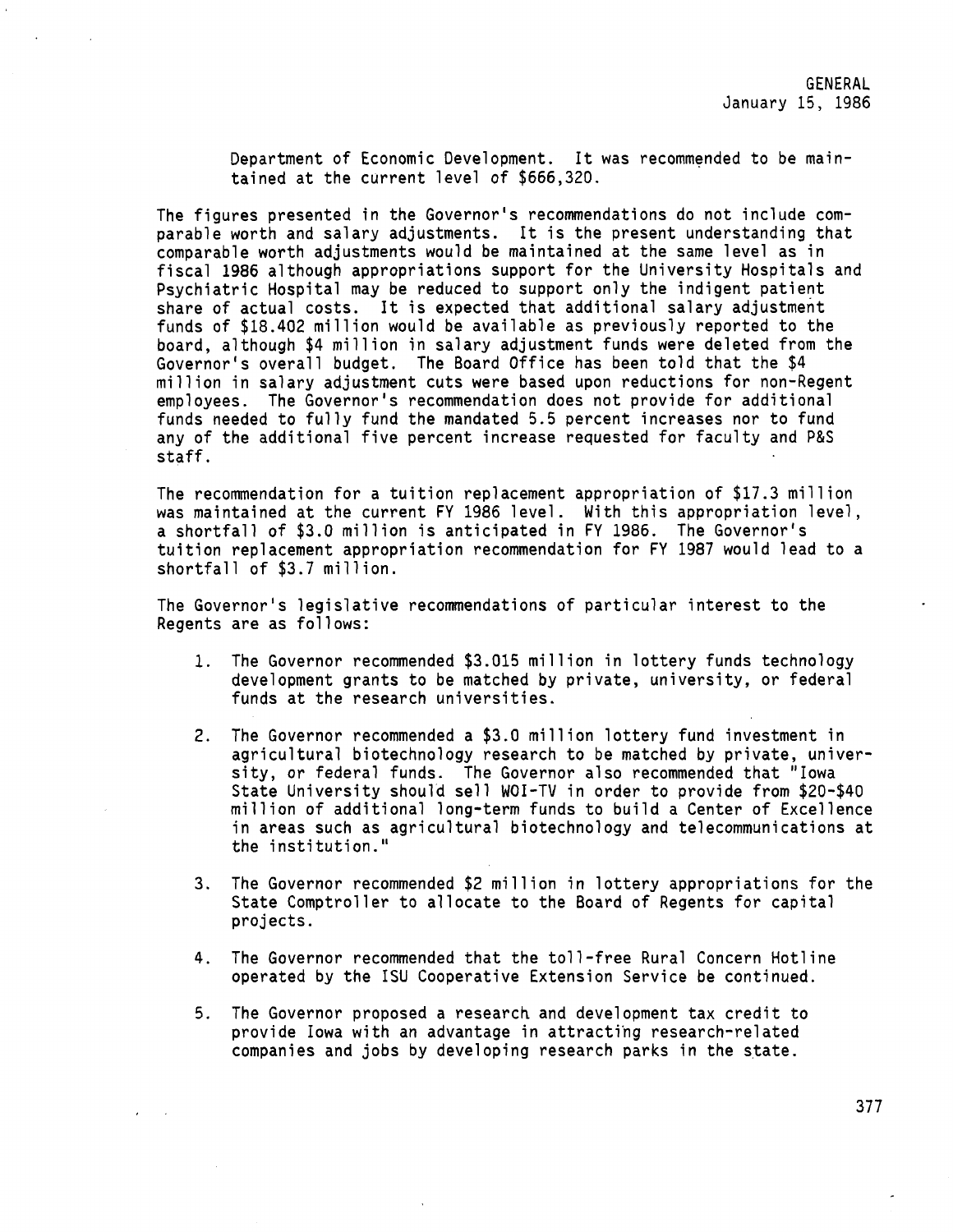Department of Economic Development. It was recommended to be maintained at the current level of \$666,320.

The figures presented in the Governor's recommendations do not include comparable worth and salary adjustments. It is the present understanding that comparable worth adjustments would be maintained at the same level as in fiscal 1986 although appropriations support for the University Hospitals and Psychiatric Hospital may be reduced to support only the indigent patient share of actual costs. It is expected that additional salary adjustment funds of \$18.402 million would be available as previously reported to the board, although \$4 million in salary adjustment funds were deleted from the Governor's overall budget. The Board Office has been told that the \$4 million in salary adjustment cuts were based upon reductions for non-Regent employees. The Governor's recommendation does not provide for additional funds needed to fully fund the mandated 5.5 percent increases nor to fund any of the additional five percent increase requested for faculty and P&S staff.

The recommendation for a tuition replacement appropriation of \$17.3 million was maintained at the current FY 1986 level. With this appropriation level, a shortfall of \$3.0 million is anticipated in FY 1986. The Governor's tuition replacement appropriation recommendation for FY 1987 would lead to a shortfall of \$3.7 million.

The Governor's legislative recommendations of particular interest to the Regents are as follows:

- 1. The Governor recommended \$3.015 million in lottery funds technology development grants to be matched by private, university, or federal funds at the research universities.
- 2. The Governor recommended a \$3.0 million lottery fund investment in agricultural biotechnology research to be matched by private, university, or federal funds. The Governor also recommended that "Iowa State University should sell WOI-TV in order to provide from \$20-\$40 million of additional long-term funds to build a Center of Excellence in **areas** such as agricultural biotechnology and telecommunications at the institution."
- 3. The Governor recommended \$2 million in lottery appropriations for the State Comptroller to allocate to the Board of Regents for capital projects.
- 4. The Governor recommended that the toll-free Rural Concern Hotline operated by the !SU Cooperative Extension Service be continued.
- 5. The Governor proposed a research and development tax credit to provide Iowa with an advantage in attractihg research-related companies and jobs by developing research parks in the state.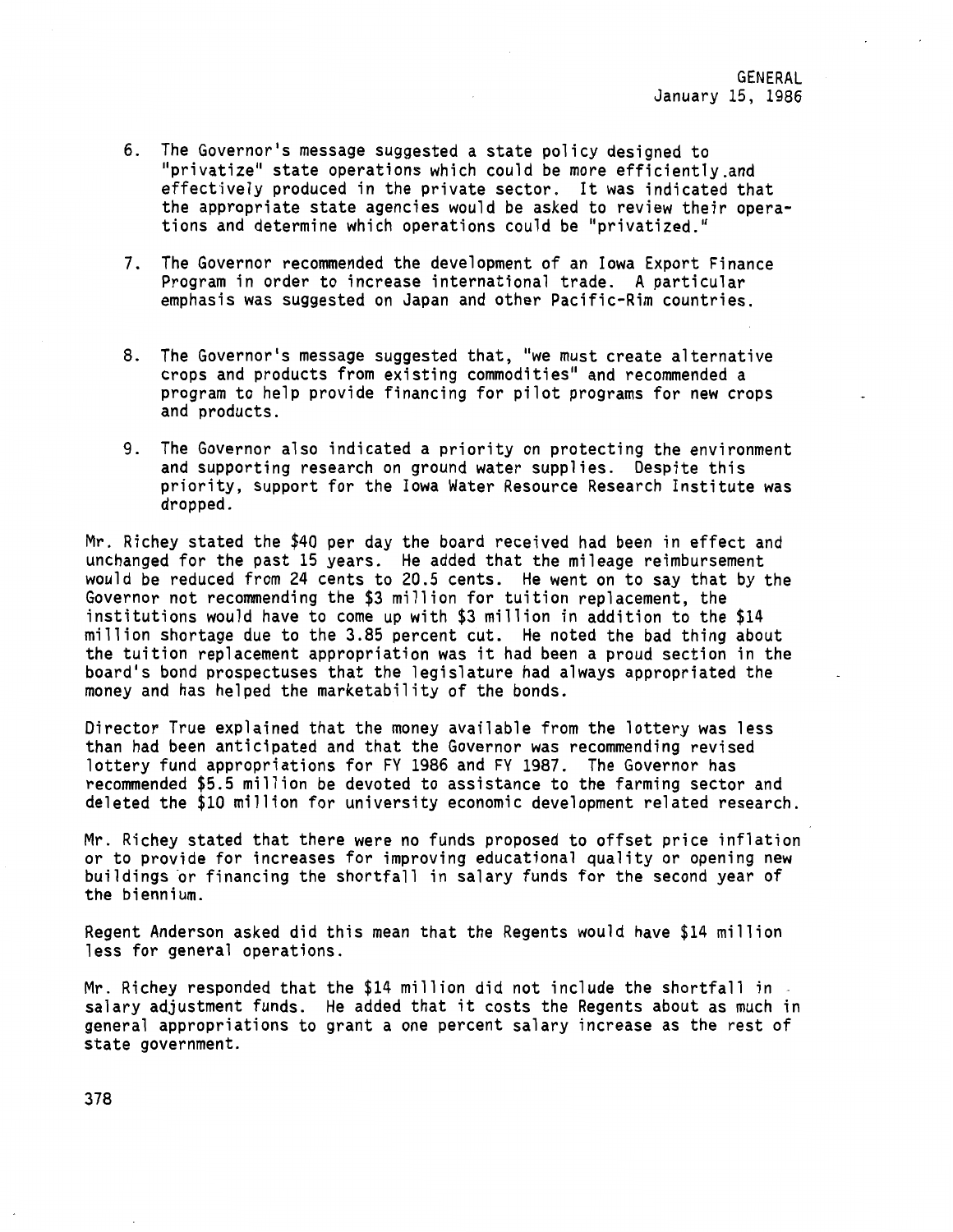- 6. The Governor's message suggested a state policy designed to "privatize" state operations which could be more efficiently.and effectively produced in the private sector. It was indicated that the appropriate state agencies would be asked to review their operations and determine which operations could be "privatized."
- 7. The Governor recommended the development of an Iowa Export Finance Program in order to increase international trade. A particular emphasis was suggested on Japan and other Pacific-Rim countries.
- 8. The Governor's message suggested that, "we must create alternative crops and products from existing commodities" and recommended a program to help provide financing for pilot programs for new crops and products.
- 9. The Governor also indicated a priority on protecting the environment and supporting research on ground water supplies. Despite this priority, support for the Iowa Water Resource Research Institute was dropped.

Mr. Richey stated the \$40 per day the board received had been in effect and unchanged for the past 15 years. He added that the mileage reimbursement would be reduced from 24 cents to 20.5 cents. He went on to say that by the Governor not recommending the \$3 million for tuition replacement, the institutions would have to come up with \$3 million in addition to the \$14 million shortage due to the 3.85 percent cut. He noted the bad thing about the tuition replacement appropriation was it had been a proud section in the board's bond prospectuses that the legislature had always appropriated the money and has helped the marketability of the bonds.

Director True explained that the money available from the lottery was less than had been anticipated and that the Governor was recommending revised lottery fund appropriations for FY 1986 and FY 1987. The Governor has recommended \$5.5 million be devoted to assistance to the farming sector and deleted the \$10 million for university economic development related research.

Mr. Richey stated that there were no funds proposed to offset price inflation or to provide for increases for improving educational quality or opening new buildings or financing the shortfall in salary funds for the second year of the biennium.

Regent Anderson asked did this mean that the Regents would have \$14 million less for general operations.

Mr. Richey responded that the \$14 million did not include the shortfall in -<br>salary adjustment funds. He added that it costs the Regents about as much in general appropriations to grant a one percent salary increase as the rest of state government.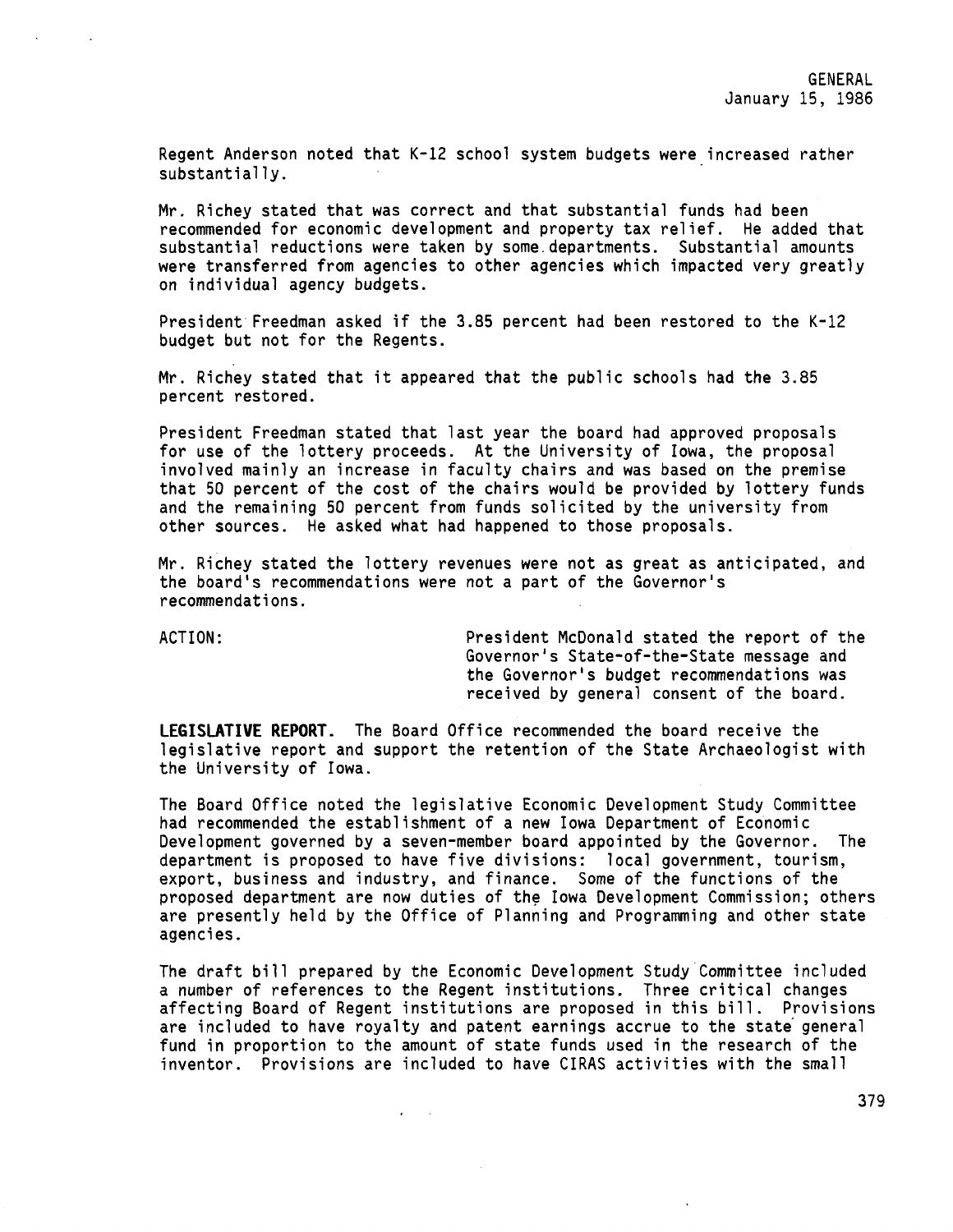Regent Anderson noted that K-12 school system budgets were increased rather substantially.

Mr. Richey stated that was correct and that substantial funds had been recommended for economic development and property tax relief. He added that substantial reductions were taken by some.departments. Substantial amounts were transferred from agencies to other agencies which impacted very greatly on individual agency budgets.

President Freedman asked if the 3.85 percent had been restored to the K-12 budget but not for the Regents.

Mr. Richey stated that it appeared that the public schools had the 3.85 percent restored.

President Freedman stated that last year the board had approved proposals for use of the lottery proceeds. At the University of Iowa, the proposal involved mainly an increase in faculty chairs and was based on the premise that 50 percent of the cost of the chairs would be provided by lottery funds and the remaining 50 percent from funds solicited by the university from other sources. He asked what had happened to those proposals.

Mr. Richey stated the lottery revenues were not as great as anticipated, and the board's recommendations **were** not a part of the Governor's recommendations.

ACTION: President McDonald stated the report of the Governor's State-of-the-State message and the Governor's budget recommendations was received by general consent of the board.

**LEGISLATIVE REPORT.** The Board Office recommended the board receive the legislative report and support the retention of the State Archaeologist with the University of Iowa.

The Board Office noted the legislative Economic Development Study Committee had recommended the establishment of a new Iowa Department of Economic Development governed by a seven-member board appointed by the Governor. The department is proposed to have five divisions: local government, tourism, export, business and industry, and finance. Some of the functions of the proposed department are now duties of the Iowa Development Commission; others are presently held by the Office of Planning and Programming and other state agencies.

The draft bill prepared by the Economic Development Study Committee included a number of references to the Regent institutions. Three critical changes affecting Board of Regent institutions are proposed in this bill. Provisions are included to have royalty and patent earnings accrue to the state general fund in proportion to the amount of state funds used in the research of the inventor. Provisions are included to have CIRAS activities with the small

 $\mathbf{z} = \mathbf{z} - \mathbf{z}$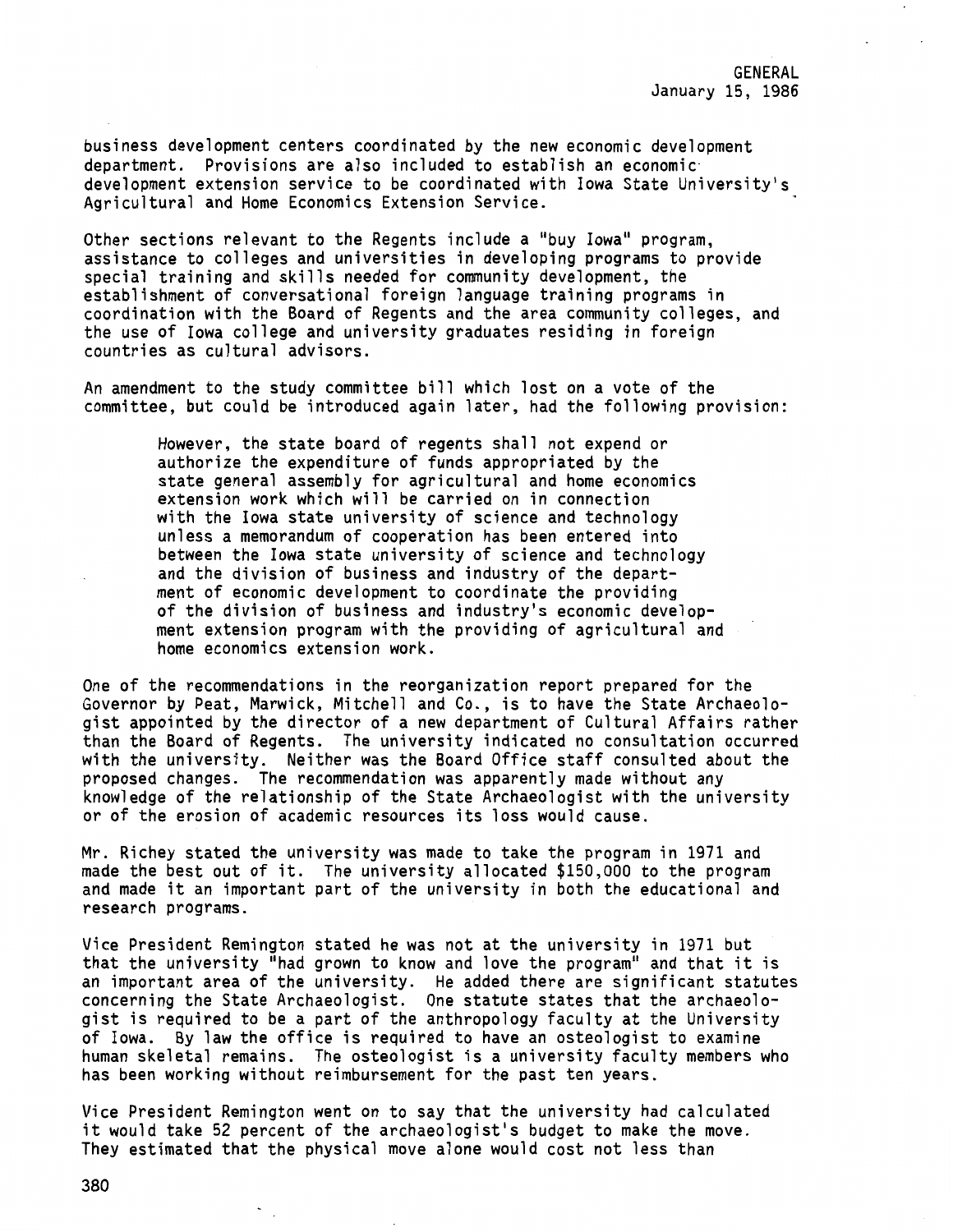business development centers coordinated by the new economic development department. Provisions are also included to establish an economic· development extension service to be coordinated with Iowa State University's Agricultural and Home Economics Extension Service.

Other sections relevant to the Regents include a "buy Iowa" program, assistance to colleges and universities in developing programs to provide special training and skills needed for community development, the establishment of conversational foreign language training programs in coordination with the Board of Regents and the area community colleges, and the use of Iowa college and university graduates residing in foreign countries as cultural advisors.

An amendment to the study committee bill which lost on a vote of the committee, but could be introduced again later, had the following provision:

> However, the state board of regents shall not expend or authorize the expenditure of funds appropriated by the state general assembly for agricultural and home economics extension work which will be carried on in connection with the Iowa state university of science and technology unless a memorandum of cooperation has been entered into between the Iowa state university of science and technology and the division of business and industry of the department of economic development to coordinate the providing of the division of business and industry's economic development extension program with the providing of agricultural and home economics extension work.

One of the recommendations in the reorganization report prepared for the Governor by Peat, Marwick, Mitchell and Co., is to have the State Archaeologist appointed by the director of a new department of Cultural Affairs rather than the Board of Regents. The university indicated no consultation occurred with the university. Neither was the Board Office staff consulted about the proposed changes. The recommendation was apparently made without any knowledge of the relationship of the State Archaeologist with the university or of the erosion of academic resources its loss would cause.

Mr. Richey stated the university was made to take the program in 1971 and made the best out of it. The university allocated \$150,000 to the program and made it an important part of the university in both the educational and research programs.

Vice President Remington stated he was not at the university in 1971 but that the university "had grown to know and love the program" and that it is an important area of the university. He added there are significant statutes concerning the State Archaeologist. One statute states that the archaeologist is required to be a part of the anthropology faculty at the University of Iowa. By law the office is required to have an osteologist to examine human skeletal remains. The osteologist is a university faculty members who has been working without reimbursement for the past ten years.

Vice President Remington went on to say that the university had calculated it would take 52 percent of the archaeologist's budget to make the move. They estimated that the physical move alone would cost not less than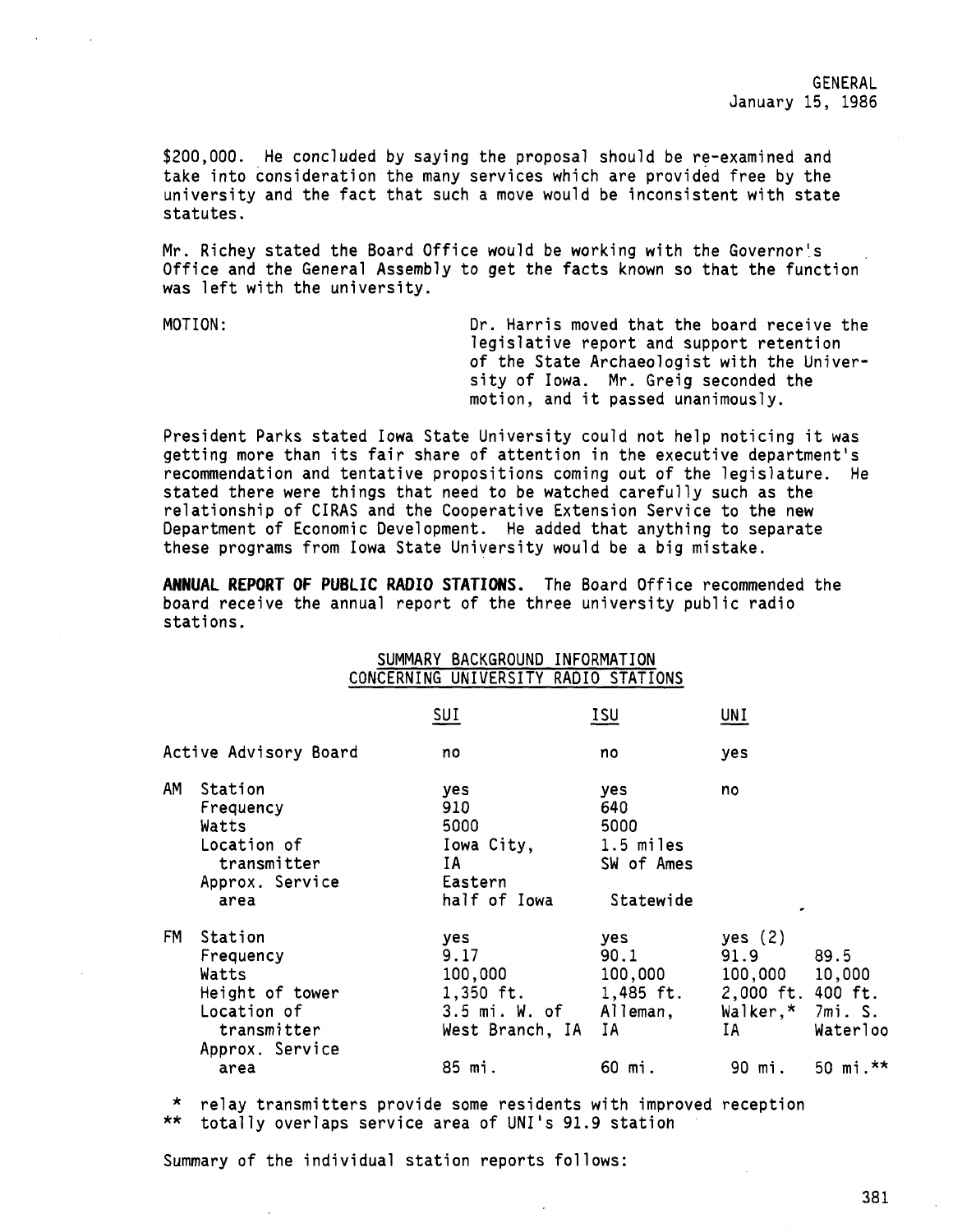\$200,000. He concluded by saying the proposal should be re-examined and take into consideration the many services which are provided free by the university and the fact that such a move would be inconsistent with state statutes.

Mr. Richey stated the Board Office would be working with the Governor's Office and the General Assembly to get the facts known so that the function was left with the university.

MOTION: Dr. Harris moved that the board receive the legislative report and support retention of the State Archaeologist with the University of Iowa. Mr. Greig seconded the motion, and it passed unanimously.

President Parks stated Iowa State University could not help noticing it was detting more than its fair share of attention in the executive department's recommendation and tentative propositions coming out of the legislature. He stated there were things that need to be watched carefully such as the relationship of CIRAS and the Cooperative Extension Service to the new Department of Economic Development. He added that anything to separate these programs from Iowa State University would be a big mistake.

**ANNUAL REPORT OF PUBLIC RADIO STATIONS.** The Board Office recommended the board receive the annual report of the three university public radio stations.

# SUMMARY BACKGROUND INFORMATION CONCERNING UNIVERSITY RADIO STATIONS

|           |                                                                                                           | <u>SUI</u>                                                                           | ISU                                                                | UNI                                                                            |                                                      |
|-----------|-----------------------------------------------------------------------------------------------------------|--------------------------------------------------------------------------------------|--------------------------------------------------------------------|--------------------------------------------------------------------------------|------------------------------------------------------|
|           | Active Advisory Board                                                                                     | no                                                                                   | no                                                                 | yes                                                                            |                                                      |
| AM        | Station<br>Frequency<br>Watts<br>Location of<br>transmitter<br>Approx. Service<br>area                    | yes.<br>910<br>5000<br>Iowa City,<br>IA<br>Eastern<br>half of Iowa                   | yes.<br>640<br>5000<br>1.5 miles<br>SW of Ames<br>Statewide        | no                                                                             |                                                      |
| <b>FM</b> | Station<br>Frequency<br>Watts<br>Height of tower<br>Location of<br>transmitter<br>Approx. Service<br>area | yes.<br>9.17<br>100,000<br>$1,350$ ft.<br>3.5 mi. W. of<br>West Branch, IA<br>85 mi. | yes<br>90.1<br>100,000<br>$1,485$ ft.<br>Alleman,<br>IA.<br>60 mi. | yes $(2)$<br>91.9<br>100,000<br>2,000 ft. 400 ft.<br>Walker,*<br>IA.<br>90 mi. | 89.5<br>10,000<br>7mi. S.<br>Waterloo<br>50 mi. $**$ |
|           |                                                                                                           |                                                                                      |                                                                    |                                                                                |                                                      |

\* relay transmitters provide some residents with improved reception \*\* totally overlaps service area of UNI's 91.9 station

Summary of the individual station reports follows: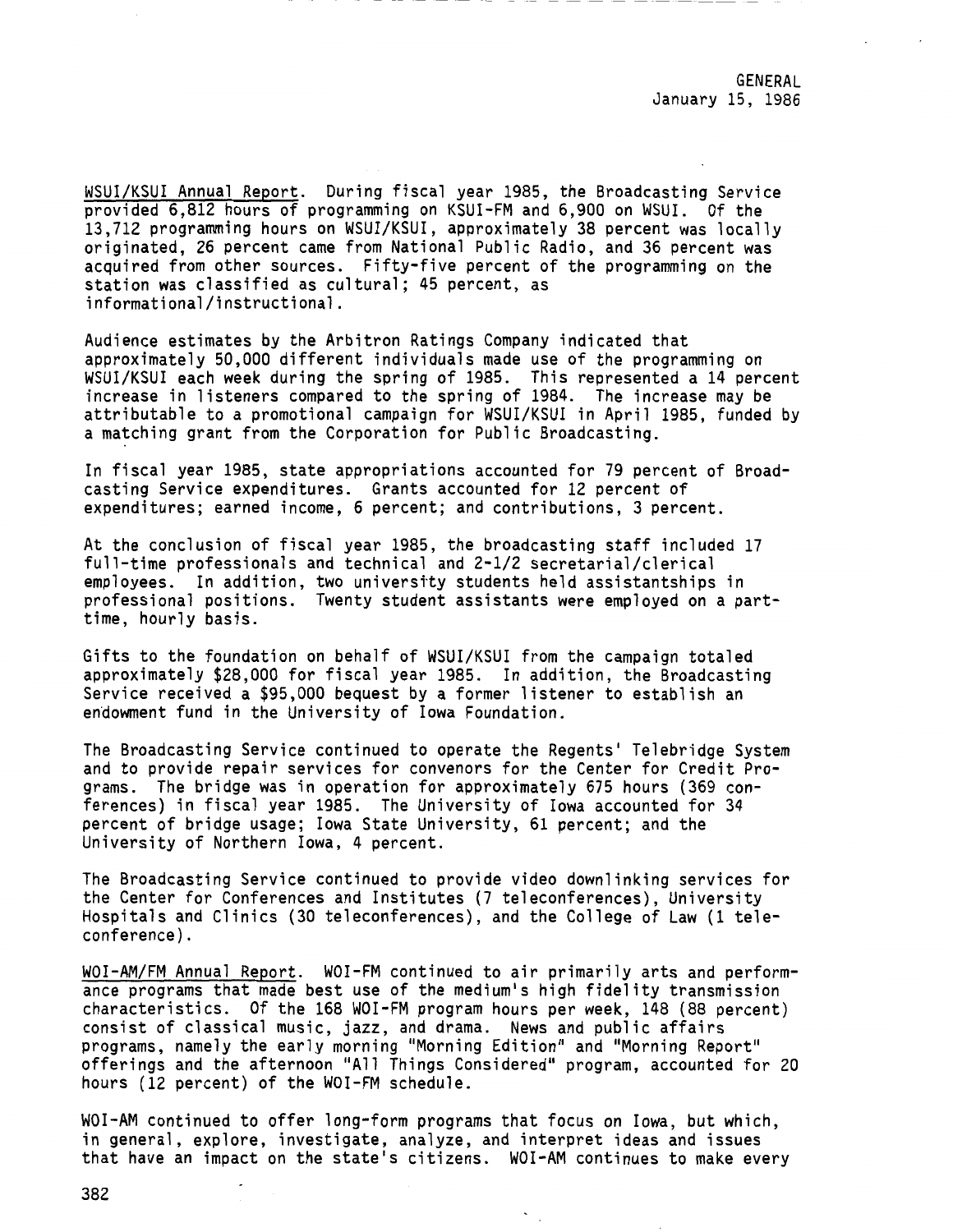WSUI/KSUI Annual Report. During fiscal year 1985, the Broadcasting Service provided 6,812 hours of programming on KSUI-FM and 6,900 on WSUI. Of the 13,712 programming hours on WSUI/KSUI, approximately 38 percent was locally originated, 26 percent came from National Public Radio, and 36 percent was acquired from other sources. Fifty-five percent of the programming on the station was classified as cultural; 45 percent, as informational/instructional.

Audience estimates by the Arbitron Ratings Company indicated that approximately 50,000 different individuals made use of the programming on WSUI/KSUI each week during the spring of 1985. This represented a 14 percent increase in listeners compared to the spring of 1984. The increase may be attributable to a promotional campaign for WSUI/KSUI in April 1985, funded by a matching grant from the Corporation for Public Broadcasting.

In fiscal year 1985, state appropriations accounted for 79 percent of Broadcasting Service expenditures. Grants accounted for 12 percent of expenditures; earned income, 6 percent; and contributions, 3 percent.

At the conclusion of fiscal year 1985, the broadcasting staff included 17 full-time professionals and technical and 2-1/2 secretarial/clerical employees. In addition, two universtty students held assistantships in professional positions. Twenty student assistants were employed on a parttime, hourly basis.

Gifts to the foundation on behalf of WSUI/KSUI from the campaign totaled approximately \$28,000 for fiscal year 1985. In addition, the Broadcasting Service received a \$95,000 bequest by a former listener to establish an endowment fund in the University of Iowa Foundation.

The Broadcasting Service continued to operate the Regents' Telebridge System and to provide repair services for conveners for the Center for Credit Programs. The bridge was in operation for approximately 675 hours (369 conferences) in fiscal year 1985. The University of Iowa accounted for 34 percent of bridge usage; Iowa State University, 61 percent; and the University of Northern Iowa, 4 percent.

The Broadcasting Service continued to provide video downlinking services for the Center for Conferences and Institutes (7 teleconferences), University Hospitals and Clinics (30 teleconferences), and the College of Law (1 teleconference) .

WOI-AM/FM Annual Report. WOI-FM continued to air primarily arts and performance programs that made best use of the medium's high fidelity transmission characteristics. Of the 168 WOI-FM program hours per week, 148 (88 percent) consist of classical music, jazz, and drama. News and public affairs programs, namely the early morning "Morning Edition" and "Morning Report" offerings and the afternoon "All Things Considered" program, accounted for 20 hours (12 percent) of the WOI-FM schedule.

WOI-AM continued to offer long-form programs that focus on Iowa, but which, in general, explore, investigate, analyze, and interpret ideas and issues that have an impact on the state's citizens. WOI-AM continues to make every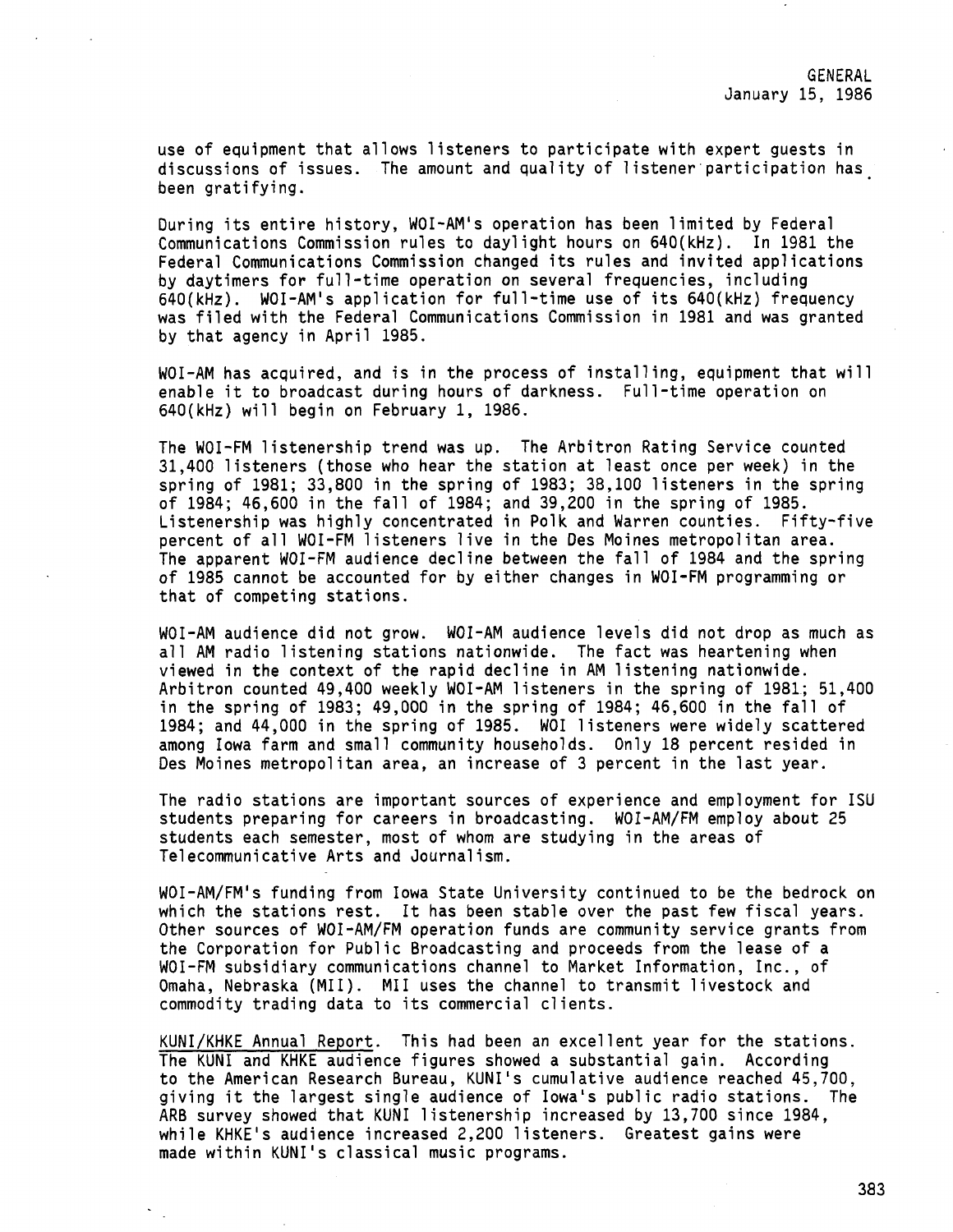use of equipment that allows listeners to participate with expert guests in discussions of issues. The amount and quality of listener·participation has been gratifying.

During its entire history, WOI-AM's operation has been limited by Federal Communications Commission rules to daylight hours on 640(kHz). In 1981 the Federal Communications Commission changed its rules and invited applications by daytimers for full-time operation on several frequencies, including 640(kHz). WOI-AM <sup>1</sup> s application for full-time use of its 640(kHz) frequency was filed with the Federal Communications Commission in 1981 and was granted by that agency in April 1985.

WOI-AM has acquired, and is in the process of installing, equipment that will enable it to broadcast during hours of darkness. Full-time operation on 640(kHz) will begin on February 1, 1986.

The WOI-FM listenership trend was up. The Arbitron Rating Service counted 31,400 listeners (those who hear the station at least once per week) in the spring of 1981; 33,800 in the spring of 1983; 38,100 listeners in the spring of 1984; 46,600 in the fall of 1984; and 39,200 in the spring of 1985. Listenership was highly concentrated in Polk and Warren counties. Fifty-five percent of all WOI-FM listeners live in the Des Moines metropolitan area. The apparent WOI-FM audience decline between the fall of 1984 and the spring of 1985 cannot be accounted for by either changes in WOI-FM programming or that of competing stations.

WOI-AM audience did not grow. WOI-AM audience levels did not drop as much as all AM radio listening stations nationwide. The fact was heartening when viewed in the context of the rapid decline in AM listening nationwide. Arbitron counted 49,400 weekly WOI-AM listeners in the spring of 1981; 51,400 in the spring of 1983; 49,000 in the spring of 1984; 46,600 in the fall of 1984; and 44,000 in the spring of 1985. WOI listeners were widely scattered among Iowa farm and small community households. Only 18 percent resided in Des Moines metropolitan area, an increase of 3 percent in the last year.

The radio stations are important sources of experience and employment for ISU students preparing for careers in broadcasting. WOI-AM/FM employ about 25 students each semester, most of whom are studying in the areas of Telecommunicative Arts and Journalism.

WOI-AM/FM's funding from Iowa State University continued to be the bedrock on which the stations rest. It has been stable over the past few fiscal years. Other sources of WOI-AM/FM operation funds are community service grants from the Corporation for Public Broadcasting and proceeds from the lease of a WOI-FM subsidiary communications channel to Market Information, Inc., of Omaha, Nebraska (MII). MII uses the channel to transmit livestock and commodity trading data to its commercial clients.

KUNI/KHKE Annual Report. This had been an excellent year for the stations. The KUNI and KHKE audience figures showed a substantial gain. According to the American Research Bureau, KUNI's cumulative audience reached 45,700, giving it the largest single audience of Iowa's public radio stations. The ARB survey showed that KUNI listenership increased by 13,700 since 1984, while KHKE's audience increased 2,200 listeners. Greatest gains were made within KUNI's classical music programs.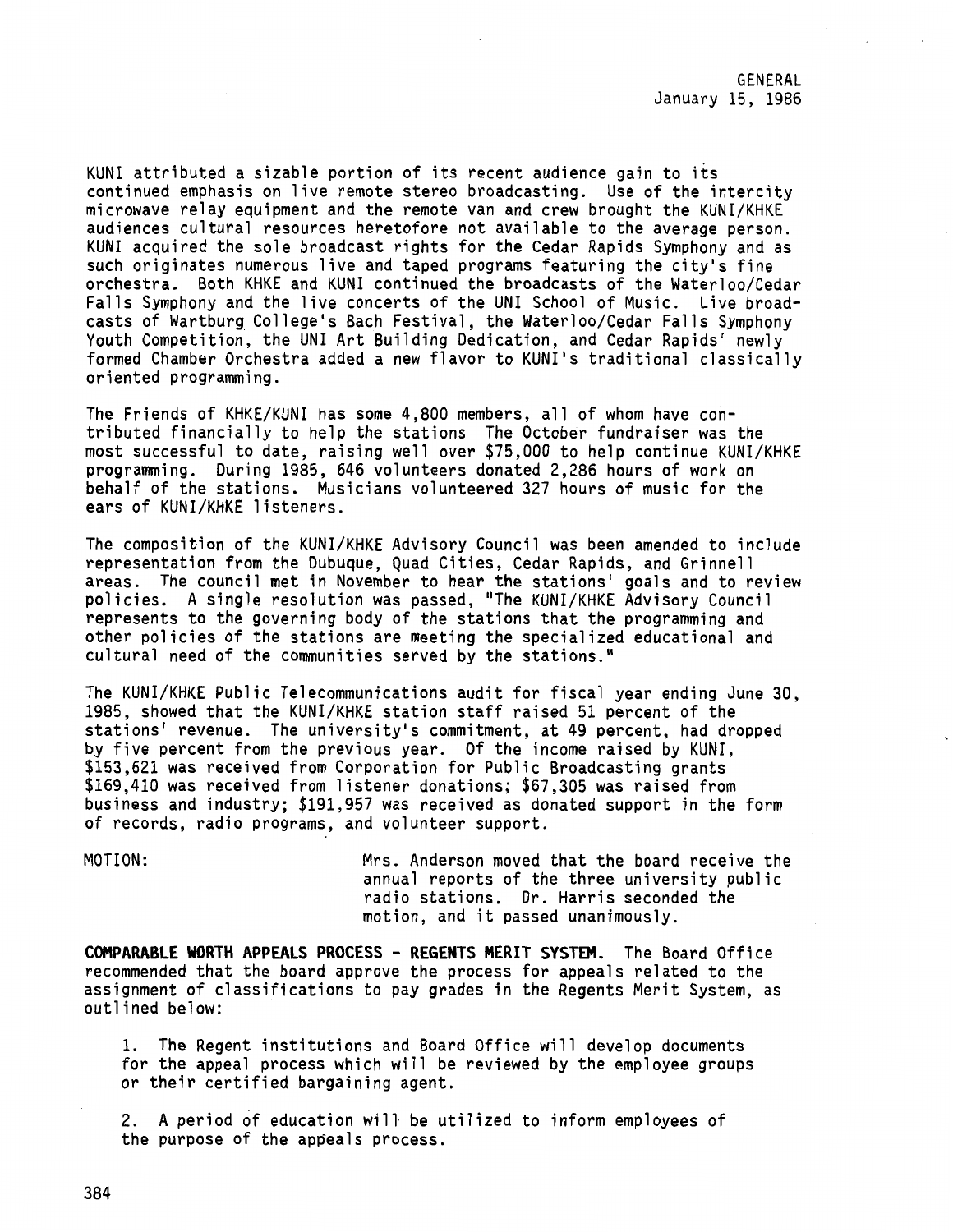KUNI attributed a sizable portion of its recent audience gain to its continued emphasis on live remote stereo broadcasting. Use of the intercity microwave relay equipment and the remote van and crew brought the KUNI/KHKE audiences cultural resources heretofore not available to the average person. KUNI acquired the sole broadcast rights for the Cedar Rapids Symphony and as such originates numerous live and taped programs featuring the city's fine orchestra. Both KHKE and KUNI continued the broadcasts of the Waterloo/Cedar Falls Symphony and the live concerts of the UNI School of Music. Live broadcasts of Wartburg\_ College's Bach Festival, the Waterloo/Cedar Falls Symphony Youth Competition, the UNI Art Building Dedication, and Cedar Rapids' newly formed Chamber Orchestra added a new flavor to KUNI's traditional classically oriented programming.

The Friends of KHKE/KUNI has some 4,800 members, all of whom have contributed financially to help the stations The October fundraiser was the most successful to date, raising well over \$75,000 to help continue KUNI/KHKE programming. During 1985, 646 volunteers donated 2,286 hours of work on behalf of the stations. Musicians volunteered 327 hours of music for the ears of KUNI/KHKE listeners.

The composition of the KUNI/KHKE Advisory Council was been amended to include representation from the Dubuque, Quad Cities, Cedar Rapids, and Grinnell areas. The council met in November to hear the stations' goals and to review policies. A single resolution was passed, "The KUNI/KHKE Advisory Council represents to the governing body of the stations that the programming and other policies of the stations are meeting the specialized educational and cultural need of the communities served by the stations."

The KUNI/KHKE Public Telecommunications audit for fiscal year ending June 30, 1985, showed that the KUNI/KHKE station staff raised 51 percent of the stations' revenue. The university's commitment, at 49 percent, had dropped by five percent from the previous year. Of the income raised by KUNI, \$153,621 was received from Corporation for Public Broadcasting grants \$169,410 was received from listener donations; \$67,305 was raised from business and industry; \$191,957 was received as donated support in the form of records, radio programs, and volunteer support.

MOTION: Mrs. Anderson moved that the board receive the annual reports of the three university public radio stations. Dr. Harris seconded the motion, and it passed unanimously.

**COMPARABLE WORTH APPEALS PROCESS - REGENTS MERIT SYSTEM.** The Board Office recommended that the board approve the process for appeals related to the assignment of classifications to pay grades in the Regents Merit System, as outlined below:

1. The Regent institutions and Board Office will develop documents for the appeal process which will be reviewed by the employee groups or their certified bargaining agent.

2. A period of education will be utilized to inform employees of the purpose of the appeals process.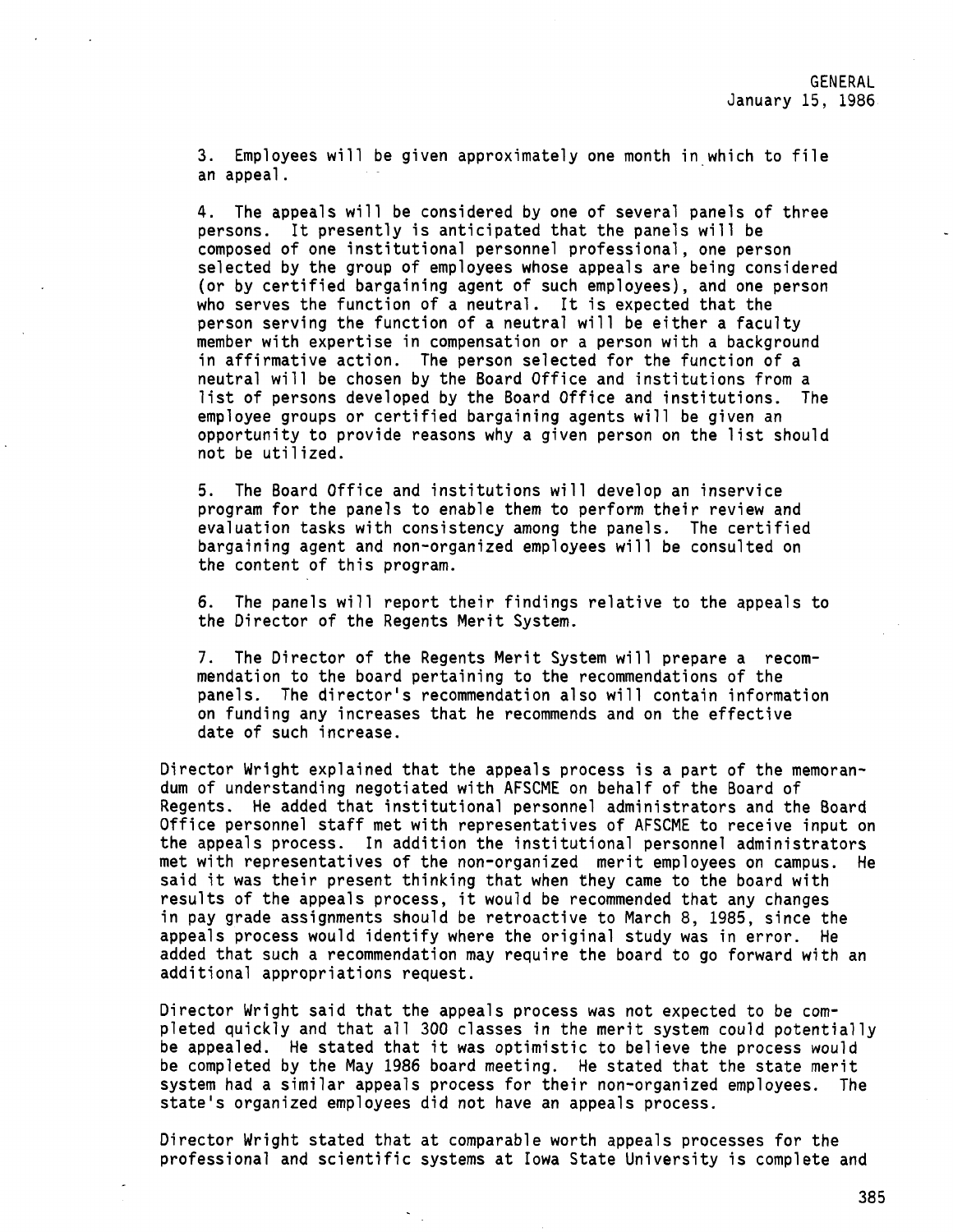3. Employees will be given approximately one month in which to file an appeal.

4. The appeals will be considered by one of several panels of three persons. It presently is anticipated that the panels will be composed of one institutional personnel professional, one person selected by the group of employees whose appeals are being considered (or by certified bargaining agent of such employees), and one person who serves the function of a neutral. It is expected that the person serving the function of a neutral will be either a faculty member with expertise in compensation or a person with a background in affirmative action. The person selected for the function of a neutral will be chosen by the Board Office and institutions from a list of persons developed by the Board Office and institutions. The employee groups or certified bargaining agents will be given an opportunity to provide reasons why a given person on the list should not be utilized.

5. The Board Office and institutions will develop an inservice program for the panels to enable them to perform their review and evaluation tasks with consistency among the panels. The certified bargaining agent and non-organized employees will be consulted on the content of this program.

6. The panels will report their findings relative to the appeals to the Director of the Regents Merit System.

7. The Director of the Regents Merit System will prepare a recommendation to the board pertaining to the recommendations of the panels. The director's recommendation also will contain information on funding any increases that he recommends and on the effective date of such increase.

Director Wright explained that the appeals process is a part of the memorandum of understanding negotiated with AFSCME on behalf of the Board of Regents. He added that institutional personnel administrators and the Board Office personnel staff met with representatives of AFSCME to receive input on the appeals process. In addition the institutional personnel administrators met with representatives of the non-organized merit employees on campus. He said it was their present thinking that when they came to the board with results of the appeals process, it would be recommended that any changes in pay grade assignments should be retroactive to March 8, 1985, since the appeals process would identify where the original study was in error. He added that such a recommendation may require the board to go forward with an additional appropriations request.

Director Wright said that the appeals process was not expected to be completed quickly and that all 300 classes in the merit system could potentially be appealed. He stated that it was optimistic to believe the process would be completed by the May 1986 board meeting. He stated that the state merit system had a similar appeals process for their non-organized employees. The state's organized employees did not have an appeals process.

Director Wright stated that at comparable worth appeals processes for the professional and scientific systems at Iowa State University is complete and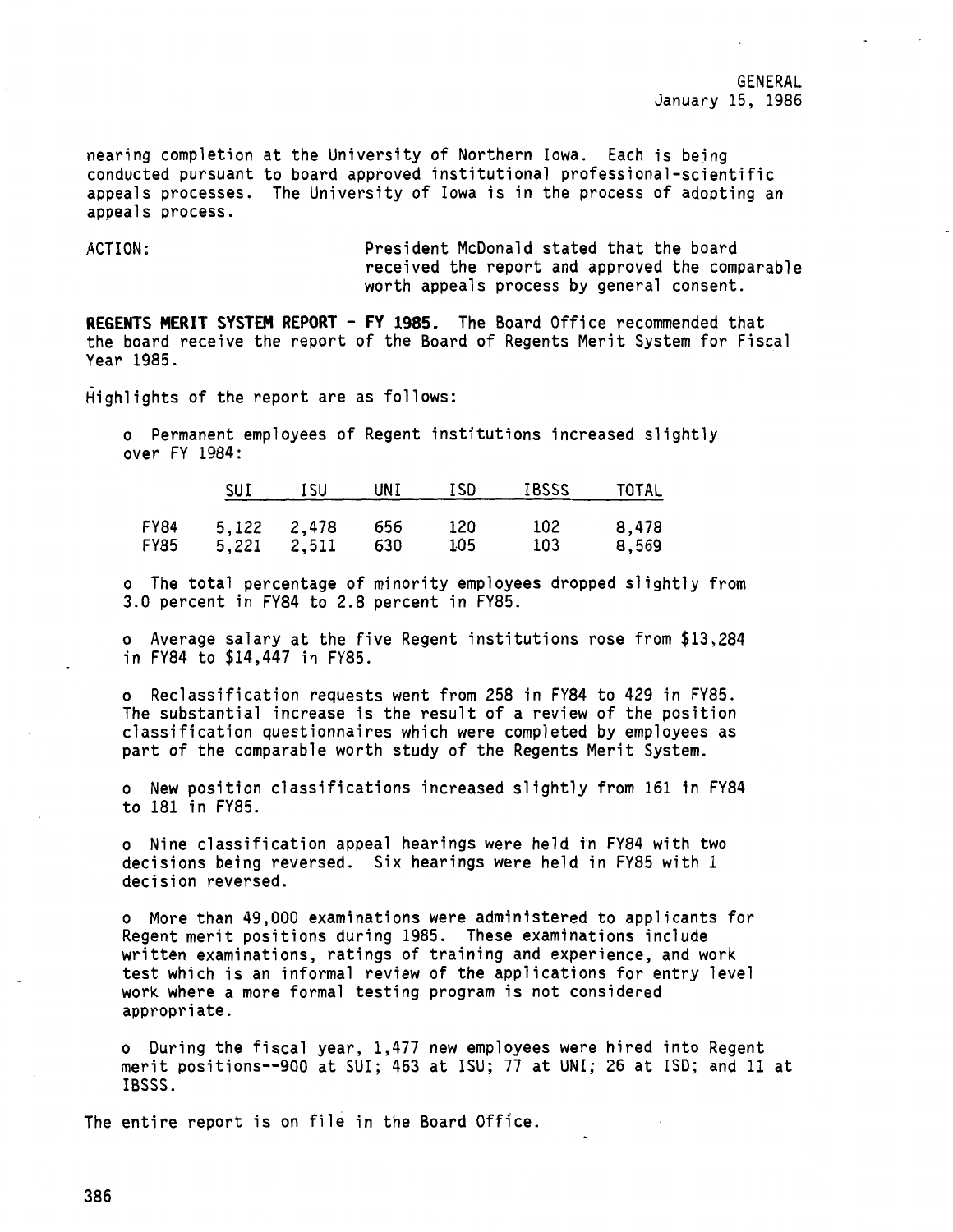nearing completion at the University of Northern Iowa. Each is bejng conducted pursuant to board approved institutional professional-scientific appeals processes. The University of Iowa is in the process of adopting an appeals process.

ACTION: President McDonald stated that the board received the report and approved the comparable worth appeals process by general consent.

**REGENTS MERIT SYSTEM REPORT - FY 1985.** The Board Office recommended that the board receive the report of the Board of Aegents Merit System for Fiscal Year 1985.

Highlights of the report are as follows:

o Permanent employees of Regent institutions increased slightly over FY 1984:

|                            | SUI         | ISU             | UNI        | ISD        | <b>IBSSS</b> | TOTAL          |
|----------------------------|-------------|-----------------|------------|------------|--------------|----------------|
| <b>FY84</b><br><b>FY85</b> | 5,122 2,478 | $5,221$ $2,511$ | 656<br>630 | 120<br>105 | 102<br>103   | 8,478<br>8,569 |

o The total percentage of minority employees dropped slightly from 3.0 percent in FY84 to 2.8 percent in FY85.

o Average salary at the five Regent institutions rose from \$13,284 in FY84 to \$14,447 in FY85.

o Reclassification requests went from 258 in FY84 to 429 in FY85. The substantial increase is the result of a review of the position classification questionnaires which were completed by employees as part of the comparable worth study of the Regents Merit System.

o New position classifications increased slightly from 161 in FY84 to 181 in FY85.

o Nine classification appeal hearings were held in FY84 with two decisions being reversed. Six hearings were held in FY85 with 1 decision reversed.

o More than 49,000 examinations were administered to applicants for Regent merit positions during 1985. These examinations include written examinations, ratings of training and experience, and work test which is an informal review of the applications for entry level work where a more formal testing program is not considered appropriate.

o During the fiscal year, 1,477 new employees were hired into Regent merit positions--900 at SUI; 463 at ISU; 77 at UNI; 26 at ISO; and 11 at IBSSS.

The entire report is on file in the Board Office.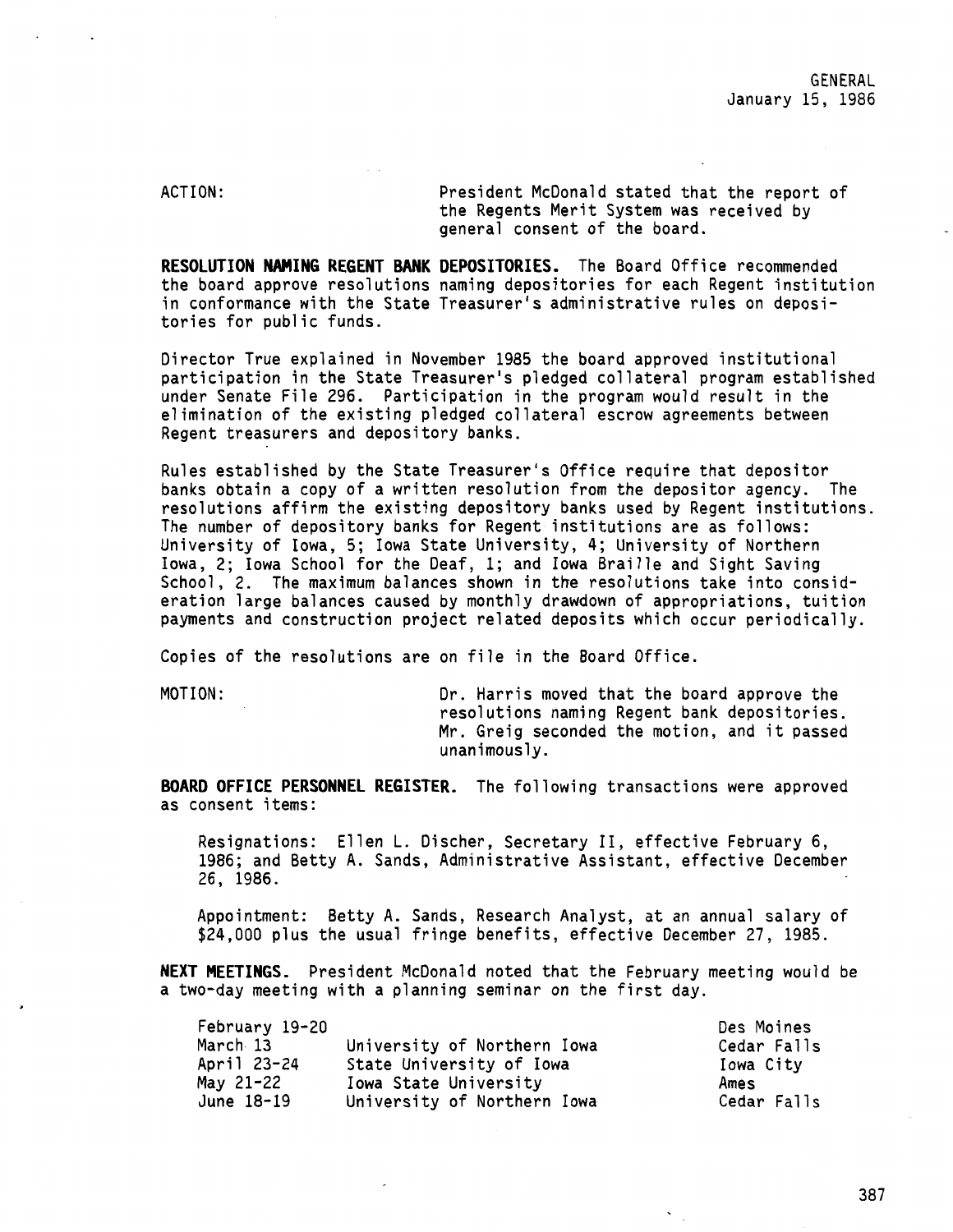ACTION: President McDonald stated that the report of the Regents Merit System was received by general consent of the board.

**RESOLUTION NAMING REGENT BANK DEPOSITORIES.** The Board Office recommended the board approve resolutions naming depositories for each Regent institution in conformance with the State Treasurer's administrative rules on depositories for public funds.

Director True explained in November 1985 the board approved institutional participation in the State Treasurer's pledged collateral program established under Senate File 296. Participation in the program would result in the elimination of the existing pledged collateral escrow agreements between Regent treasurers and depository banks.

Rules established by the State Treasurer's Office require that depositor banks obtain a copy of a written resolution from the depositor agency. The resolutions affirm the existing depository banks used by Regent institutions. The number of depository banks for Regent institutions are as follows: University of Iowa, 5; Iowa State University, 4; University of Northern Iowa, 2; Iowa School for the Deaf, 1; and Iowa Braille and Sight Saving School, 2. The maximum balances shown in the resolutions take into consideration large balances caused by monthly drawdown of appropriations, tuition payments and construction project related deposits which occur periodically.

Copies of the resolutions are on file in the Board Office.

MOTION: Dr. Harris moved that the board approve the resolutions naming Regent bank depositories. Mr. Greig seconded the motion, and it passed unanimously.

**BOARD OFFICE PERSONNEL REGISTER.** The following transactions were approved as consent items:

Resignations: Ellen L. Discher, Secretary II, effective February 6, 1986; and Betty A. Sands, Administrative Assistant, effective December 26, 1986.

Appointment: Betty A. Sands, Research Analyst, at an annual salary of \$24,000 plus the usual fringe benefits, effective December 27, 1985.

**NEXT MEETINGS.** President McDonald noted that the February meeting would be a two-day meeting with a planning seminar on the first day.

| February 19-20 |                             | Des Moines  |
|----------------|-----------------------------|-------------|
| March 13       | University of Northern Iowa | Cedar Falls |
| April 23-24    | State University of Iowa    | Iowa City   |
| May 21-22      | Iowa State University       | Ames        |
| June 18-19     | University of Northern Iowa | Cedar Falls |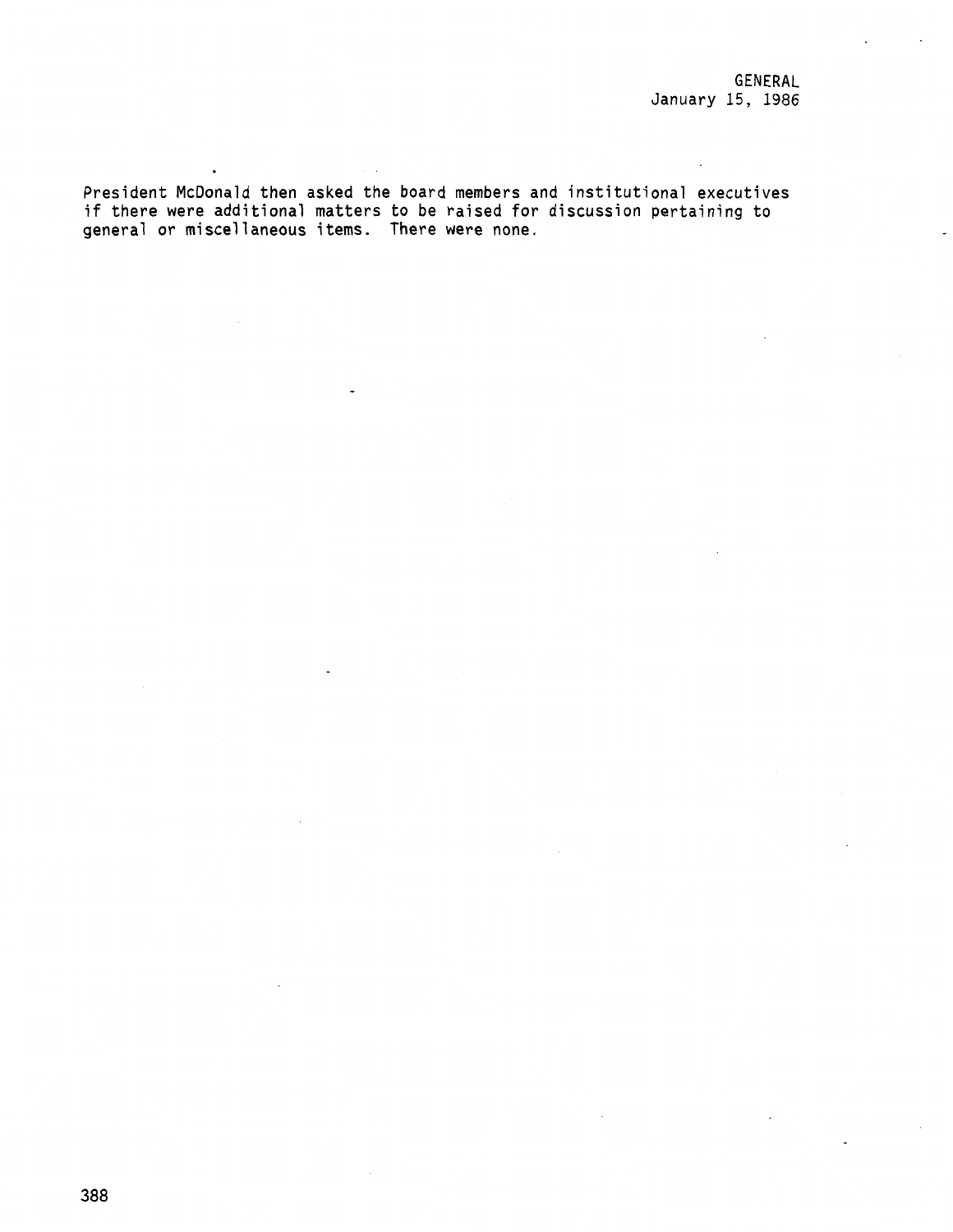President McDonald then asked the board members and institutional executives if there were additional matters to be raised for discussion pertaining to general or miscellaneous items. There were none.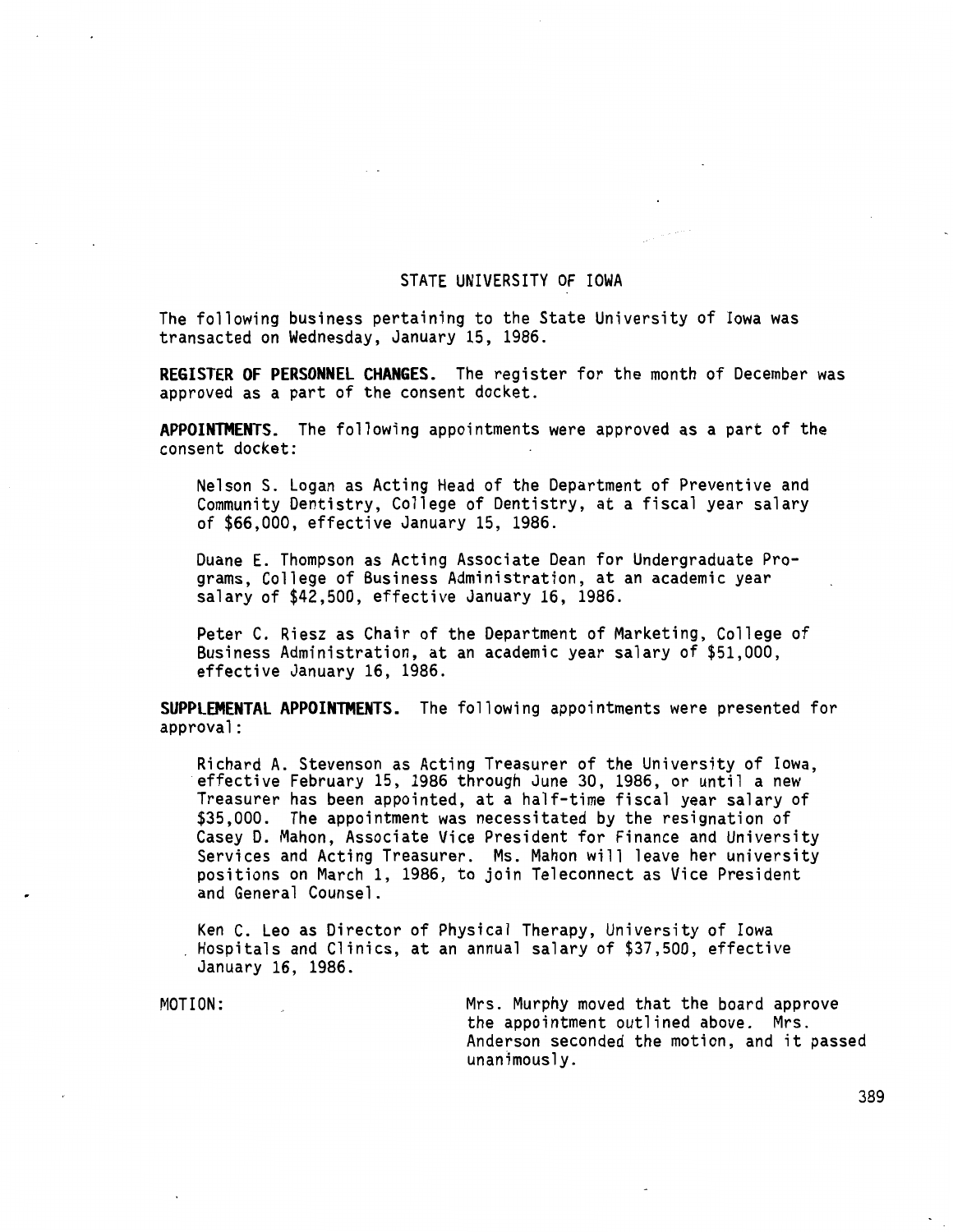### STATE UNIVERSITY OF IOWA

The following business pertaining to the State University of Iowa was transacted on Wednesday, January 15, 1986.

**REGISTER OF PERSONNEL CHANGES.** The register for the month of December was approved as a part of the consent docket.

**APPOINTMENTS.** The following appointments were approved as a part of the consent docket:

Nelson S. Logan as Acting Head of the Department of Preventive and Community Dentistry, College of Dentistry, at a fiscal year salary of \$66,000, effective January 15, 1986.

Duane E. Thompson as Acting Associate Dean for Undergraduate Programs, College of Business Administration, at an academic year salary of \$42,500, effective January 16, 1986.

Peter C. Riesz as Chair of the Department of Marketing, College of Business Administration, at an academic year salary of \$51,000, effective January 16, 1986.

**SUPPLEMENTAL APPOINTMENTS.** The following appointments were presented for approval:

Richard A. Stevenson as Acting Treasurer of the University of Iowa, effective February 15, 1986 through June 30, 1986, or until a new Treasurer has been appointed, at a half-time fiscal year salary of \$35,000. The appointment was necessitated by the resignation of Casey D. Mahon, Associate Vice President for Finance and University Services and Acting Treasurer. Ms. Mahon will leave her university positions on March 1, 1986, to join Teleconnect as Vice President and General Counsel.

Ken C. Leo as Director of Physical Therapy, University of Iowa Hospitals and Clinics, at an annual salary of \$37,500, effective January 16, 1986.

MOTION: Mrs. Murphy moved that the board approve the appointment outlined above. Mrs. Anderson seconded the motion, and it passed  $unanimously.$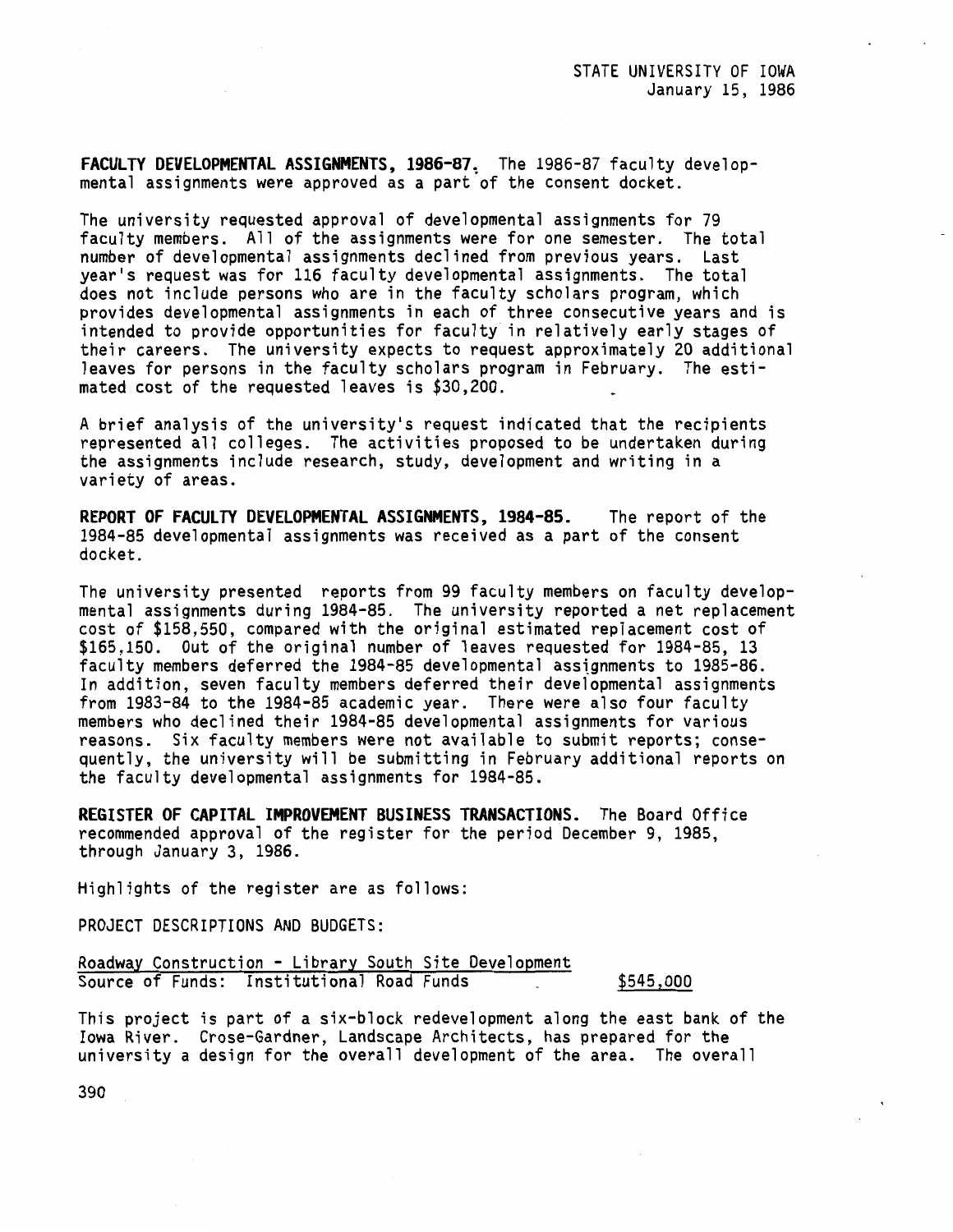FACULTY DEVELOPMENTAL ASSIGNMENTS, 1986-87. The 1986-87 faculty developmental assignments were approved as a part of the consent docket.

The university requested approval of developmental assignments for 79 faculty members. All of the assignments were for one semester. The total number of developmental assignments declined from previous years. Last year's request was for 116 faculty developmental assignments. The total does not include persons who are in the faculty scholars program, which provides developmental assignments in each of three consecutive years and is intended to provide opportunities for faculty in relatively early stages of their careers. The university expects to request approximately 20 additional leaves for persons in the faculty scholars program in February. The estimated cost of the requested leaves is \$30,200.

A brief analysis of the university's request indicated that the recipients represented all colleges. The activities proposed to be undertaken during the assignments include research, study, development and writing in a variety of areas.

**REPORT OF FACULTY DEVELOPMENTAL ASSIGNMENTS, 1984-85.** The report of the 1984-85 developmental assignments was received as a part of the consent docket.

The university presented reports from 99 faculty members on faculty developmental assignments during 1984-85. The university reported a net replacement cost of \$158,550, compared with the original estimated replacement cost of \$165,150. Out of the original number of leaves requested for 1984-85, 13 faculty members deferred the 1984-85 developmental asstgnments to 1985-86. In addition, seven faculty members deferred their developmental assignments from 1983-84 to the 1984-85 academic year. There were also four faculty members who declined their 1984-85 developmental assignments for various reasons. Six faculty members were not available to submit reports; consequently, the university will be submitting in February additional reports on the faculty developmental assignments for 1984-85.

**REGISTER OF CAPITAL IMPROVEMENT BUSINESS TRANSACTIONS.** The Board Office recommended approval of the register for the period December 9, 1985, through January 3, 1986.

Highlights of the register are as follows:

PROJECT DESCRIPTIONS AND BUDGETS:

Roadway Construction - Library South Site Development Source of Funds: Institutional Road Funds \$545,000

This project is part of a six-block redevelopment along the east bank of the **Iowa** River. Crose-Gardner, Landscape Architects, has prepared for the university a design for the overall development of the area. The overall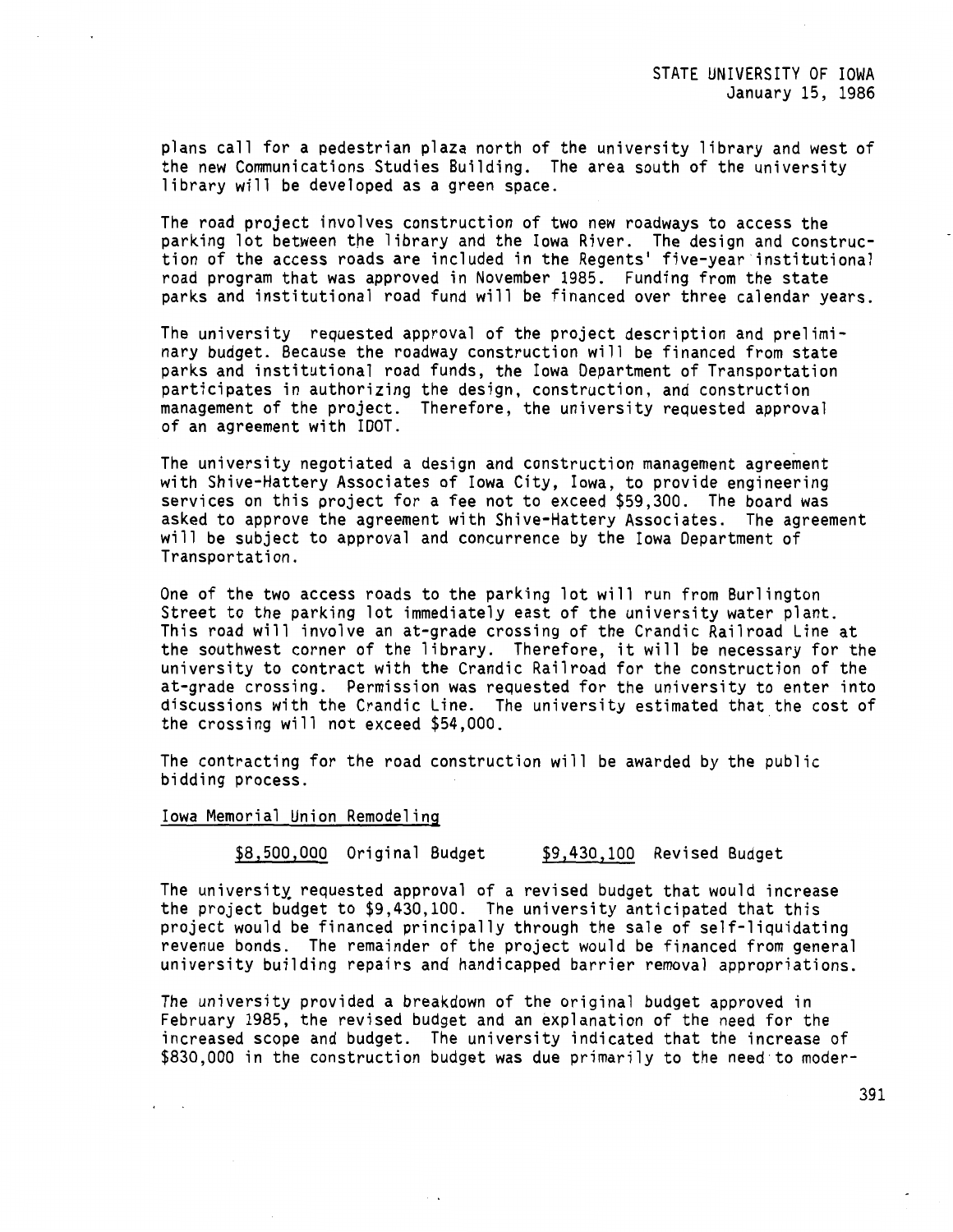plans call for a pedestrian plaza north of the university library and west of the new Communications Studies Building. The area south of the university library will be developed as a green space.

The road project involves construction of two new roadways to access the parking lot between the library and the Iowa River. The design and construction of the access roads are included in the Regents' five-year institutional road program that was approved in November 1985. Funding from the state parks and institutional road fund will be financed over three calendar years.

The university requested approval of the project description and preliminary budget. Because the roadway construction will be financed from state parks and institutional road funds, the Iowa Department of Transportation participates in authorizing the design, construction, and construction management of the project. Therefore, the university requested approval of an agreement with IDOT.

The university negotiated a design and construction management agreement with Shive-Hattery Associates of Iowa City, Iowa, to provide engineering services on this project for a fee not to exceed \$59,300. The board was asked to approve the agreement with Shive-Hattery Associates. The agreement will be subject to approval and concurrence by the Iowa Department of Transportation.

One of the two access roads to the parking lot will run from Burlington Street to the parking lot immediately east of the university water plant. This road will involve an at-grade crossing of the Crandic Railroad Line at the southwest corner of the library. Therefore, it will be necessary for the university to contract with the Crandic Railroad for the construction of the at-grade crossing. Permission was requested for the university to enter into discussions with the Crandic Line. The university estimated that the cost of the crossing will not exceed \$54,000.

The contracting for the road construction will be awarded by the public bidding process.

### Iowa Memorial Union Remodeling

\$8,500,000 Original Budget \$9,430,100 Revised Budget

The university requested approval of a revised budget that would increase the project budget to \$9,430,100. The university anticipated that this project would be financed principally through the sale of self-liquidating revenue bonds. The remainder of the project would be financed from general university building repairs and handicapped barrier removal appropriations.

The university provided a breakdown of the original budget approved in February 1985, the revised budget and an explanation of the need for the increased scope and budget. The university indicated that the increase of \$830,000 in the construction budget was due primarily to the need to moder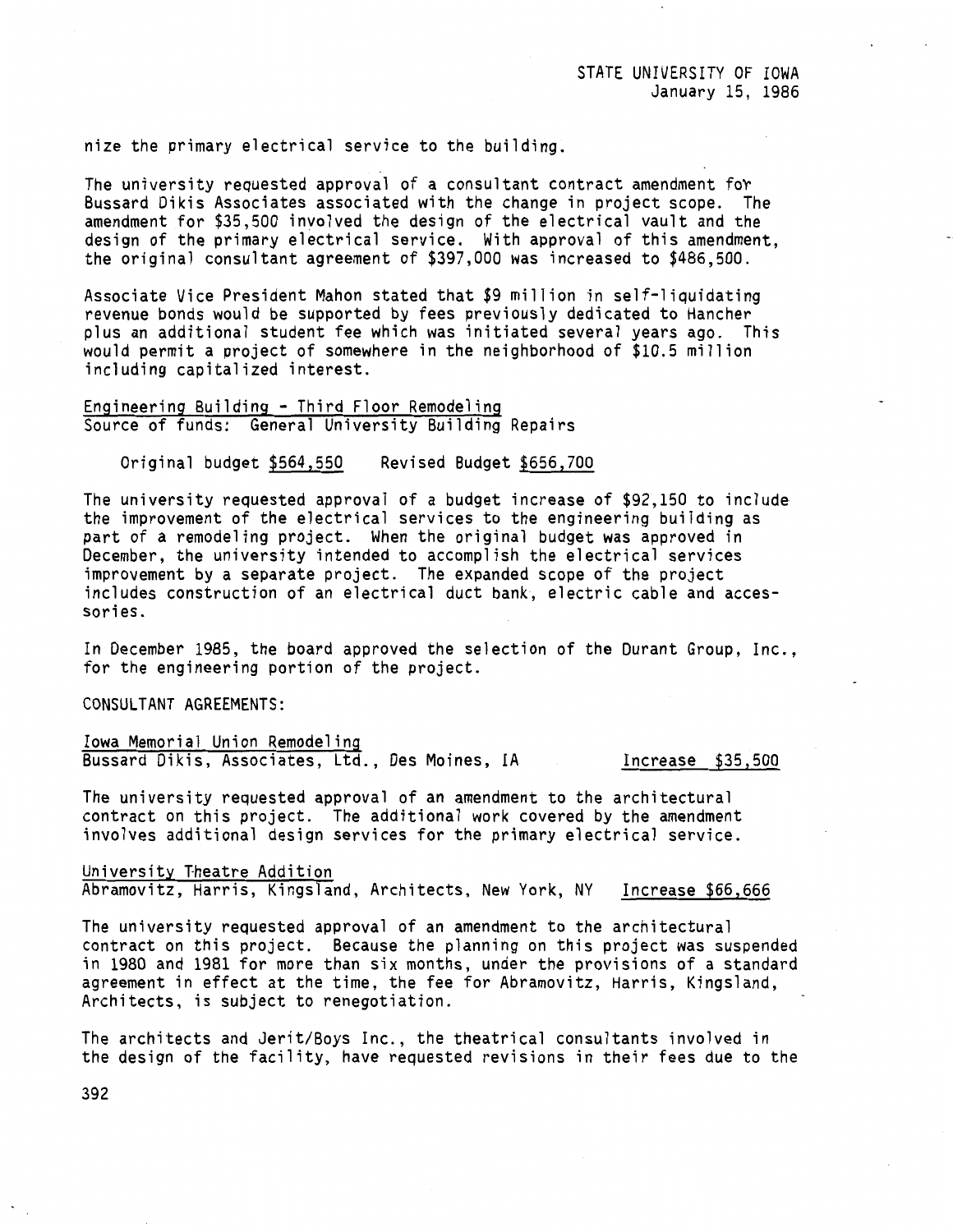nize the primary electrical service to the building.

The university requested approval of a consultant contract amendment fot Bussard Dikis Associates associated with the change in project scope. The amendment for \$35,500 involved the design of the electrical vault and the design of the primary electrical service. With approval of this amendment, the original consultant agreement of \$397,000 was increased to \$486,500.

Associate Vice President Mahon stated that \$9 million in self-liquidating revenue bonds would be supported by fees previously dedicated to Hancher plus an additional student fee which was initiated several years ago. This would permit a project of somewhere in the neighborhood of \$10.5 million including capitalized interest.

Engineering Building - Third Floor Remodeling Source of funds: General University Building Repairs

Original budget \$564,550 Revised Budget \$656,700

The university requested approval of a budget increase of \$92,150 to include the improvement of the electrical services to the engineering building as part of a remodeling project. When the original budget was approved in December, the university intended to accomplish the electrical services improvement by a separate project. The expanded scope of the project includes construction of an electrical duct bank, electric cable and accessories.

In December 1985, the board approved the selection of the Durant Group, Inc., for the engineering portion of the project.

CONSULTANT AGREEMENTS:

Iowa Memorial Union Remodeling Bussard Dikis, Associates, Ltd., Des Moines, IA Increase \$35,500

The university requested approval of an amendment to the architectural contract on this project. The additional work covered by the amendment involves additional design services for the primary electrical service.

University Theatre Addition Abramovitz, Harris, Kingsland, Architects, New York, NY Increase \$66,666

The university requested approval of an amendment to the architectural contract on this project. Because the planning on this project was suspended in 1980 and 1981 for more than six months, under the provisions of a standard agreement in effect at the time, the fee for Abramovitz, Harris, Kingsland, Architects, is subject to renegotiation.

The architects and Jerit/Boys Inc., the theatrical consultants involved in the design of the facility, have requested revisions in their fees due to the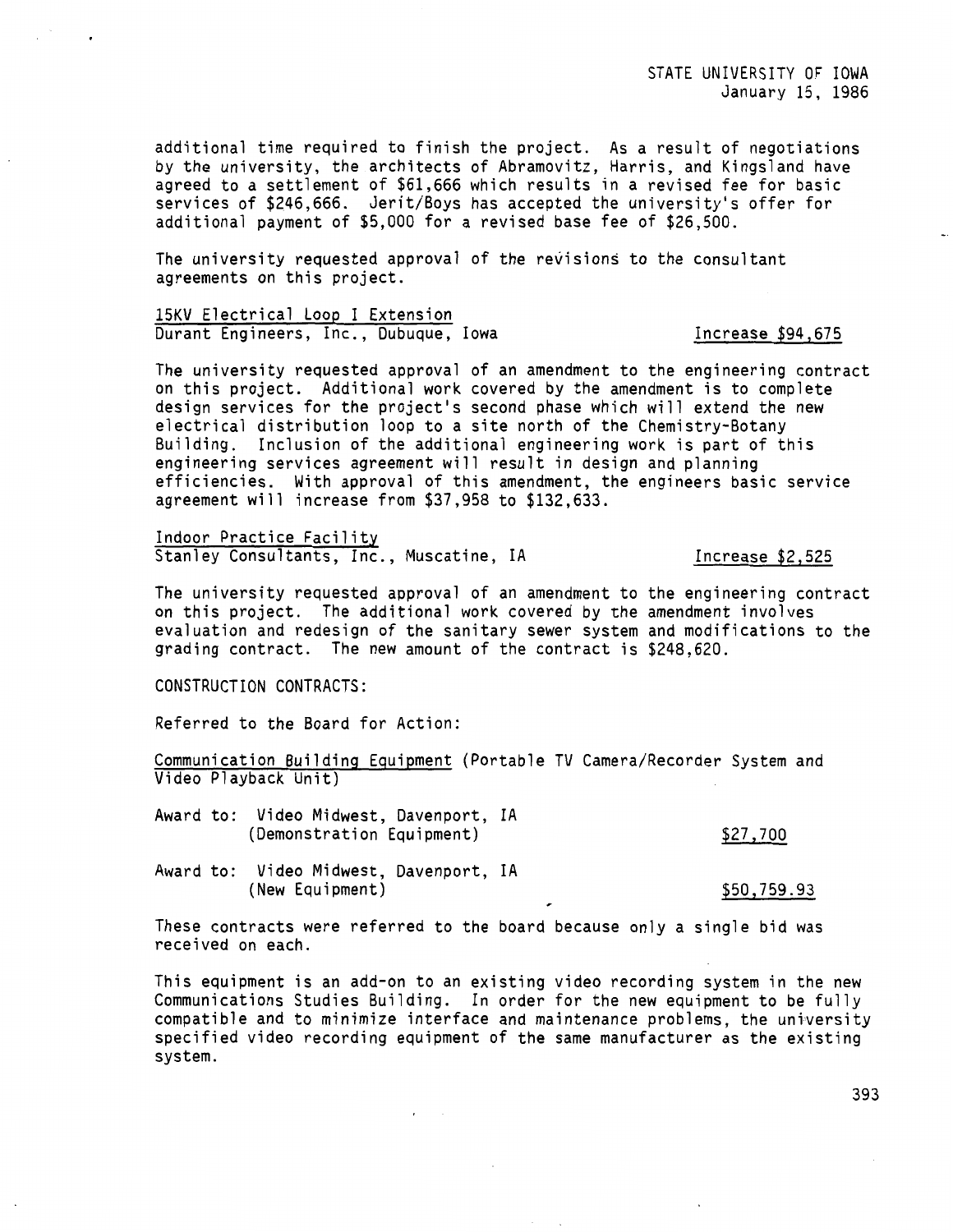additional time required to finish the project. As a result of negotiations by the university, the architects of Abramovitz, Harris, and Kingsland have agreed to a settlement of \$61,666 which results in a revised fee for basic services of \$246,666. Jerit/Boys has accepted the university's offer for additional payment of \$5,000 for a revised base fee of \$26,500.

The university requested approval of the revisions to the consultant agreements on this project.

15KV Electrical Loop I Extension Durant Engineers, Inc., Dubuque, Iowa **Increase** \$94,675

The university requested approval of an amendment to the engineering contract on this project. Additional work covered by the amendment is to complete design services for the project's second phase which will extend the new electrical distribution loop to a site north of the Chemistry-Botany Building. Inclusion of the additional engineering work is part of this engineering services agreement will result in design and planning efficiencies. With approval of this amendment, the engineers basic service agreement will increase from \$37,958 to \$132,633.

Indoor Practice Facility Stanley Consultants, Inc., Muscatine, IA France 12,525

The university requested approval of an amendment to the engineering contract on this project. The additional work covered by the amendment involves evaluation and redesign of the sanitary sewer system and modifications to the grading contract. The new amount of the contract is \$248.620.

CONSTRUCTION CONTRACTS:

Referred to the Board for Action:

Communication Building Equipment (Portable TV Camera/Recorder System and Video Playback Unit)

Award to: Video Midwest, Davenport, IA (Demonstration Equipment)

\$27,700

Award to: Video Midwest, Davenport, IA (New Equipment)

\$50,759.93

These contracts were referred to the board because only a single bid was received on each.

This equipment is an add-on to an existing video recording system in the new Communications Studies Building. In order for the new equipment to be fully compatible and to minimize interface and maintenance problems, the university specified video recording equipment of the same manufacturer as the existing system.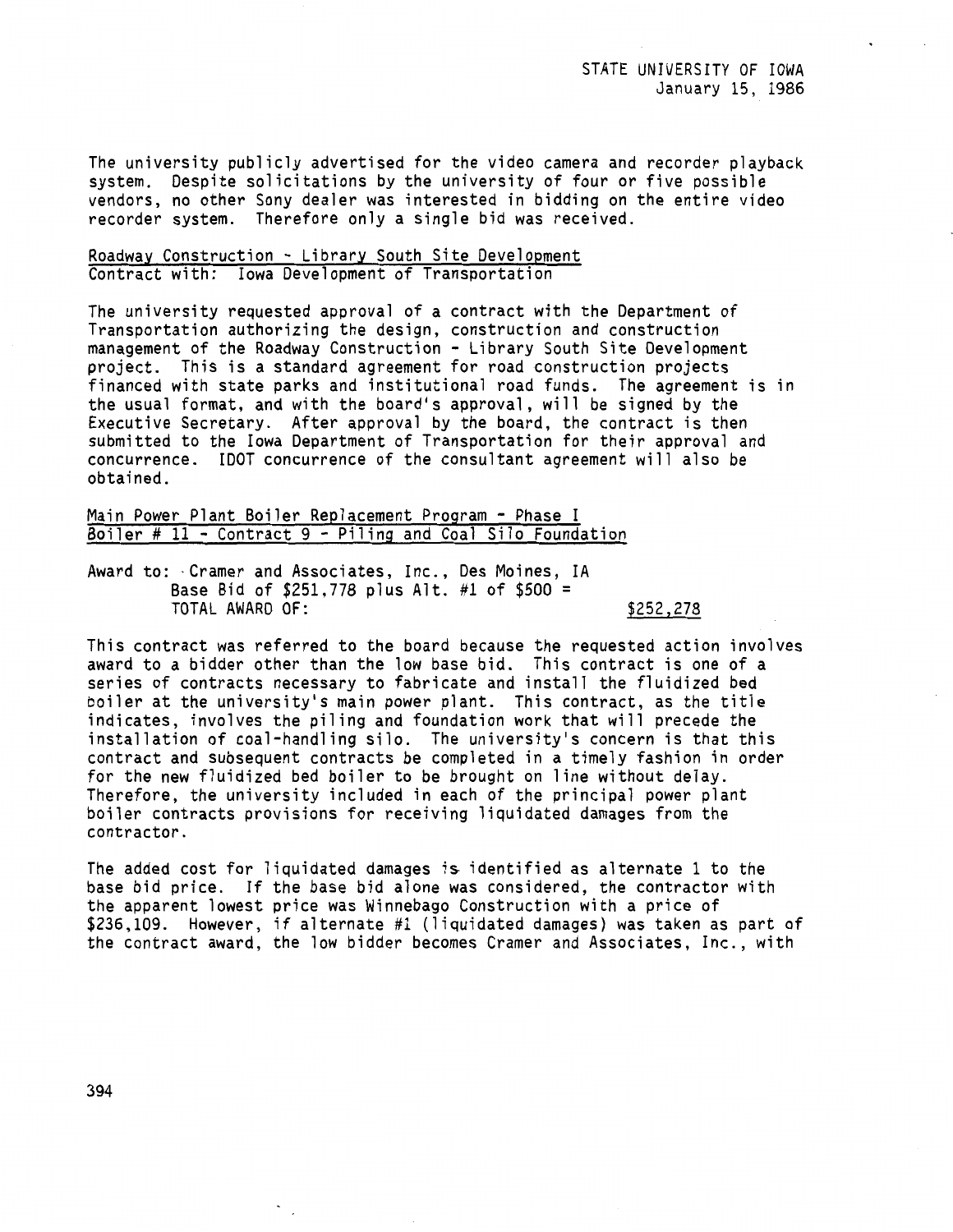The university publicly advertised for the video camera and recorder playback system. Despite solicitations by the university of four or five possible vendors, no other Sony dealer was interested in bidding on the entire video recorder system. Therefore only a single bid was received.

### Roadway Construction - Library South Site Development Contract with: Iowa Development of Transportation

The university requested approval of a contract with the Department of Transportation authorizing the design, construction and construction management of the Roadway Construction - Library South Site Development project. This is a standard agreement for road construction projects financed with state parks and institutional road funds. The agreement is in the usual format, and with the board's approval, will be signed by the Executive Secretary. After approval by the board, the contract is then submitted to the Iowa Department of Transportation for their approval and concurrence. !DOT concurrence of the consultant agreement will also be obtained.

## Main Power Plant Boiler Replacement Program - Phase I Boiler # 11 - Contract 9 - Piling and Coal Silo Foundation

Award to: ·Cramer and Associates, Inc., Des Moines, IA Base Bid of \$251,778 plus Alt. #1 of \$500 = TOTAL AWARD OF: \$252,278

# This contract was referred to the board because the requested action involves award to a bidder other than the low base bid. This contract is one of a series of contracts necessary to fabricate and install the fluidized bed boiler at the university's main power plant. This contract, as the title indicates, involves the piling and foundation work that will precede the installation of coal-handling silo. The university's concern is that this contract and subsequent contracts be completed in a timely fashion in order for the new fluidized bed boiler to be brought on line without delay. Therefore, the university included in each of the principal power plant boiler contracts provisions for receiving liquidated damages from the contractor.

The added cost for liquidated damages is identified as alternate 1 to the base bid price. If the base bid alone was considered, the contractor with the apparent lowest price was Winnebago Construction with a price of \$236,109. However, if alternate #1 (liquidated damages) was taken as part of the contract award, the low bidder becomes Cramer and Associates, Inc., with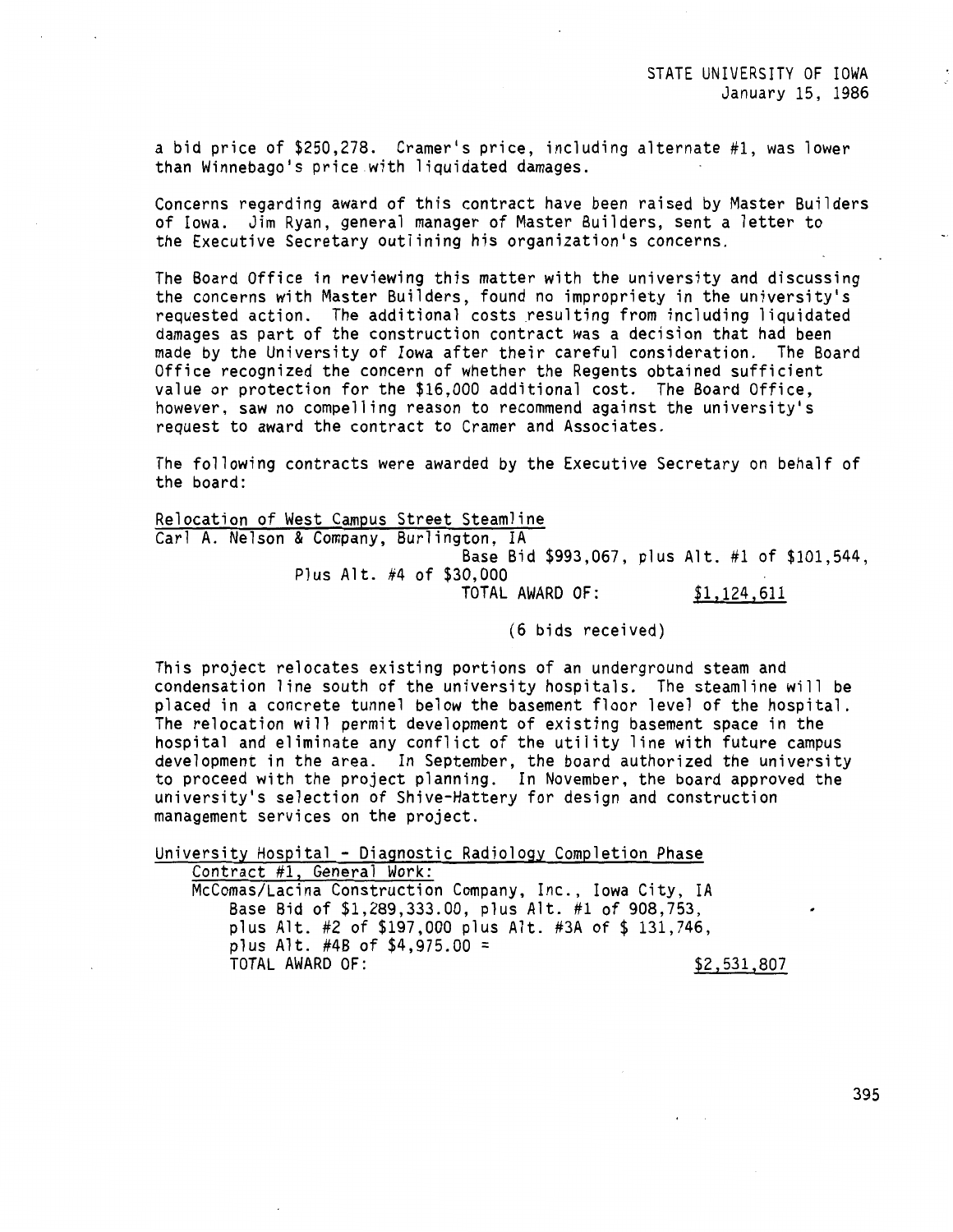STATE UNIVERSITY OF IOWA January 15, 1986

a bid price of \$250,278. Cramer's price, including alternate #1, was lower than Winnebago's price with liquidated damages.

Concerns regarding award of this contract have been raised by Master Builders of Iowa. Jim Ryan, general manager of Master Builders, sent a letter to the Executive Secretary outlining his organization's concerns.

The Board Office in reviewing this matter with the university and discussing the concerns with Master Builders, found no impropriety in the university's requested action. The additional costs resulting from including liquidated damages as part of the construction contract was a decision that had been made by the University of Iowa after their careful consideration. The Board Office recognized the concern of whether the Regents obtained sufficient value or protection for the \$16,000 additional cost. The Board Office, however, saw no compelling reason to recommend against the university's request to award the contract to Cramer and Associates.

The following contracts were awarded by the Executive Secretary on behalf of the board:

Relocation of West Campus Street Steamline Carl A. Nelson & Company, Burlington, IA Base Bid \$993,067, plus Alt. #1 of \$101,544, Plus Alt. #4 of \$30,000 TOTAL AWARD OF: \$1,124,611

(6 bids received)

This project relocates existing portions of an underground steam and condensation line south of the university hospitals. The steamline will be placed in a concrete tunnel below the basement floor level of the hospital. The relocation will permit development of existing basement space in the hospital and eliminate any conflict of the utility line with future campus development in the area. In September, the board authorized the university to proceed with the project planning. In November, the board approved the university's selection of Shive-Hattery for design and construction management services on the project.

University Hospital - Diagnostic Radiology Completion Phase Contract #1, General Work:

Mccomas/Lacina Construction Company, Inc., Iowa City, IA Base Bid of \$1,289,333.00, plus Alt. #1 of 908,753, plus Alt. #2 of \$197,000 plus Alt. #3A of \$ 131,746, plus Alt. #4B of  $$4,975.00 =$ TOTAL AWARD OF: \$2,531,807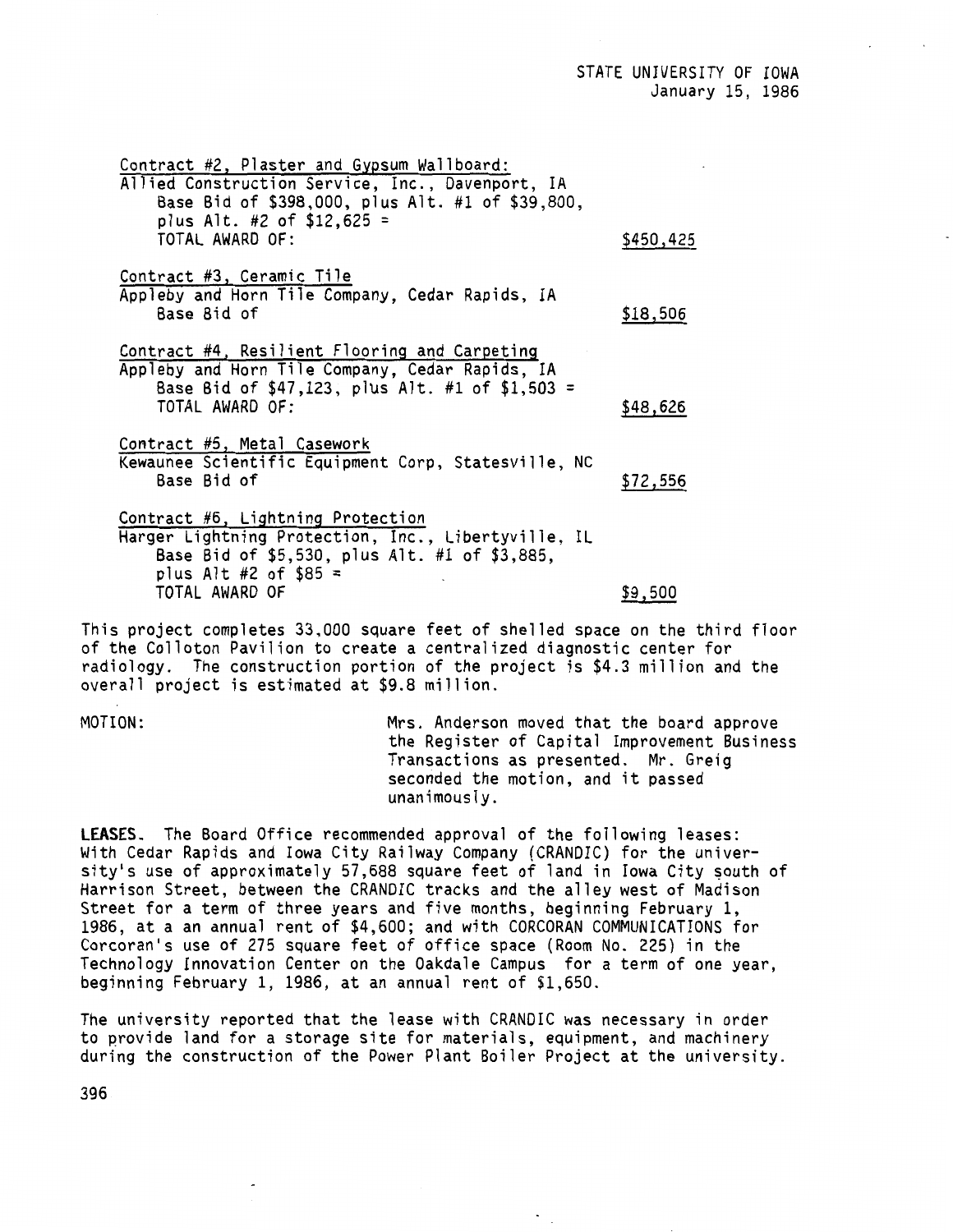Contract #2, Plaster and Gypsum Wallboard: Allied Construction Service, Inc., Davenport, IA Base Bid of \$398,000, plus Alt. #1 of \$39,800, plus Alt. #2 of  $$12,625 =$ TOTAL AWARD OF: \$450,425 Contract #3, Ceramic Tile Appleby and Horn Tile Company, Cedar Rapids, IA  $Base$  Bid of  $$18,506$ Contract #4, Resilient Flooring and Carpeting Appleby and Horn Tile Company, Cedar Rapids, IA Base Bid of \$47,123, plus Alt. #1 of \$1,503 = TOTAL AWARD OF: \$48,626 Contract #5, Metal Casework Kewaunee Scientific Equipment Corp, Statesville, NC Base Bid of  $$72,556$ Contract #6, Lightning Protection Harger Lightning Protection, Inc., Libertyville, IL Base Bid of \$5,530, plus Alt. #1 of \$3,885, plus Alt  $#2$  of  $$85 =$ TOTAL AWARD OF \$9,500

This project completes 33,000 square feet of shelled space on the third floor of the Colloton Pavilion to create a centralized diagnostic center for radiology. The construction portion of the project is \$4.3 million and the overall project is estimated at \$9.8 million.

MOTION: Mrs. Anderson moved that the board approve the Register of Capital Improvement Business Transactions as presented. Mr. Greig seconded the motion, and it passed unanimously.

**LEASES.** The Board Office recommended approval of the following leases: With Cedar Rapids and Iowa City Railway Company (CRANDIC) for the university's use of approximately 57,688 square feet of land in Iowa City south of Harrison Street, between the CRANDIC tracks and the alley west of Madison Street for a term of three years and five months, beginning February 1, 1986, at a an annual rent of \$4,600; and with CORCORAN COMMUNICATIONS for Corcoran <sup>1</sup> s use of 275 square feet of office space (Room No. 225) in the Technology Innovation Center on the Oakdale Campus for a term of one year, beginning February l, 1986, at an annual rent of \$1,650.

The university reported that the lease with CRANDIC was necessary in order to provide land for a storage site for materials, equipment, and machinery during the construction of the Power Plant Boiler Project at the university.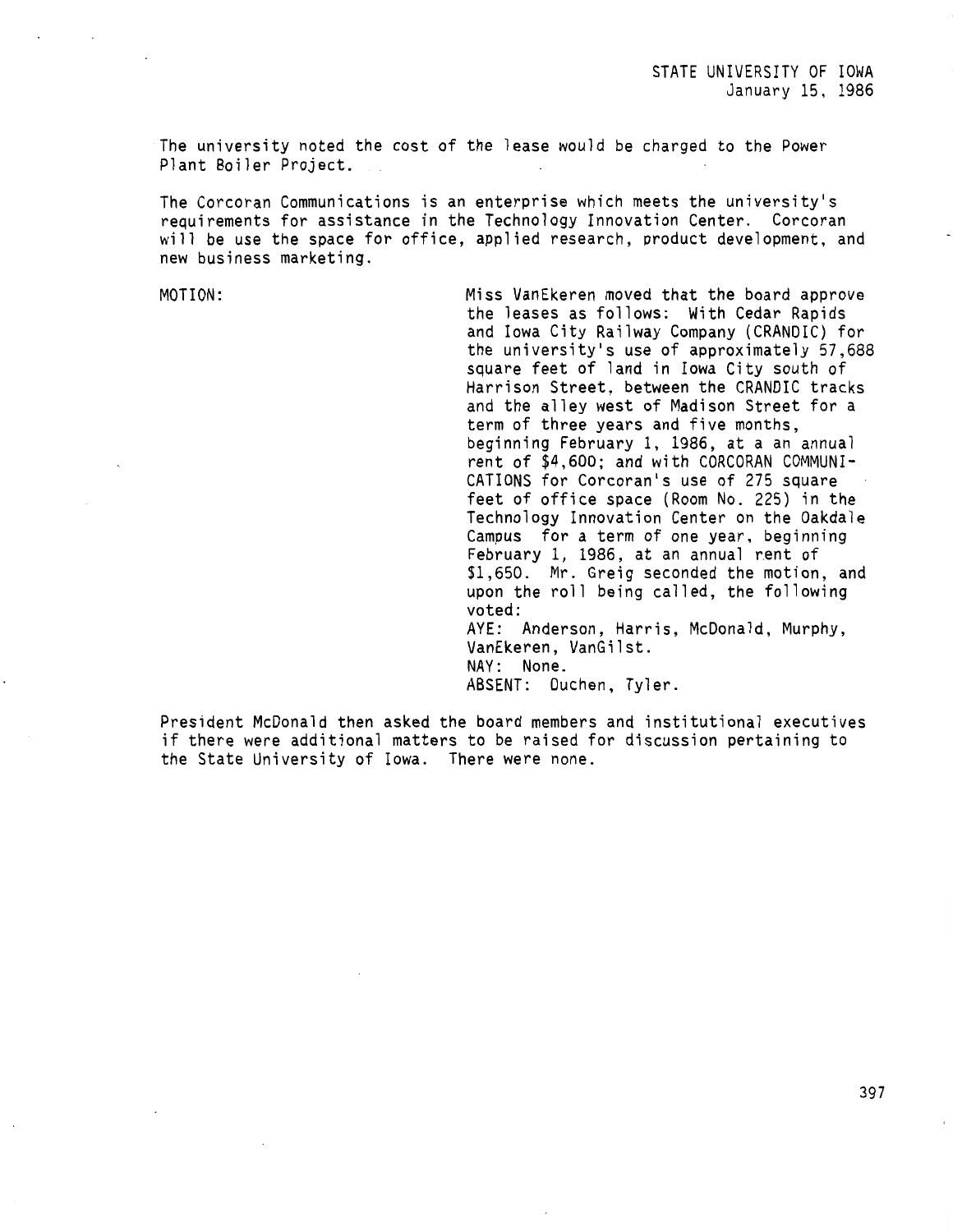The university noted the cost of the lease would be charged to the Power Plant Boiler Project.

The Corcoran Communications is an enterprise which meets the university's requirements for assistance in the Technology Innovation Center. Corcoran will be use the space for office, applied research, product development, and new business marketing.

MOTION: Miss VanEkeren moved that the board approve the leases as follows: With Cedar Rapids and Iowa City Railway Company (CRANDIC) for the university's use of approximately 57,688 square feet of land in Iowa City south of Harrison Street, between the CRANDIC tracks and the alley west of Madison Street for a term of three years and five months, beginning February 1, 1986, at a an annual rent of \$4,600; and with CORCORAN COMMUNI-CATIONS for Corcoran's use of 275 square feet of office space (Room No. 225) in the Technology Innovation Center on the Oakdale Campus for a term of one year, beginning February 1, 1986, at an annual rent of \$1,650. Mr. Greig seconded the motion, and upon the roll being called, the following voted: AYE: Anderson, Harris, McDonald, Murphy, VanEkeren, VanGilst. NAY: None. ABSENT: Duchen, Tyler.

President McDonald then asked the board members and institutional executives if there were additional matters to be raised for discussion pertaining to the State University of Iowa. There were none.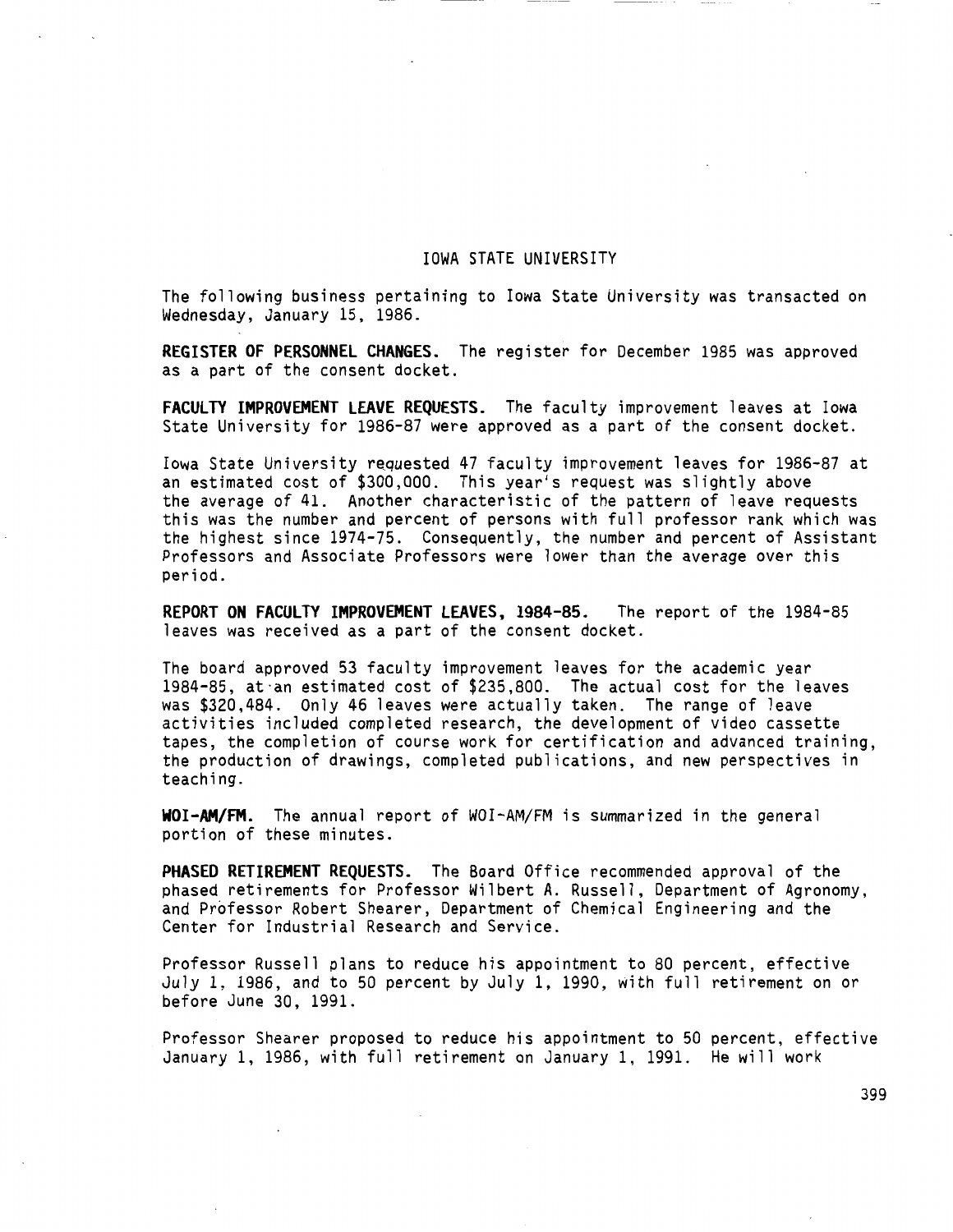### IOWA STATE UNIVERSITY

The following business pertaining to Iowa State University was transacted on Wednesday, January 15, 1986.

**REGISTER OF PERSONNEL CHANGES.** The register for December 1985 was approved as a part of the consent docket.

**FACULTY IMPROVEMENT LEAVE REQUESTS.** The faculty improvement leaves at Iowa State University for 1986-87 were approved as a part of the consent docket.

Iowa State University requested 47 faculty improvement leaves for 1986-87 at an estimated cost of \$300,000. This year's request was slightly above the average of 41. Another characteristic of the pattern of leave requests this was the number and percent of persons with full professor rank which was the highest since 1974-75. Consequently, the number and percent of Assistant Professors and Associate Professors were lower than the average over this period.

**REPORT ON FACULTY IMPROVEMENT LEAVES, 1984-85.** The report of the 1984-85 leaves was received as a part of the consent docket.

The board approved 53 faculty improvement leaves for the academic year 1984-85, at·an estimated cost of \$235,800. The actual cost for the leaves was \$320,484. Only 46 leaves were actually taken. The range of leave activities included completed research, the development of video cassette tapes, the completion of course work for certification and advanced training, the production of drawings, completed publications, and new perspectives in teaching.

**WOI-AM/FM.** The annual report of WOI-AM/FM is summarized in the general portion of these minutes.

**PHASED RETIREMENT REQUESTS.** The Board Office recommended approval of the phased retirements for Professor Wilbert A. Russell, Department of Agronomy, and Professor Robert Shearer, Department of Chemical Engineering and the Center for Industrial Research and Service.

Professor Russell plans to reduce his appointment to 80 percent, effective July 1, 1986, and to 50 percent by July l, 1990, with full retirement on or before June 30, 1991.

Professor Shearer proposed to reduce his appointment to 50 percent, effective January 1, 1986, with full retirement on January 1, 1991. He will work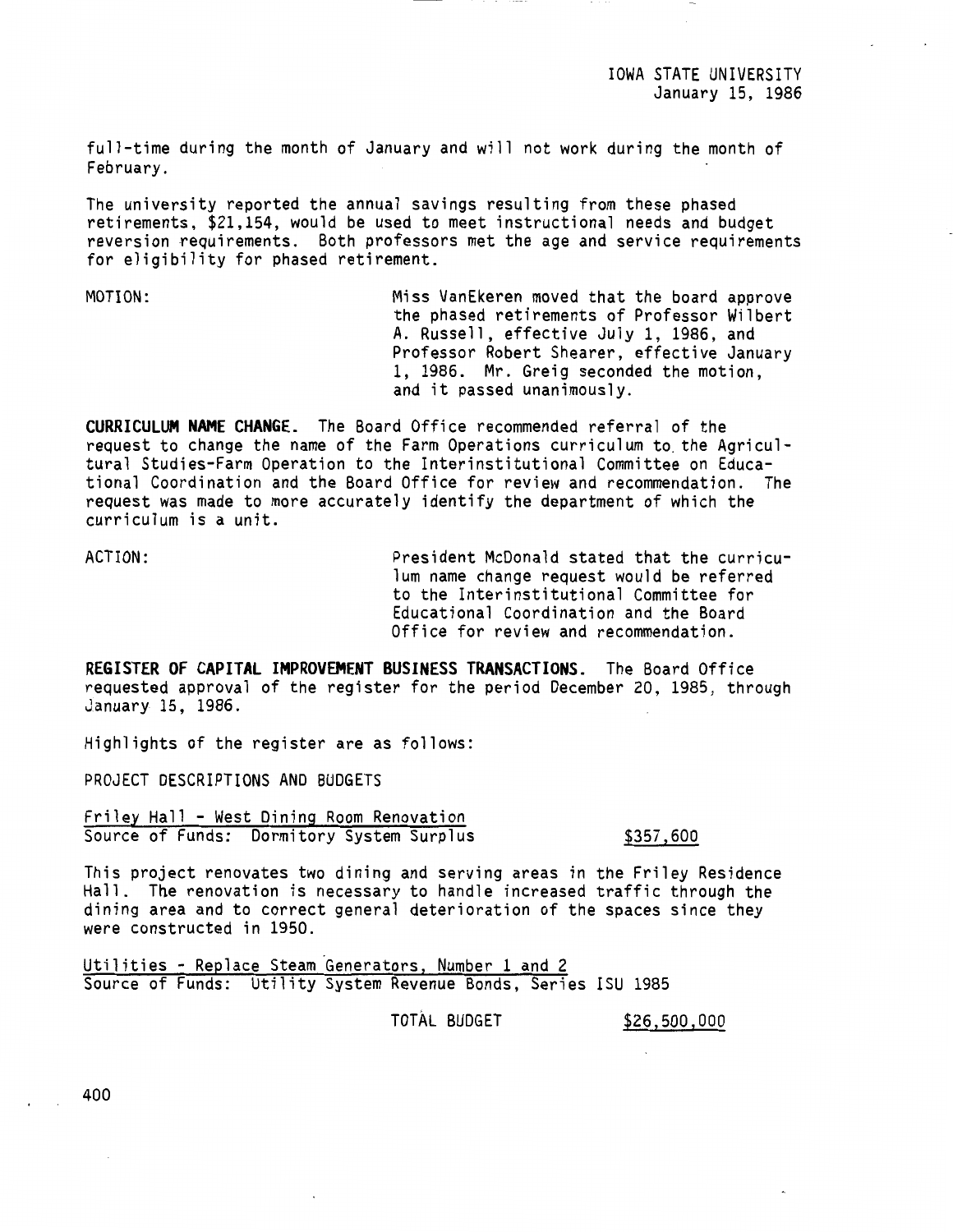IOWA STATE UNIVERSITY January 15, 1986

full-time during the month of January and will not work during the month of February.

The university reported the annual savings resulting from these phased retirements, \$21,154, would be used to meet instructional needs and budget reversion requirements. Both professors met the age and service requirements for eligibility for phased retirement.

MOTION: Miss VanEkeren moved that the board approve the phased retirements of Professor Wilbert A. Russell, effective July 1, 1986, and Professor Robert Shearer, effective January 1, 1986. Mr. Greig seconded the motion, and it passed unanimously.

**CURRICULUM NAME CHANGE.** The Board Office recommended referral of the request to change the name of the Farm Operations curriculum to. the Agricultural Studies-Farm Operation to the Interinstitutional Committee on Educational Coordination and the Board Office for review and recommendation. The request was made to more accurately identify the department of which the curriculum is a unit.

ACTION: President McDonald stated that the curriculum name change request would be referred to the Interinstitutional Committee for Educational Coordination and the Board Office for review and recommendation.

**REGISTER OF CAPITAL IMPROVEMENT BUSINESS TRANSACTIONS.** The Board Office requested approval of the register for the period December 20, 1985, through January 15, 1986.

Highlights of the register are as follows:

PROJECT DESCRIPTIONS AND BUDGETS

Friley Hall - West Dining Room Renovation Source of Funds: Dormitory System Surplus \$357,600

This project renovates two dining and serving areas in the Friley Residence Hall. The renovation is necessary to handle increased traffic through the dining area and to correct general deterioration of the spaces since they were constructed in 1950.

Utilities - Replace Steam Generators, Number 1 and 2 Source of Funds: Utility System Revenue Bonds, Series ISU 1985

TOTAL BUDGET \$26,500,000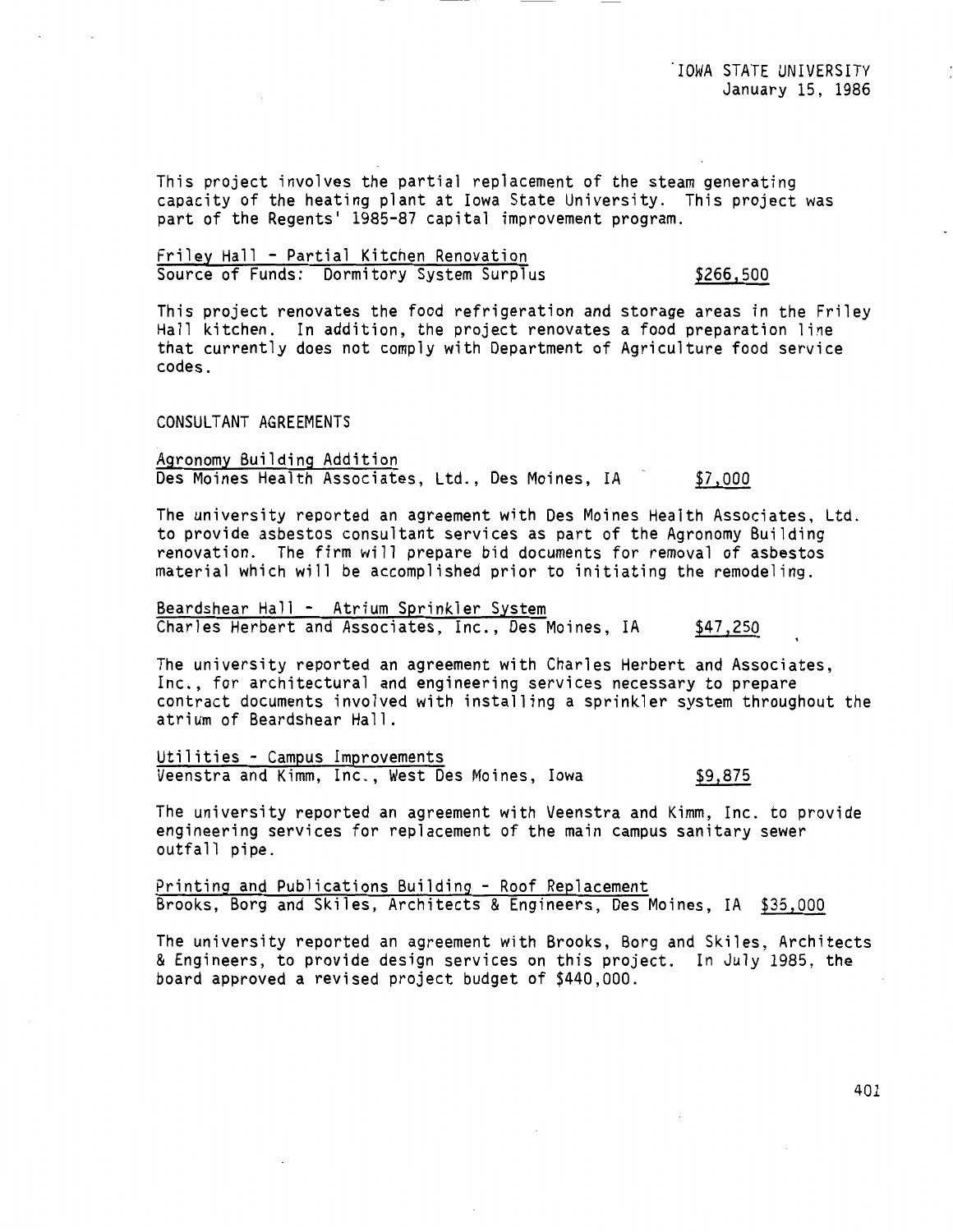This project involves the partial replacement of the steam generating capacity of the heating plant at Iowa State University. This project was part of the Regents' 1985-87 capital improvement program.

## Friley Hall - Partial Kitchen Renovation Source of Funds: Dormitory System Surplus \$266,500

This project renovates the food refrigeration and storage areas in the Friley Hall kitchen. In addition, the project renovates a food preparation line that currently does not comply with Department of Agriculture food service codes.

## CONSULTANT AGREEMENTS

Agronomy Building Addition Des Moines Health Associates, Ltd., Des Moines, IA \$7,000

The university reported an agreement with Des Moines Health Associates, Ltd. to provide asbestos consultant services as part of the Agronomy Building renovation. The firm will prepare bid documents for removal of asbestos material which will be accomplished prior to initiating the remodeling.

Beardshear Hall - Atrium Sprinkler System Charles Herbert and Associates, Inc., Des Moines, IA \$47,250

The university reported an agreement with Charles Herbert and Associates, Inc., for architectural and engineering services necessary to prepare contract documents involved with installing a sprinkler system throughout the atrium of Beardshear Hall.

Utilities - Campus Improvements Veenstra and Kimm, Inc., West Des Moines, Iowa \$9,875

The university reported an agreement with Veenstra and Kimm, Inc. to provide engineering services for replacement of the main campus sanitary sewer outfall pipe.

Printing and Publications Building - Roof Replacement Brooks, Borg and Skiles, Architects & Engineers, Des Moines, IA \$35,000

The university reported an agreement with Brooks, Borg and Skiles, Architects & Engineers, to provide design services on this project. In July 1985, the board approved a revised project budget of \$440,000.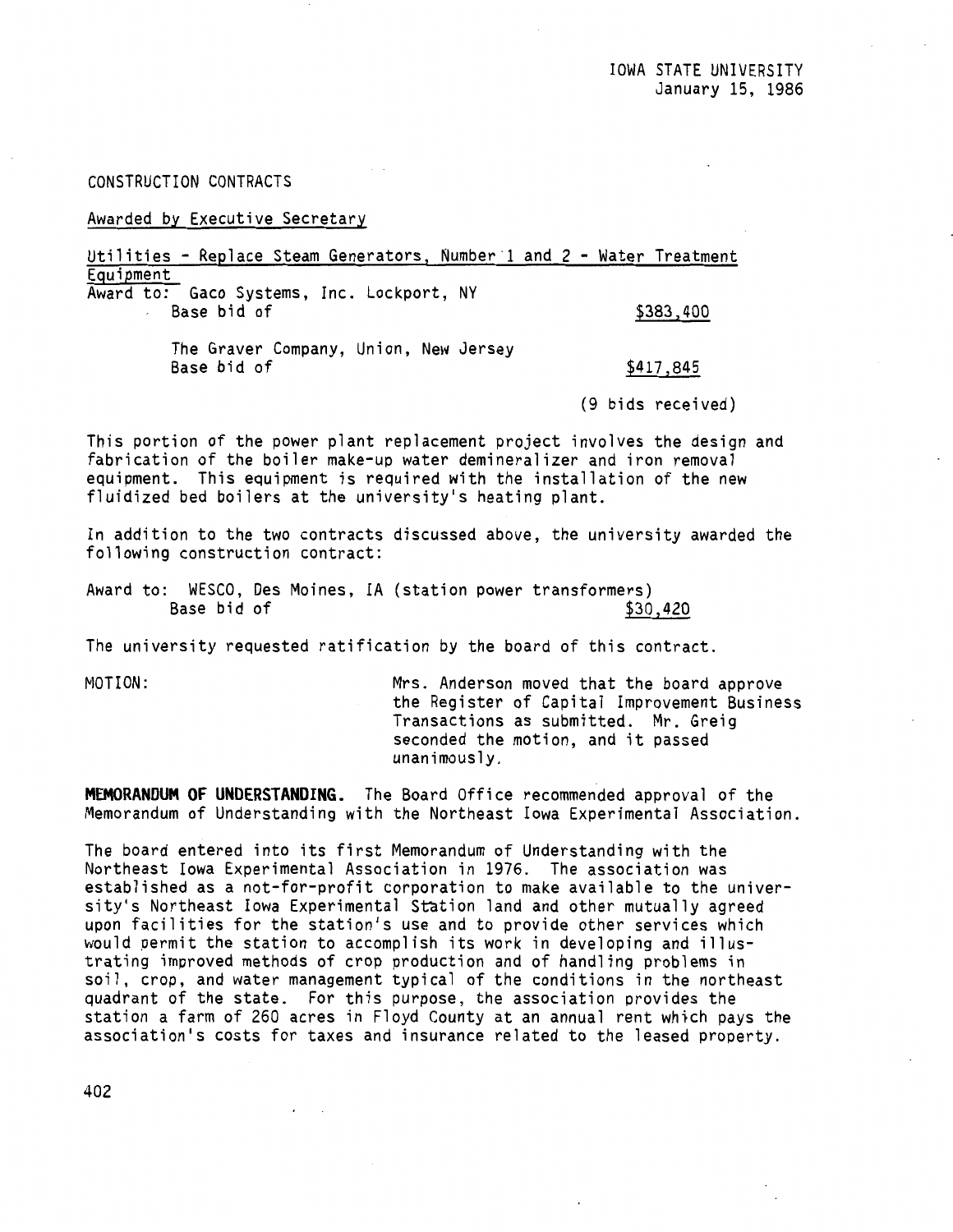CONSTRUCTION CONTRACTS

Awarded by Executive Secretary

Utilities - Replace Steam Generators, Number·1 and 2 - Water Treatment Equipment Award to: Gaco Systems, Inc. Lockport, NY

Base bid of \$383,400

The Graver Company, Union, New Jersey Base bid of  $$417,845$ 

(9 bids received)

This portion of the power plant replacement project involves the design and fabrication of the boiler make-up water demineralizer and iron removal equipment. This equipment is required with the installation of the new fluidized bed boilers at the university's heating plant.

In addition to the two contracts discussed above, the university awarded the following construction contract:

Award to: WESCO, Des Moines, IA (station power transformers) Base bid of  $$30,420$ 

The university requested ratification by the board of this contract.

MOTION: Mrs. Anderson moved that the board approve the Register of Capital Improvement Business Transactions as submitted. Mr. Greig seconded the motion, and it passed unanimously.

**MEMORANDUM OF UNDERSTANDING.** The Board Office recommended approval of the Memorandum of Understanding with the Northeast Iowa Experimental Association.

The board entered into its first Memorandum of Understanding with the Northeast Iowa Experimental Association in 1976. The association was established as a not-for-profit corporation to make available to the university's Northeast Iowa Experimental Station land and other mutually agreed upon facilities for the station's use and to provide other services which would permit the station to accomplish its work in developing and illustrating improved methods of crop production and of handling problems in soil, crop, and water management typical of the conditions in the northeast quadrant of the state. For this purpose, the association provides the station a farm of 260 acres in Floyd County at an annual rent which pays the association's costs for taxes and insurance related to the leased property.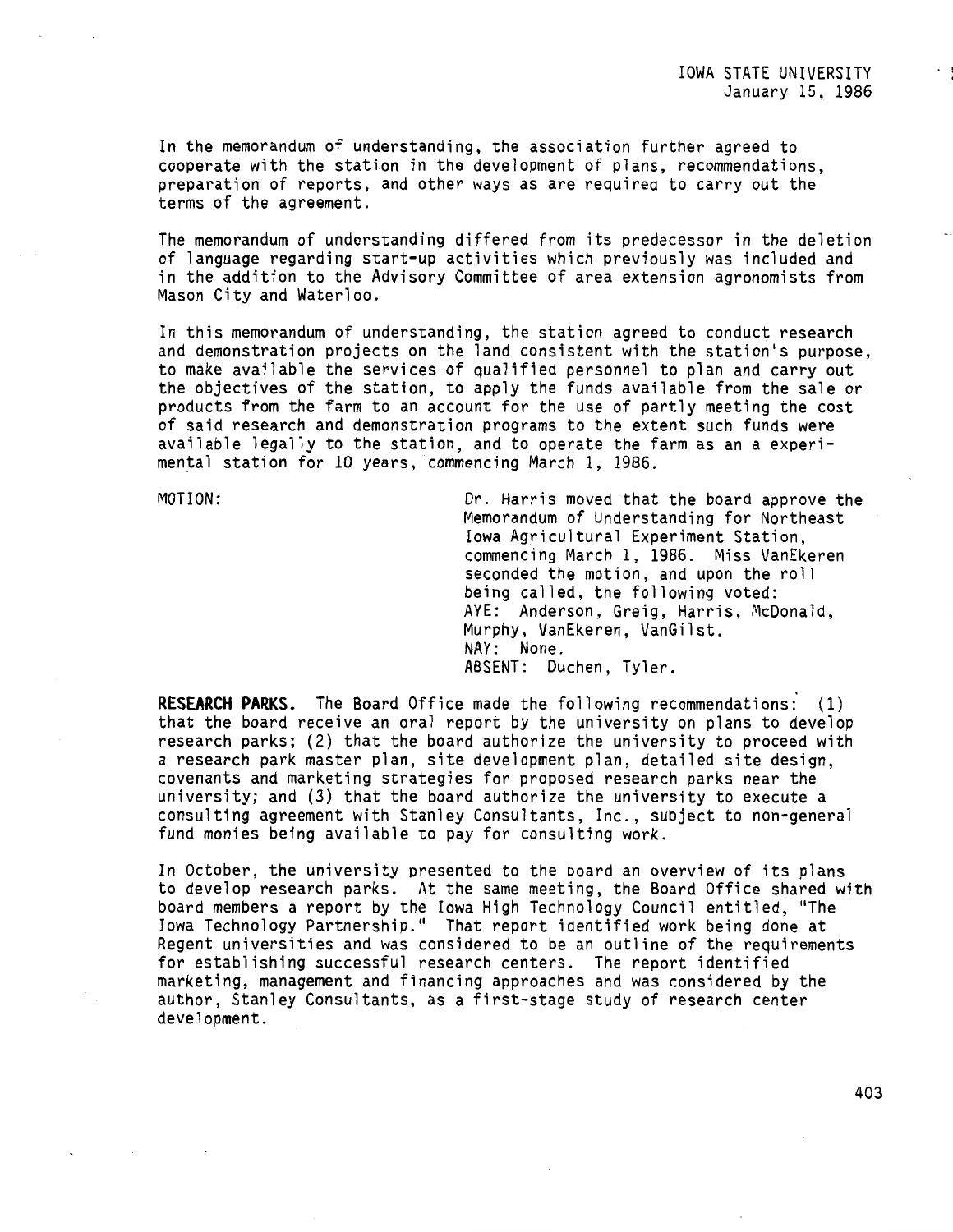In the memorandum of understanding, the association further agreed to cooperate with the station in the development of plans, recommendations, preparation of reports, and other ways as are required to carry out the terms of the agreement.

The memorandum of understanding differed from its predecessor in the deletion of language regarding start-up activities which previously was included and in the addition to the Advisory Committee of area extension agronomists from Mason City and Waterloo.

In this memorandum of understanding, the station agreed to conduct research and demonstration projects on the land consistent with the station's purpose, to make available the services of qualified personnel to plan and carry out the objectives of the station, to apply the funds available from the sale or products from the farm to an account for the use of partly meeting the cost of said research and demonstration programs to the extent such funds were available legally to the station, and to operate the farm as an a experimental station for 10 years, commencing March l, 1986.

MOTION: Dr. Harris moved that the board approve the Memorandum of Understanding for Northeast Iowa Agricultural Experiment Station, commencing March 1, 1986. Miss VanEkeren seconded the motion, and upon the roll being called, the following voted: AYE: Anderson, Greig, Harris, McDonald, Murphy, VanEkeren, VanGilst. NAY: None. ABSENT: Duchen, Tyler.

**RESEARCH PARKS.** The Board Office made the following recommendations: (1) that the board receive an oral report by the university on plans to develop research parks; (2) that the board authorize the university to proceed with a research park master plan, site development plan, detailed site design, covenants and marketing strategies for proposed research parks near the university; and (3) that the board authorize the university to execute a consulting agreement with Stanley Consultants, Inc., subject to non-general fund monies being available to pay for consulting work.

In October, the university presented to the board an overview of its plans to develop research parks. At the same meeting, the Board Office shared with board members a report by the Iowa High Technology Council entitled, "The Iowa Technology Partnership." That report identified work being done at Regent universities and was considered to be an outline of the requirements for establishing successful research centers. The report identified marketing, management and financing approaches and was considered by the author, Stanley Consultants, as a first-stage study of research center development.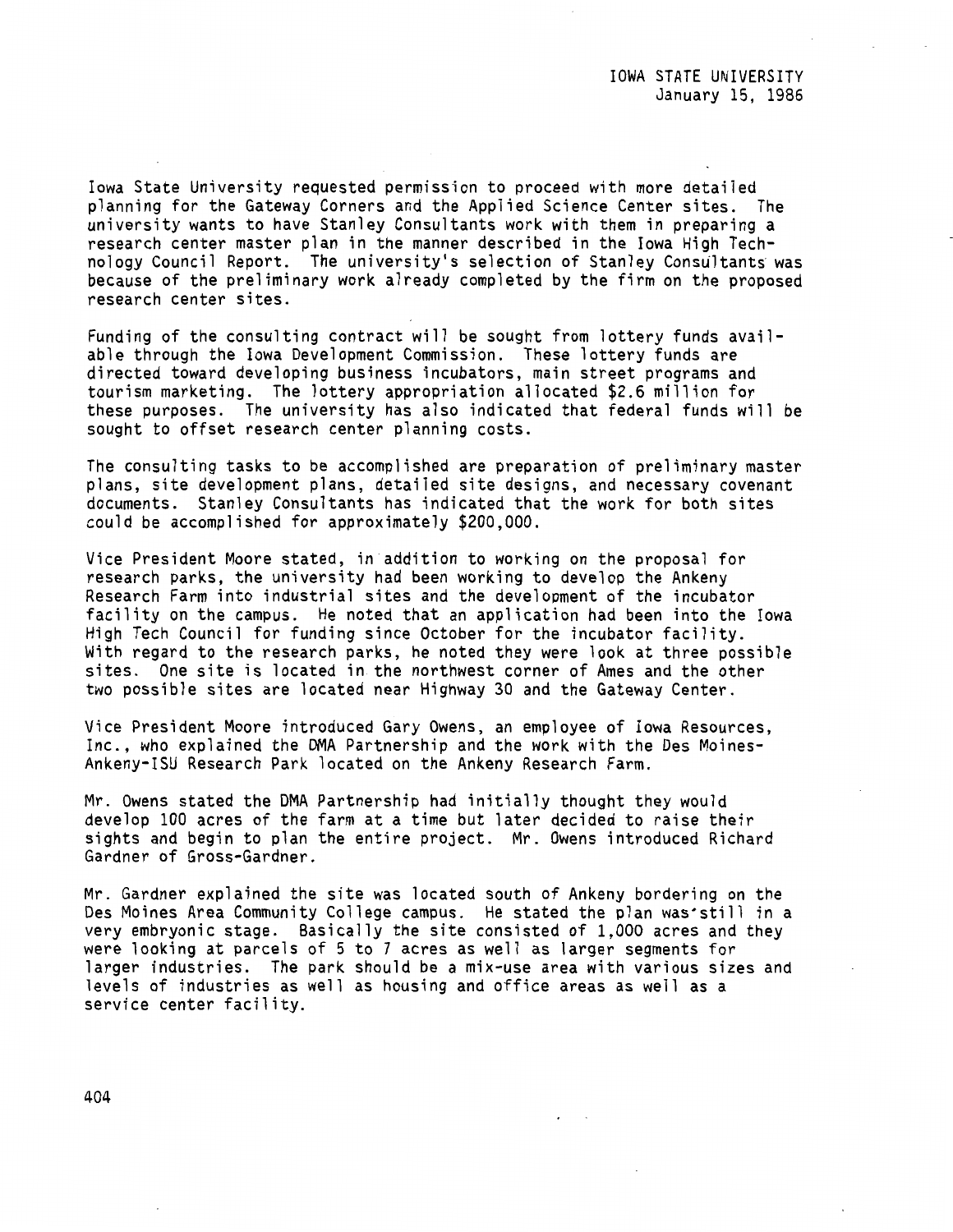Iowa State University requested permission to proceed with more detailed planning for the Gateway Corners and the Applied Science Center sites. The university wants to have Stanley Consultants work with them in preparing a research center master plan in the manner described in the Iowa High Technology Council Report. The university's selection of Stanley Consultants was because of the preliminary work already completed by the firm on the proposed research center sites.

Funding of the consulting contract will be sought from lottery funds available through the Iowa Development Commission. These lottery funds are directed toward developing business incubators, main street programs and tourism marketing. The lottery appropriation allocated \$2.6 million for these purposes. The university has also indicated that federal funds will be sought to offset research center planning costs.

The consulting tasks to be accomplished are preparation of preliminary master plans, site development plans, detailed site designs, and necessary covenant documents. Stanley Consultants has indicated that the work for both sites could be accomplished for approximately \$200,000.

Vice President Moore stated, in addition to working on the proposal for research parks, the university had been working to develop the Ankeny Research Farm into industrial sites and the development of the incubator facility on the campus. He noted that an application had been into the Iowa High Tech Council for funding since October for the incubator facility. With regard to the research parks, he noted they were look at three possible sites. One site is located in the northwest corner of Ames and the other two possible sites are located near Highway 30 and the Gateway Center.

Vice President Moore introduced Gary Owens, an employee of Iowa Resources, Inc., who explained the OMA Partnership and the work with the Des Moines-Ankeny-ISU Research Park located on the Ankeny Research Farm.

Mr. Owens stated the DMA Partnership had initially thought they would develop 100 acres of the farm at a time but later decided to raise their sights and begin to plan the entire project. Mr. Owens introduced Richard Gardner of Gross-Gardner.

Mr. Gardner explained the site was located south of Ankeny bordering on the Des Moines Area Community College campus. He stated the plan was'still in a very embryonic stage. Basically the site consisted of 1,000 acres and they were looking at parcels of 5 to 7 acres as well as larger segments for larger industries. The park should be a mix-use area with various sizes and levels of industries as well as housing and office areas as well as a service center facility.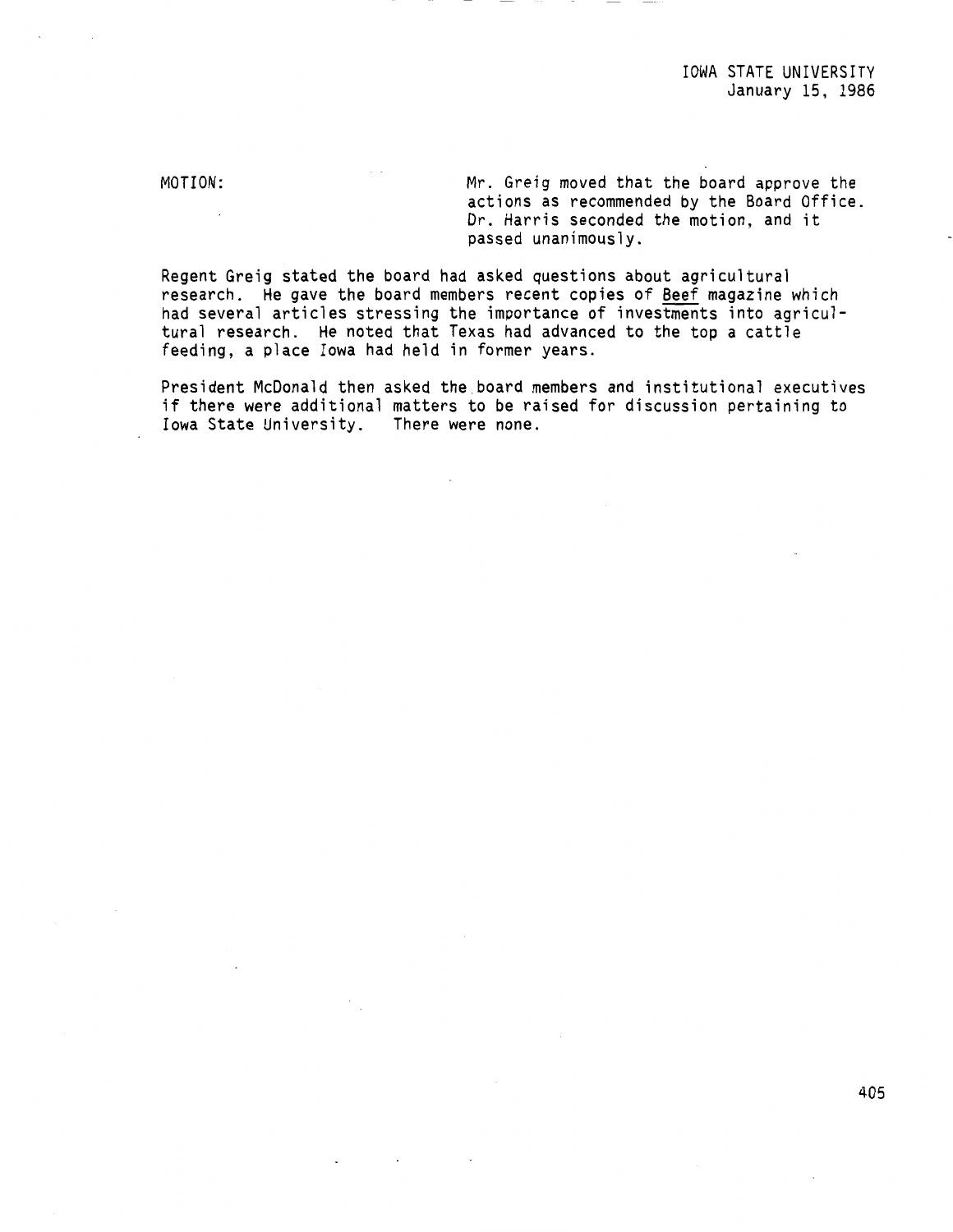IOWA STATE UNIVERSITY January 15, 1986

MOTION:

Mr. Greig moved that the board approve the actions as recommended by the Board Office. Dr. Harris seconded the motion, and it passed unanimously.

Regent Greig stated the board had **asked** questions about agricultural research. He gave the board members recent copies of Beef magazine which had several articles stressing the importance of investments into agricultural research. He noted that Texas had advanced to the top a cattle feeding, a place Iowa had held in former years.

President McDonald then asked the.board members and institutional executives if there were additional matters to be raised for discussion pertaining to<br>Iowa State University. There were none. Iowa State University.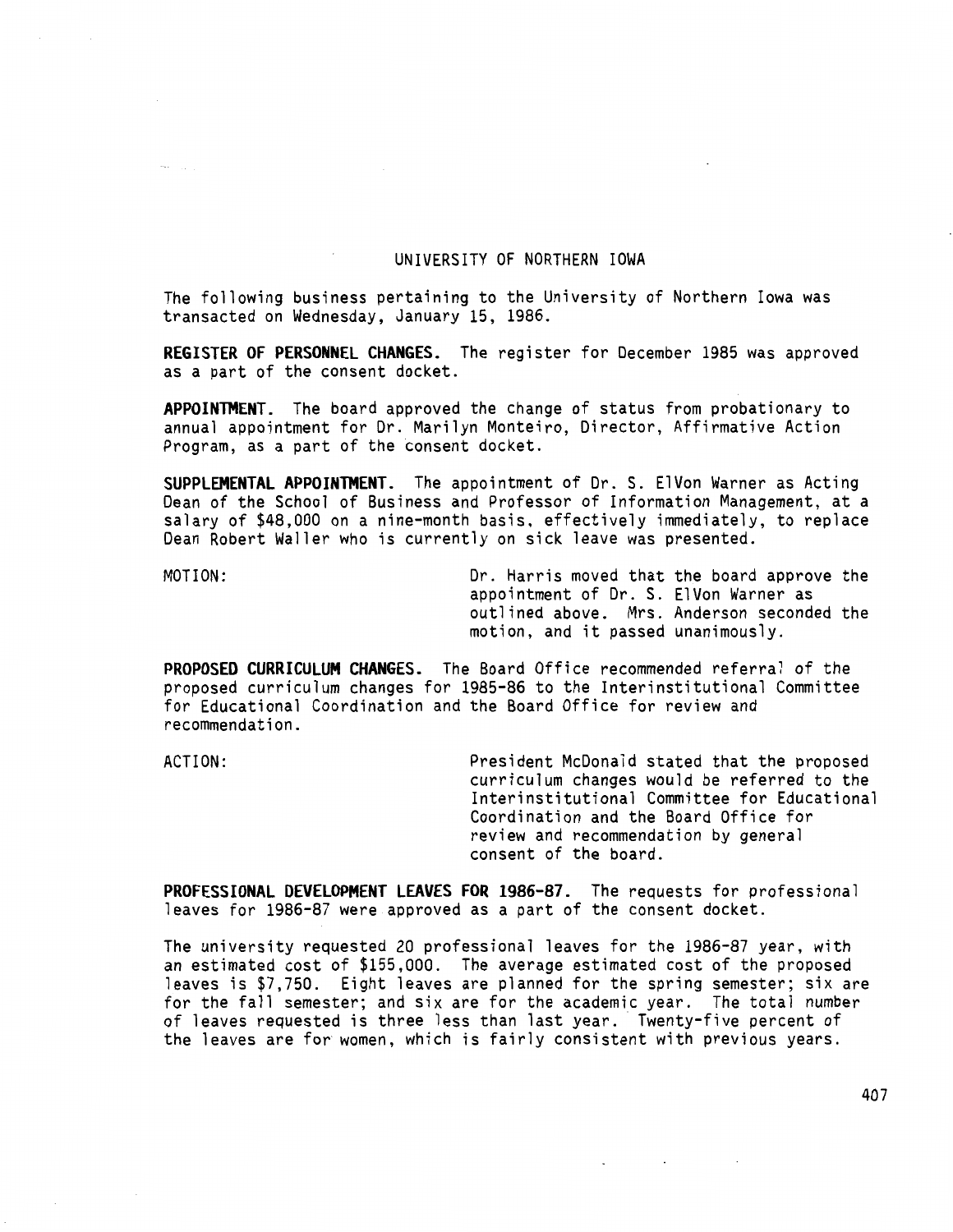# UNIVERSITY OF NORTHERN IOWA

The following business pertaining to the University of Northern Iowa was transacted on Wednesday, January 15, 1986.

**REGISTER OF PERSONNEL CHANGES.** The register for December 1985 was approved as a part of the consent docket.

**APPOINTMENT.** The board approved the change of status from probationary to annual appointment for Dr. Marilyn Monteiro, Director, Affirmative Action Program, as a part of the consent docket.

**SUPPLEMENTAL APPOINTMENT.** The appointment of Dr. S. ElVon Warner as Acting Dean of the School of Business and Professor of Information Management, at a salary of \$48,000 on a nine-month basis, effectively immediately, to replace Dean Robert Waller who is currently on sick leave was presented.

MOTION: Dr. Harris moved that the board approve the appointment of Dr. S. ElVon Warner as outlined above. Mrs. Anderson seconded the motion, and it passed unanimously.

**PROPOSED CURRICULUM CHANGES.** The Board Office recommended referral of the proposed curriculum changes for 1985-86 to the Interinstitutional Committee for Educational Coordination and the Board Office for review and recommendation.

ACTION: President McDonald stated that the proposed curriculum changes would be referred to the Interinstitutional Committee for Educational Coordination and the Board Office for review and recommendation by general consent of the board.

 $\sim 100$  km s  $^{-1}$ 

**PROFESSIONAL DEVELOPMENT LEAVES FOR 1986-87.** The requests for professional leaves for 1986-87 were approved as a part of the consent docket.

The university requested 20 professional leaves for the 1986-87 year, with an estimated cost of \$155,000. The average estimated cost of the proposed leaves is \$7,750. Eight leaves are planned for the spring semester; six are for the fall semester; and six are for the academic year. The total number of leaves requested is three less than last year. Twenty-five percent of the leaves are for women, which is fairly consistent with previous years.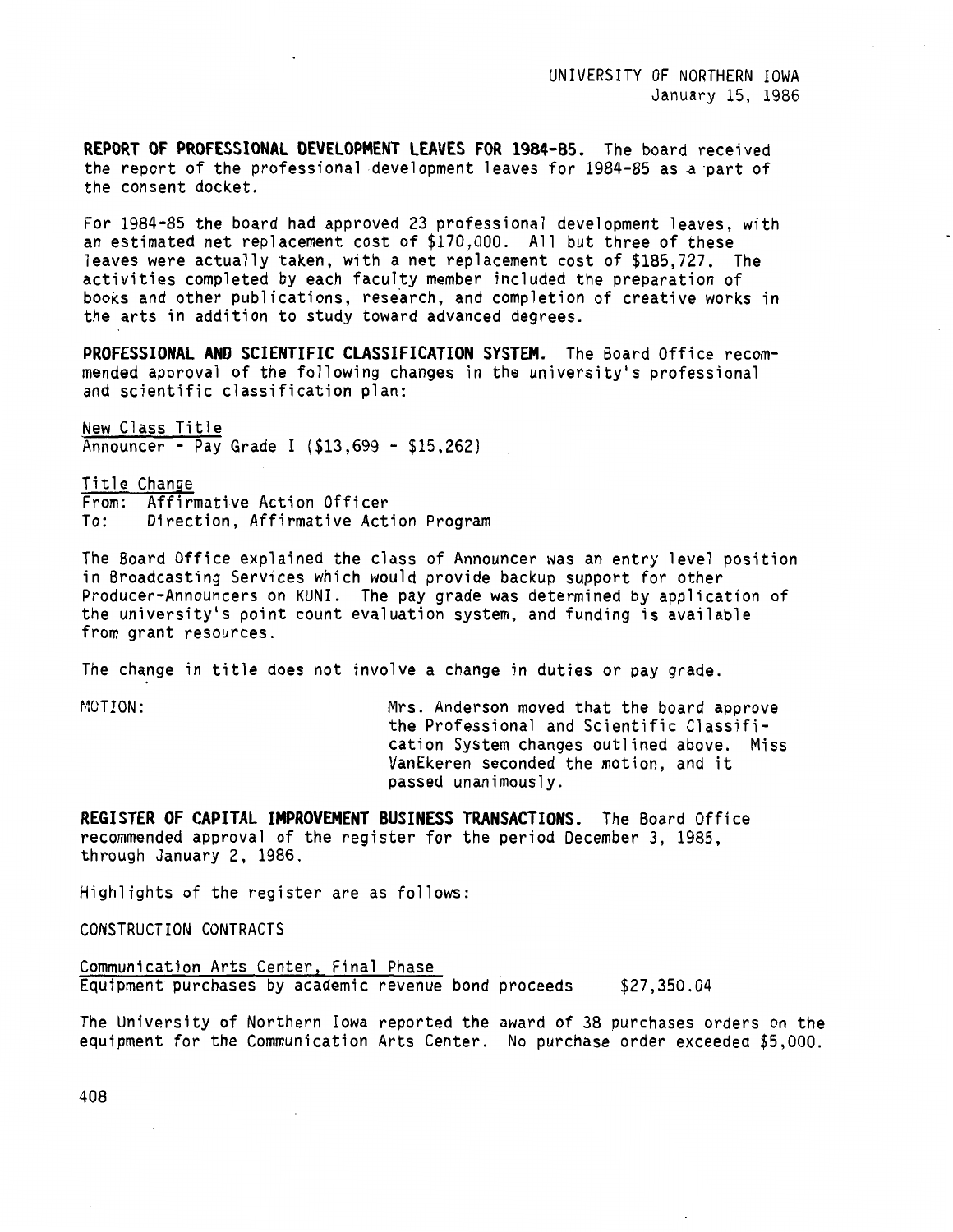**REPORT OF PROFESSIONAL DEVELOPMENT LEAVES FOR 1984-85.** The board received the report of the professional development leaves for 1984-85 as a part of the consent docket.

For 1984-85 the board had approved 23 professional development leaves, with an estimated net replacement cost of \$170,000. All but three of these leaves were actually taken, with a net replacement cost of \$185,727. The activities completed by each faculty member included the preparation of books and other publications, research, and completion of creative works in the arts in addition to study toward advanced degrees.

**PROFESSIONAL ANO SCIENTIFIC CLASSIFICATION SYSTEM.** The Board Office recommended approval of the following changes in the university's professional and scientific classification plan:

New Class Title Announcer - Pay Grade I (\$13,699 - \$15,262)

Title Change From: Affirmative Action Officer To: Direction, Affirmative Action Program

The Board Office explained the class of Announcer was an entry level position in Broadcasting Services which would provide backup support for other Producer-Announcers on KUNI. The pay grade was determined by application of the university's point count evaluation system, and funding is available from grant resources.

The change in title does not involve a change in duties or pay grade.

MOTION: Mrs. Anderson moved that the board approve the Professional and Scientific Classification System changes outlined above. Miss VanEkeren seconded the motion, and it passed unanimously.

**REGISTER OF CAPITAL IMPROVEMENT BUSINESS TRANSACTIONS.** The Board Office recommended approval of the register for the period December 3, 1985, through January 2, 1986.

Highlights of the register are as follows:

CONSTRUCTION CONTRACTS

Communication Arts Center, Final Phase Equipment purchases by academic revenue bond proceeds \$27,350.04

The University of Northern Iowa reported the award of 38 purchases orders on the equipment for the Communication Arts Center. No purchase order exceeded \$5,000.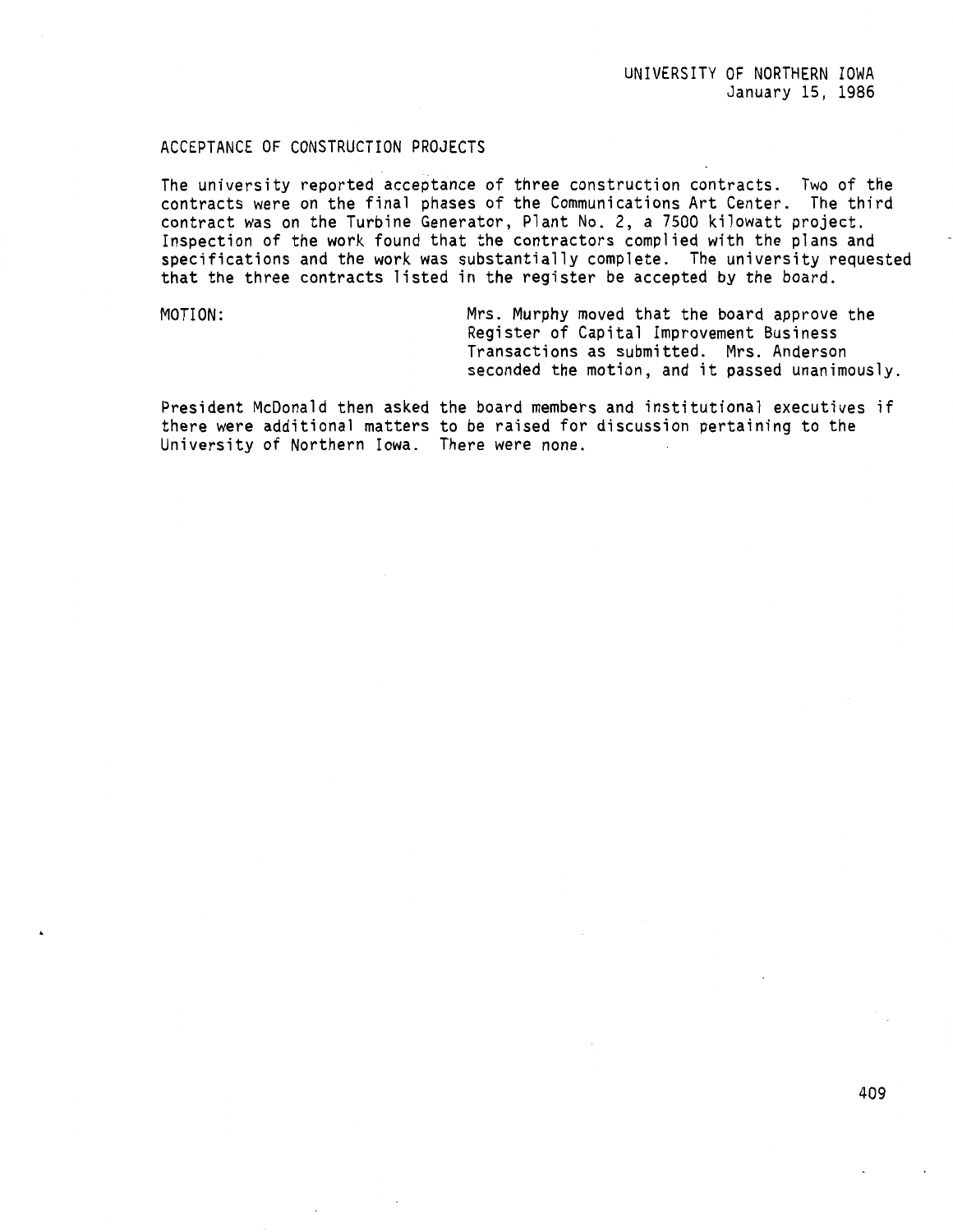# ACCEPTANCE OF CONSTRUCTION PROJECTS

The university reported acceptance of three construction contracts. Two of the contracts were on the final phases of the Communications Art Center. The third contract was on the Turbine Generator, Plant No. 2, a 7500 kilowatt project. Inspection of the work found that the contractors complied with the plans and specifications and the work was substantially complete. The university requested that the three contracts listed in the register be accepted by the board.

MOTION: Mrs. Murphy moved that the board approve the Register of Capital Improvement Business Transactions as submitted. Mrs. Anderson seconded the motion, and it passed unanimously.

President McDonald then asked the board members and institutional executives if there were additional matters to be raised for discussion pertaining to the University of Northern Iowa. There were none.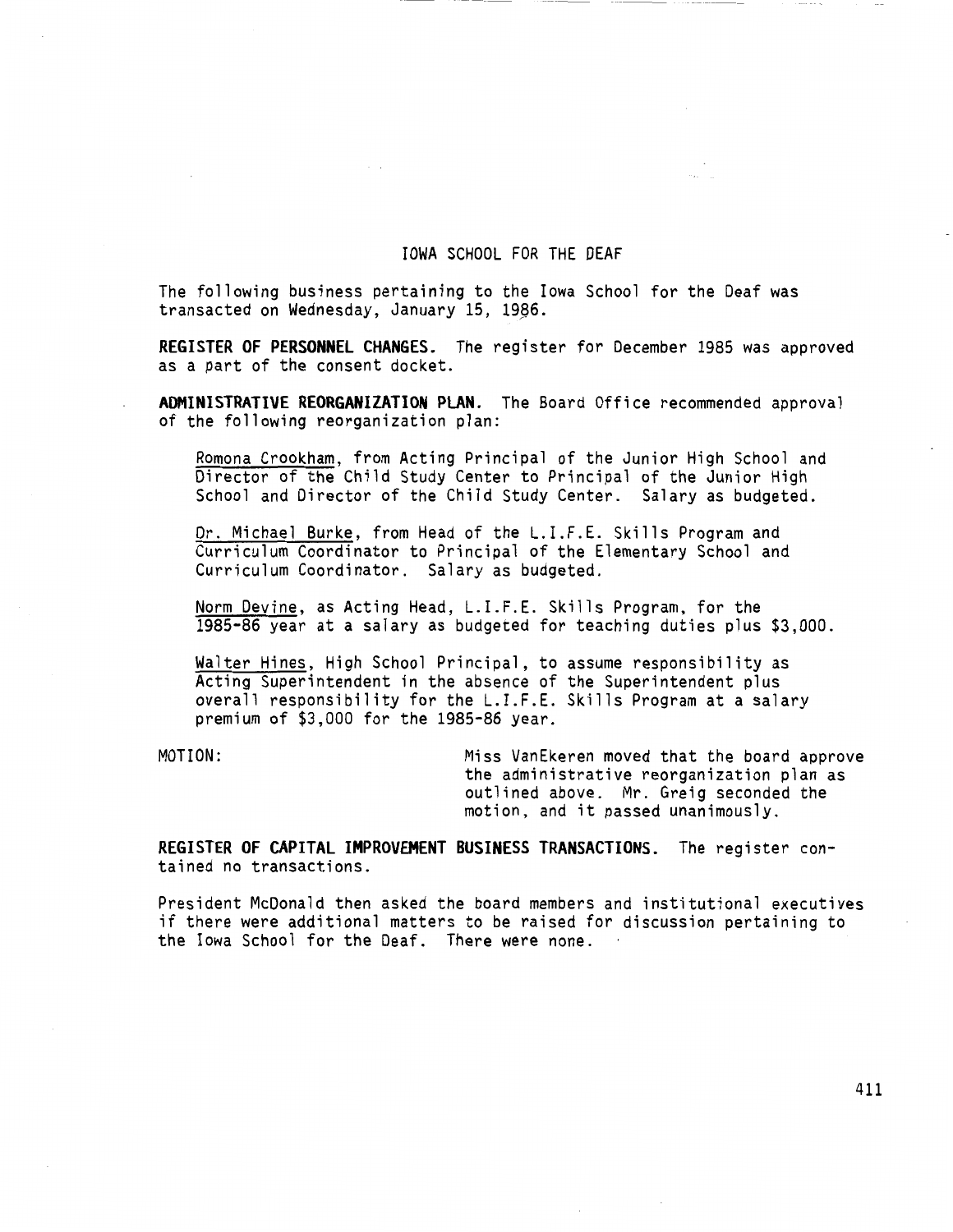## IOWA SCHOOL FOR THE DEAF

The following business pertaining to the Iowa School for the Deaf was transacted on Wednesday, January 15, 19§6.

**REGISTER OF PERSONNEL CHANGES.** The register for December 1985 was approved as a part of the consent docket.

**ADMINISTRATIVE REORGANIZATION PLAN.** The Board Office recommended approval of the following reorganization plan:

Romona Crookham, from Acting Principal of the Junior High School and Director of the Child Study Center to Principal of the Junior High School and Director of the Child Study Center. Salary as budgeted.

Dr. Michael Burke, from Head of the L.I.F.E. Skills Program and Curriculum Coordinator to Principal of the Elementary School and Curriculum Coordinator. Salary as budgeted.

Norm Devine, as Acting Head, L.I.F.E. Skills Program, for the 1985-86 year at a salary as budgeted for teaching duties plus \$3,000.

Walter Hines, High School Principal, to assume responsibility as Acting Superintendent in the absence of the Superintendent plus overall responsibility for the L.I.F.E. Skills Program at a salary premium of \$3,000 for the 1985-86 year.

MOTION: Miss VanEkeren moved that the board approve the administrative reorganization plan as outlined above. Mr. Greig seconded the motion, and it passed unanimously.

**REGISTER OF CAPITAL IMPROVEMENT BUSINESS TRANSACTIONS.** The register contained no transactions.

President McDonald then asked the board members and institutional executives if there were additional matters to be raised for discussion pertaining to the Iowa School for the Deaf. There were none.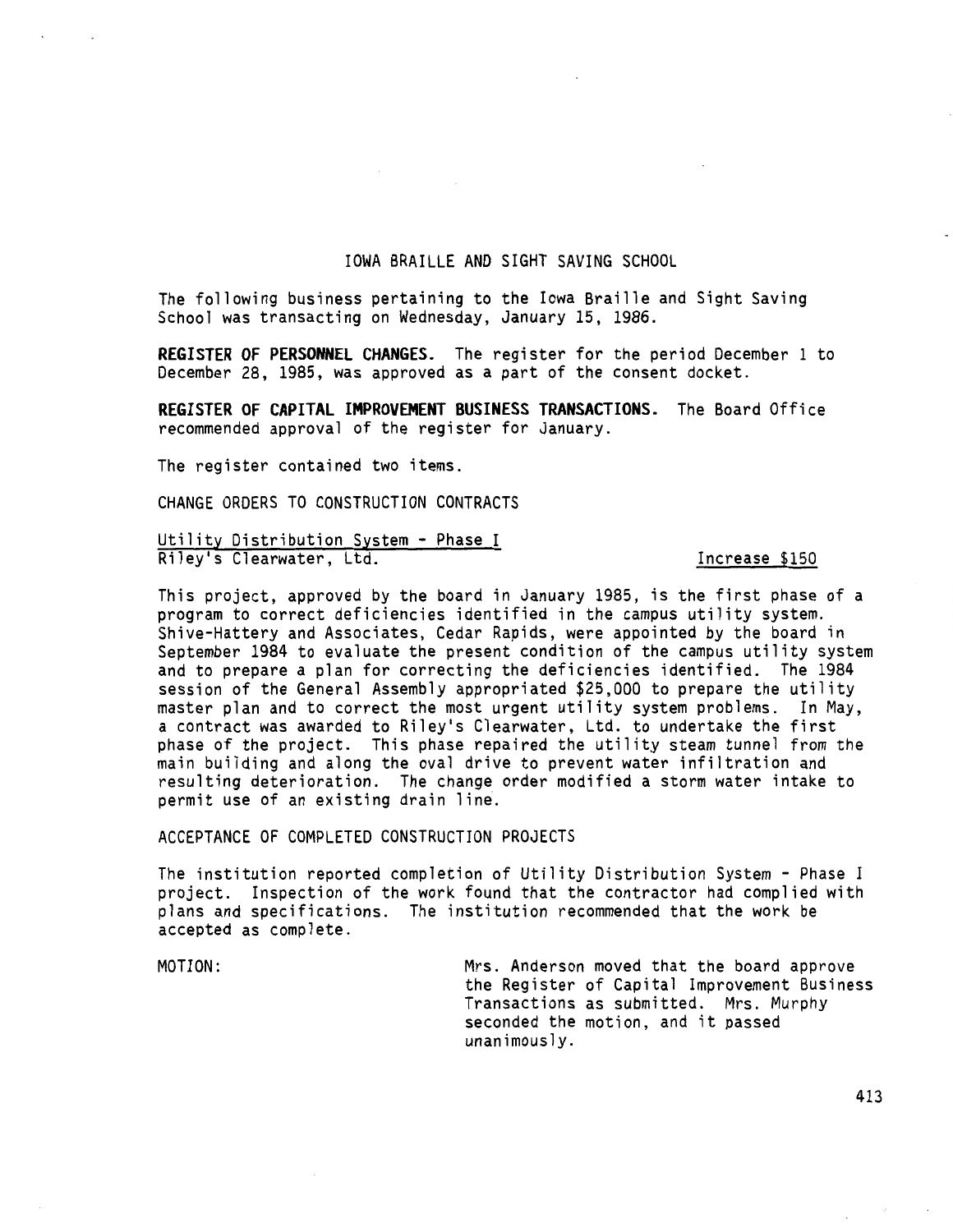### IOWA BRAILLE AND SIGHT SAVING SCHOOL

The following business pertaining to the Iowa Braille and Sight Saving School was transacting on Wednesday, January 15, 1986.

**REGISTER OF PERSONNEL CHANGES.** The register for the period December 1 to December 28, 1985, was approved as a part of the consent docket.

**REGISTER OF CAPITAL IMPROVEMENT BUSINESS TRANSACTIONS.** The Board Office recommended approval of the register for January.

The register contained two items.

CHANGE ORDERS TO CONSTRUCTION CONTRACTS

Utility Distribution System - Phase I Riley's Clearwater, Ltd. **Increase \$150** 

This project, approved by the board in January 1985, is the first phase of a program to correct deficiencies identified in the campus utility system. Shive-Hattery and Associates, Cedar Rapids, were appointed by the board in September 1984 to evaluate the present condition of the campus utility system and to prepare a plan for correcting the deficiencies identified. The 1984 session of the General Assembly appropriated \$25,000 to prepare the utility master plan and to correct the most urgent utility system problems. In May, a contract was awarded to Riley's Clearwater, Ltd. to undertake the first phase of the project. This phase repaired the utility steam tunnel from the main building and along the oval drive to prevent water infiltration and resulting deterioration. The change order modified a storm water intake to permit use of an existing drain line.

ACCEPTANCE OF COMPLETED CONSTRUCTION PROJECTS

The institution reported completion of Utility Distribution System - Phase I project. Inspection of the work found that the contractor had complied with plans and specifications. The institution recommended that the work be accepted as complete.

MOTION: Mrs. Anderson moved that the board approve the Register of Capital Improvement Business Transactions as submitted. Mrs. Murphy seconded the motion, and it passed unanimously.